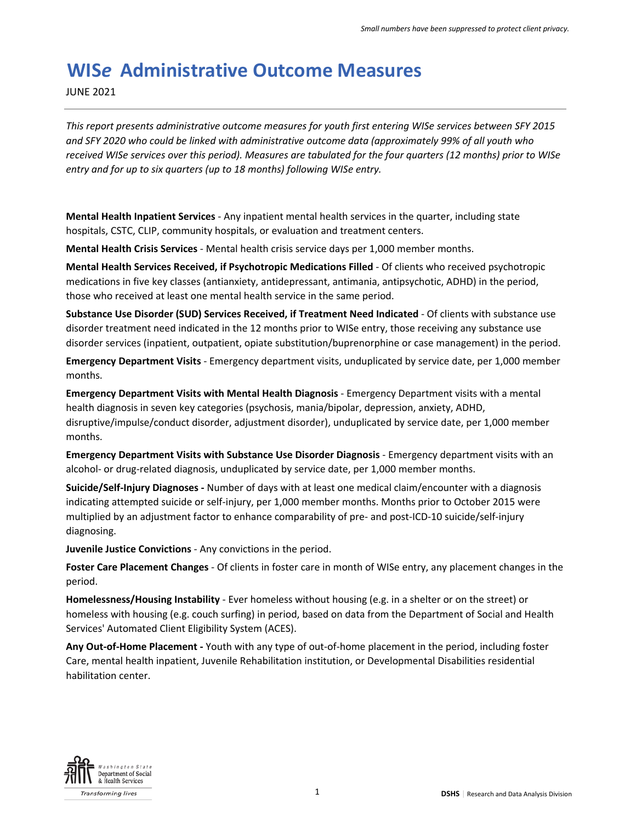# **WIS***e* **Administrative Outcome Measures**

JUNE 2021

*This report presents administrative outcome measures for youth first entering WISe services between SFY 2015 and SFY 2020 who could be linked with administrative outcome data (approximately 99% of all youth who received WISe services over this period). Measures are tabulated for the four quarters (12 months) prior to WISe entry and for up to six quarters (up to 18 months) following WISe entry.*

**Mental Health Inpatient Services** - Any inpatient mental health services in the quarter, including state hospitals, CSTC, CLIP, community hospitals, or evaluation and treatment centers.

**Mental Health Crisis Services** - Mental health crisis service days per 1,000 member months.

**Mental Health Services Received, if Psychotropic Medications Filled** - Of clients who received psychotropic medications in five key classes (antianxiety, antidepressant, antimania, antipsychotic, ADHD) in the period, those who received at least one mental health service in the same period.

**Substance Use Disorder (SUD) Services Received, if Treatment Need Indicated** - Of clients with substance use disorder treatment need indicated in the 12 months prior to WISe entry, those receiving any substance use disorder services (inpatient, outpatient, opiate substitution/buprenorphine or case management) in the period.

**Emergency Department Visits** - Emergency department visits, unduplicated by service date, per 1,000 member months.

**Emergency Department Visits with Mental Health Diagnosis** - Emergency Department visits with a mental health diagnosis in seven key categories (psychosis, mania/bipolar, depression, anxiety, ADHD, disruptive/impulse/conduct disorder, adjustment disorder), unduplicated by service date, per 1,000 member months.

**Emergency Department Visits with Substance Use Disorder Diagnosis** - Emergency department visits with an alcohol- or drug-related diagnosis, unduplicated by service date, per 1,000 member months.

**Suicide/Self-Injury Diagnoses -** Number of days with at least one medical claim/encounter with a diagnosis indicating attempted suicide or self-injury, per 1,000 member months. Months prior to October 2015 were multiplied by an adjustment factor to enhance comparability of pre- and post-ICD-10 suicide/self-injury diagnosing.

**Juvenile Justice Convictions** - Any convictions in the period.

**Foster Care Placement Changes** - Of clients in foster care in month of WISe entry, any placement changes in the period.

**Homelessness/Housing Instability** - Ever homeless without housing (e.g. in a shelter or on the street) or homeless with housing (e.g. couch surfing) in period, based on data from the Department of Social and Health Services' Automated Client Eligibility System (ACES).

**Any Out-of-Home Placement -** Youth with any type of out-of-home placement in the period, including foster Care, mental health inpatient, Juvenile Rehabilitation institution, or Developmental Disabilities residential habilitation center.

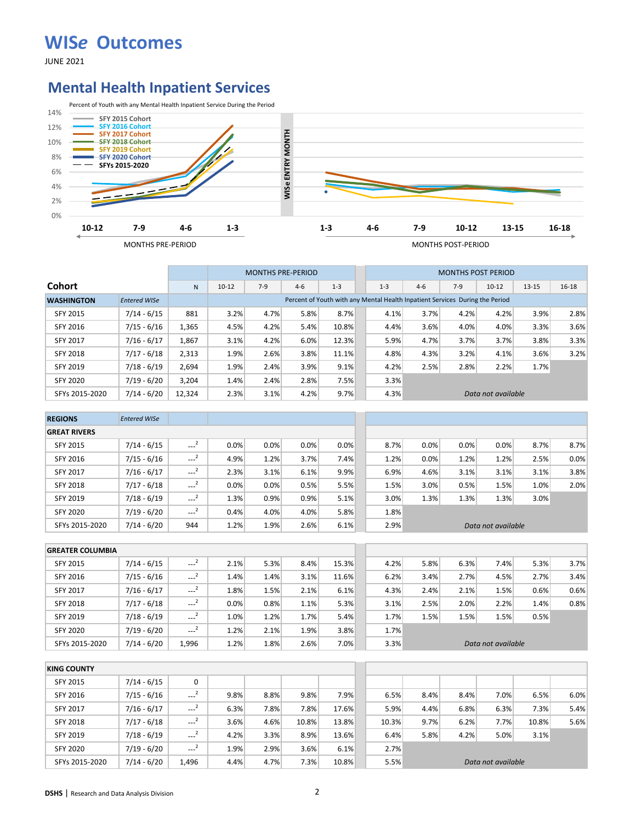JUNE 2021

#### **Mental Health Inpatient Services**



|                   |                     |        |           |       | <b>MONTHS PRE-PERIOD</b> |         |         |       | <b>MONTHS POST PERIOD</b>                                                    |                    |           |           |
|-------------------|---------------------|--------|-----------|-------|--------------------------|---------|---------|-------|------------------------------------------------------------------------------|--------------------|-----------|-----------|
| <b>Cohort</b>     |                     | N      | $10 - 12$ | $7-9$ | $4 - 6$                  | $1 - 3$ | $1 - 3$ | $4-6$ | $7-9$                                                                        | $10 - 12$          | $13 - 15$ | $16 - 18$ |
| <b>WASHINGTON</b> | <b>Entered WISe</b> |        |           |       |                          |         |         |       | Percent of Youth with any Mental Health Inpatient Services During the Period |                    |           |           |
| <b>SFY 2015</b>   | $7/14 - 6/15$       | 881    | 3.2%      | 4.7%  | 5.8%                     | 8.7%    | 4.1%    | 3.7%  | 4.2%                                                                         | 4.2%               | 3.9%      | 2.8%      |
| SFY 2016          | $7/15 - 6/16$       | 1,365  | 4.5%      | 4.2%  | 5.4%                     | 10.8%   | 4.4%    | 3.6%  | 4.0%                                                                         | 4.0%               | 3.3%      | 3.6%      |
| <b>SFY 2017</b>   | $7/16 - 6/17$       | 1.867  | 3.1%      | 4.2%  | 6.0%                     | 12.3%   | 5.9%    | 4.7%  | 3.7%                                                                         | 3.7%               | 3.8%      | 3.3%      |
| SFY 2018          | $7/17 - 6/18$       | 2,313  | 1.9%      | 2.6%  | 3.8%                     | 11.1%   | 4.8%    | 4.3%  | 3.2%                                                                         | 4.1%               | 3.6%      | 3.2%      |
| <b>SFY 2019</b>   | $7/18 - 6/19$       | 2,694  | 1.9%      | 2.4%  | 3.9%                     | 9.1%    | 4.2%    | 2.5%  | 2.8%                                                                         | 2.2%               | 1.7%      |           |
| <b>SFY 2020</b>   | 7/19 - 6/20         | 3.204  | 1.4%      | 2.4%  | 2.8%                     | 7.5%    | 3.3%    |       |                                                                              |                    |           |           |
| SFYs 2015-2020    | $7/14 - 6/20$       | 12,324 | 2.3%      | 3.1%  | 4.2%                     | 9.7%    | 4.3%    |       |                                                                              | Data not available |           |           |

| <b>REGIONS</b>      | <b>Entered WISe</b> |                     |      |      |      |      |      |      |      |                    |      |      |
|---------------------|---------------------|---------------------|------|------|------|------|------|------|------|--------------------|------|------|
| <b>GREAT RIVERS</b> |                     |                     |      |      |      |      |      |      |      |                    |      |      |
| <b>SFY 2015</b>     | $7/14 - 6/15$       | $\sim$ <sup>2</sup> | 0.0% | 0.0% | 0.0% | 0.0% | 8.7% | 0.0% | 0.0% | 0.0%               | 8.7% | 8.7% |
| SFY 2016            | $7/15 - 6/16$       | $\sim$ <sup>2</sup> | 4.9% | 1.2% | 3.7% | 7.4% | 1.2% | 0.0% | 1.2% | 1.2%               | 2.5% | 0.0% |
| <b>SFY 2017</b>     | $7/16 - 6/17$       | $\sim$ <sup>2</sup> | 2.3% | 3.1% | 6.1% | 9.9% | 6.9% | 4.6% | 3.1% | 3.1%               | 3.1% | 3.8% |
| <b>SFY 2018</b>     | $7/17 - 6/18$       | $\sim$ <sup>2</sup> | 0.0% | 0.0% | 0.5% | 5.5% | 1.5% | 3.0% | 0.5% | 1.5%               | 1.0% | 2.0% |
| SFY 2019            | $7/18 - 6/19$       | $\sim$ <sup>2</sup> | 1.3% | 0.9% | 0.9% | 5.1% | 3.0% | 1.3% | 1.3% | 1.3%               | 3.0% |      |
| <b>SFY 2020</b>     | $7/19 - 6/20$       | $\sim$ <sup>2</sup> | 0.4% | 4.0% | 4.0% | 5.8% | 1.8% |      |      |                    |      |      |
| SFYs 2015-2020      | $7/14 - 6/20$       | 944                 | 1.2% | 1.9% | 2.6% | 6.1% | 2.9% |      |      | Data not available |      |      |

| <b>GREATER COLUMBIA</b> |               |          |      |      |      |       |      |      |      |                    |      |      |
|-------------------------|---------------|----------|------|------|------|-------|------|------|------|--------------------|------|------|
| <b>SFY 2015</b>         | $7/14 - 6/15$ | $-2$     | 2.1% | 5.3% | 8.4% | 15.3% | 4.2% | 5.8% | 6.3% | 7.4%               | 5.3% | 3.7% |
| <b>SFY 2016</b>         | $7/15 - 6/16$ | $-1$     | 1.4% | 1.4% | 3.1% | 11.6% | 6.2% | 3.4% | 2.7% | 4.5%               | 2.7% | 3.4% |
| <b>SFY 2017</b>         | $7/16 - 6/17$ | $---2$   | 1.8% | 1.5% | 2.1% | 6.1%  | 4.3% | 2.4% | 2.1% | 1.5%               | 0.6% | 0.6% |
| <b>SFY 2018</b>         | $7/17 - 6/18$ | $\cdots$ | 0.0% | 0.8% | 1.1% | 5.3%  | 3.1% | 2.5% | 2.0% | 2.2%               | 1.4% | 0.8% |
| <b>SFY 2019</b>         | $7/18 - 6/19$ | $-2$     | 1.0% | 1.2% | 1.7% | 5.4%  | 1.7% | 1.5% | 1.5% | 1.5%               | 0.5% |      |
| <b>SFY 2020</b>         | $7/19 - 6/20$ | $-2$     | 1.2% | 2.1% | 1.9% | 3.8%  | 1.7% |      |      |                    |      |      |
| SFYs 2015-2020          | $7/14 - 6/20$ | 1.996    | 1.2% | 1.8% | 2.6% | 7.0%  | 3.3% |      |      | Data not available |      |      |

| <b>KING COUNTY</b> |               |                     |      |      |         |       |       |      |      |                    |       |      |
|--------------------|---------------|---------------------|------|------|---------|-------|-------|------|------|--------------------|-------|------|
| SFY 2015           | 7/14 - 6/15   | 0                   |      |      |         |       |       |      |      |                    |       |      |
| SFY 2016           | $7/15 - 6/16$ | $\sim$ $^{-2}$      | 9.8% | 8.8% | 9.8%    | 7.9%  | 6.5%  | 8.4% | 8.4% | 7.0%               | 6.5%  | 6.0% |
| <b>SFY 2017</b>    | $7/16 - 6/17$ | $-2$                | 6.3% | 7.8% | 7.8%    | 17.6% | 5.9%  | 4.4% | 6.8% | 6.3%               | 7.3%  | 5.4% |
| <b>SFY 2018</b>    | $7/17 - 6/18$ | $\sim$ <sup>2</sup> | 3.6% | 4.6% | 10.8%   | 13.8% | 10.3% | 9.7% | 6.2% | 7.7%               | 10.8% | 5.6% |
| SFY 2019           | $7/18 - 6/19$ | $---2$              | 4.2% | 3.3% | 8.9%    | 13.6% | 6.4%  | 5.8% | 4.2% | 5.0%               | 3.1%  |      |
| <b>SFY 2020</b>    | $7/19 - 6/20$ | $---2$              | 1.9% | 2.9% | $3.6\%$ | 6.1%  | 2.7%  |      |      |                    |       |      |
| SFYs 2015-2020     | $7/14 - 6/20$ | 1.496               | 4.4% | 4.7% | 7.3%    | 10.8% | 5.5%  |      |      | Data not available |       |      |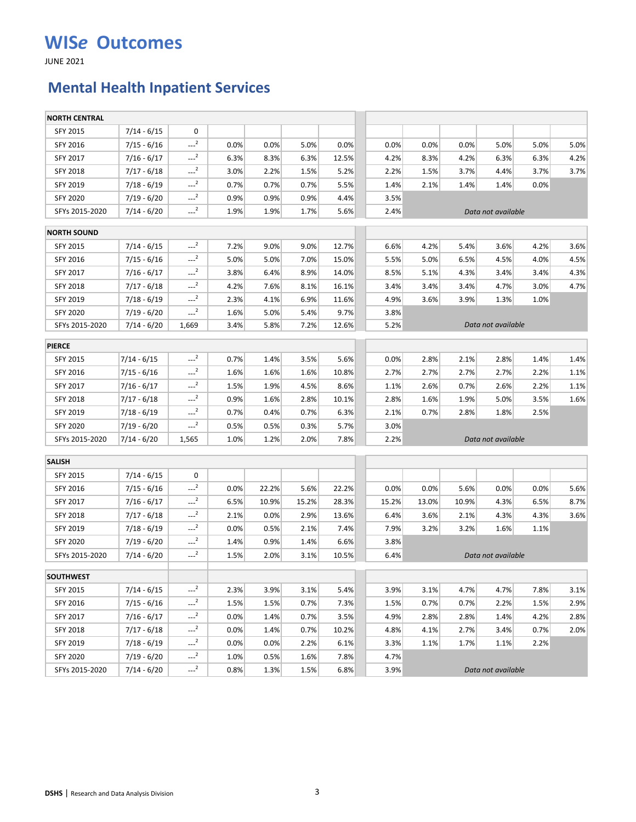JUNE 2021

## **Mental Health Inpatient Services**

| <b>NORTH CENTRAL</b> |               |                     |      |       |       |       |       |       |       |                    |      |      |
|----------------------|---------------|---------------------|------|-------|-------|-------|-------|-------|-------|--------------------|------|------|
| <b>SFY 2015</b>      | $7/14 - 6/15$ | 0                   |      |       |       |       |       |       |       |                    |      |      |
| SFY 2016             | $7/15 - 6/16$ | $-2$                | 0.0% | 0.0%  | 5.0%  | 0.0%  | 0.0%  | 0.0%  | 0.0%  | 5.0%               | 5.0% | 5.0% |
| SFY 2017             | $7/16 - 6/17$ | $-2$                | 6.3% | 8.3%  | 6.3%  | 12.5% | 4.2%  | 8.3%  | 4.2%  | 6.3%               | 6.3% | 4.2% |
| SFY 2018             | $7/17 - 6/18$ | $-2$                | 3.0% | 2.2%  | 1.5%  | 5.2%  | 2.2%  | 1.5%  | 3.7%  | 4.4%               | 3.7% | 3.7% |
| SFY 2019             | $7/18 - 6/19$ | $-2$                | 0.7% | 0.7%  | 0.7%  | 5.5%  | 1.4%  | 2.1%  | 1.4%  | 1.4%               | 0.0% |      |
| <b>SFY 2020</b>      | $7/19 - 6/20$ | $-2$                | 0.9% | 0.9%  | 0.9%  | 4.4%  | 3.5%  |       |       |                    |      |      |
| SFYs 2015-2020       | $7/14 - 6/20$ | $-2$                | 1.9% | 1.9%  | 1.7%  | 5.6%  | 2.4%  |       |       | Data not available |      |      |
| <b>NORTH SOUND</b>   |               |                     |      |       |       |       |       |       |       |                    |      |      |
| <b>SFY 2015</b>      | $7/14 - 6/15$ | $\sim$ <sup>2</sup> | 7.2% | 9.0%  | 9.0%  | 12.7% | 6.6%  | 4.2%  | 5.4%  | 3.6%               | 4.2% | 3.6% |
| SFY 2016             | $7/15 - 6/16$ | $-2$                | 5.0% | 5.0%  | 7.0%  | 15.0% | 5.5%  | 5.0%  | 6.5%  | 4.5%               | 4.0% | 4.5% |
| <b>SFY 2017</b>      | $7/16 - 6/17$ | $-2$                | 3.8% | 6.4%  | 8.9%  | 14.0% | 8.5%  | 5.1%  | 4.3%  | 3.4%               | 3.4% | 4.3% |
| SFY 2018             | $7/17 - 6/18$ | $-2$                | 4.2% | 7.6%  | 8.1%  | 16.1% | 3.4%  | 3.4%  | 3.4%  | 4.7%               | 3.0% | 4.7% |
| SFY 2019             | $7/18 - 6/19$ | $-2$                | 2.3% | 4.1%  | 6.9%  | 11.6% | 4.9%  | 3.6%  | 3.9%  | 1.3%               | 1.0% |      |
| <b>SFY 2020</b>      | $7/19 - 6/20$ | $-2$                | 1.6% | 5.0%  | 5.4%  | 9.7%  | 3.8%  |       |       |                    |      |      |
| SFYs 2015-2020       | $7/14 - 6/20$ | 1,669               | 3.4% | 5.8%  | 7.2%  | 12.6% | 5.2%  |       |       | Data not available |      |      |
| <b>PIERCE</b>        |               |                     |      |       |       |       |       |       |       |                    |      |      |
| <b>SFY 2015</b>      | 7/14 - 6/15   | $-2$                | 0.7% | 1.4%  | 3.5%  | 5.6%  | 0.0%  | 2.8%  | 2.1%  | 2.8%               | 1.4% | 1.4% |
| SFY 2016             | 7/15 - 6/16   | $-2$                | 1.6% | 1.6%  | 1.6%  | 10.8% | 2.7%  | 2.7%  | 2.7%  | 2.7%               | 2.2% | 1.1% |
| SFY 2017             | 7/16 - 6/17   | $-2$                | 1.5% | 1.9%  | 4.5%  | 8.6%  | 1.1%  | 2.6%  | 0.7%  | 2.6%               | 2.2% | 1.1% |
| SFY 2018             | 7/17 - 6/18   | $-2$                | 0.9% | 1.6%  | 2.8%  | 10.1% | 2.8%  | 1.6%  | 1.9%  | 5.0%               | 3.5% | 1.6% |
| SFY 2019             | 7/18 - 6/19   | $-2$                | 0.7% | 0.4%  | 0.7%  | 6.3%  | 2.1%  | 0.7%  | 2.8%  | 1.8%               | 2.5% |      |
| <b>SFY 2020</b>      | 7/19 - 6/20   | $-2$                | 0.5% | 0.5%  | 0.3%  | 5.7%  | 3.0%  |       |       |                    |      |      |
| SFYs 2015-2020       | 7/14 - 6/20   | 1,565               | 1.0% | 1.2%  | 2.0%  | 7.8%  | 2.2%  |       |       | Data not available |      |      |
| <b>SALISH</b>        |               |                     |      |       |       |       |       |       |       |                    |      |      |
| SFY 2015             | $7/14 - 6/15$ | 0                   |      |       |       |       |       |       |       |                    |      |      |
| SFY 2016             | $7/15 - 6/16$ | $-2$                | 0.0% | 22.2% | 5.6%  | 22.2% | 0.0%  | 0.0%  | 5.6%  | 0.0%               | 0.0% | 5.6% |
| <b>SFY 2017</b>      | $7/16 - 6/17$ | $-2$                | 6.5% | 10.9% | 15.2% | 28.3% | 15.2% | 13.0% | 10.9% | 4.3%               | 6.5% | 8.7% |
| <b>SFY 2018</b>      | $7/17 - 6/18$ | $-2$                | 2.1% | 0.0%  | 2.9%  | 13.6% | 6.4%  | 3.6%  | 2.1%  | 4.3%               | 4.3% | 3.6% |
| SFY 2019             | $7/18 - 6/19$ | $\sim$ <sup>2</sup> | 0.0% | 0.5%  | 2.1%  | 7.4%  | 7.9%  | 3.2%  | 3.2%  | 1.6%               | 1.1% |      |
| <b>SFY 2020</b>      | $7/19 - 6/20$ | $-2$                | 1.4% | 0.9%  | 1.4%  | 6.6%  | 3.8%  |       |       |                    |      |      |
| SFYs 2015-2020       | $7/14 - 6/20$ | $-2$                | 1.5% | 2.0%  | 3.1%  | 10.5% | 6.4%  |       |       | Data not available |      |      |
|                      |               |                     |      |       |       |       |       |       |       |                    |      |      |
| <b>SOUTHWEST</b>     |               |                     |      |       |       |       |       |       |       |                    |      |      |
| SFY 2015             | $7/14 - 6/15$ | $-2$                | 2.3% | 3.9%  | 3.1%  | 5.4%  | 3.9%  | 3.1%  | 4.7%  | 4.7%               | 7.8% | 3.1% |
| SFY 2016             | $7/15 - 6/16$ | $-2$                | 1.5% | 1.5%  | 0.7%  | 7.3%  | 1.5%  | 0.7%  | 0.7%  | 2.2%               | 1.5% | 2.9% |
| SFY 2017             | $7/16 - 6/17$ | $-2$                | 0.0% | 1.4%  | 0.7%  | 3.5%  | 4.9%  | 2.8%  | 2.8%  | 1.4%               | 4.2% | 2.8% |
| SFY 2018             | $7/17 - 6/18$ | $-2$                | 0.0% | 1.4%  | 0.7%  | 10.2% | 4.8%  | 4.1%  | 2.7%  | 3.4%               | 0.7% | 2.0% |
| SFY 2019             | 7/18 - 6/19   | $-2$                | 0.0% | 0.0%  | 2.2%  | 6.1%  | 3.3%  | 1.1%  | 1.7%  | 1.1%               | 2.2% |      |
| SFY 2020             | $7/19 - 6/20$ | $-2$                | 1.0% | 0.5%  | 1.6%  | 7.8%  | 4.7%  |       |       |                    |      |      |
| SFYs 2015-2020       | $7/14 - 6/20$ | $-2$                | 0.8% | 1.3%  | 1.5%  | 6.8%  | 3.9%  |       |       | Data not available |      |      |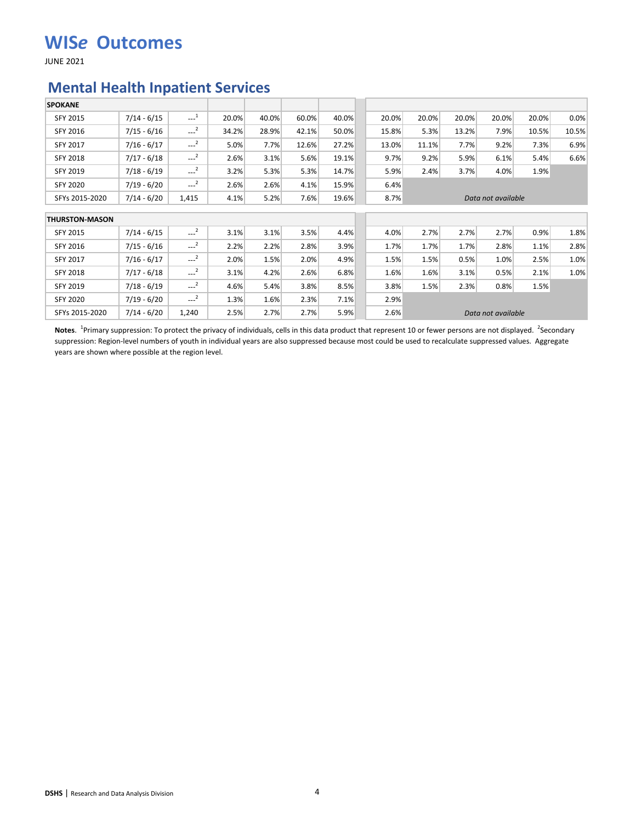JUNE 2021

#### **Mental Health Inpatient Services**

| <b>SPOKANE</b>        |               |                                              |       |       |       |       |       |       |       |                    |       |       |
|-----------------------|---------------|----------------------------------------------|-------|-------|-------|-------|-------|-------|-------|--------------------|-------|-------|
| <b>SFY 2015</b>       | $7/14 - 6/15$ | $\begin{smallmatrix} &1\\&\end{smallmatrix}$ | 20.0% | 40.0% | 60.0% | 40.0% | 20.0% | 20.0% | 20.0% | 20.0%              | 20.0% | 0.0%  |
| SFY 2016              | $7/15 - 6/16$ | $\sim$ <sup>2</sup>                          | 34.2% | 28.9% | 42.1% | 50.0% | 15.8% | 5.3%  | 13.2% | 7.9%               | 10.5% | 10.5% |
| SFY 2017              | $7/16 - 6/17$ | $-2$                                         | 5.0%  | 7.7%  | 12.6% | 27.2% | 13.0% | 11.1% | 7.7%  | 9.2%               | 7.3%  | 6.9%  |
| <b>SFY 2018</b>       | $7/17 - 6/18$ | $-2$                                         | 2.6%  | 3.1%  | 5.6%  | 19.1% | 9.7%  | 9.2%  | 5.9%  | 6.1%               | 5.4%  | 6.6%  |
| <b>SFY 2019</b>       | $7/18 - 6/19$ | $-2$                                         | 3.2%  | 5.3%  | 5.3%  | 14.7% | 5.9%  | 2.4%  | 3.7%  | 4.0%               | 1.9%  |       |
| SFY 2020              | $7/19 - 6/20$ | $-2$                                         | 2.6%  | 2.6%  | 4.1%  | 15.9% | 6.4%  |       |       |                    |       |       |
| SFYs 2015-2020        | $7/14 - 6/20$ | 1,415                                        | 4.1%  | 5.2%  | 7.6%  | 19.6% | 8.7%  |       |       | Data not available |       |       |
| <b>THURSTON-MASON</b> |               |                                              |       |       |       |       |       |       |       |                    |       |       |
| <b>SFY 2015</b>       | $7/14 - 6/15$ | $---2$                                       | 3.1%  | 3.1%  | 3.5%  | 4.4%  | 4.0%  | 2.7%  | 2.7%  | 2.7%               | 0.9%  | 1.8%  |
| SFY 2016              | $7/15 - 6/16$ | $\sim$ <sup>2</sup>                          | 2.2%  | 2.2%  | 2.8%  | 3.9%  | 1.7%  | 1.7%  | 1.7%  | 2.8%               | 1.1%  | 2.8%  |
| SFY 2017              | $7/16 - 6/17$ | $---2$                                       | 2.0%  | 1.5%  | 2.0%  | 4.9%  | 1.5%  | 1.5%  | 0.5%  | 1.0%               | 2.5%  | 1.0%  |
| SFY 2018              | $7/17 - 6/18$ | $-2$                                         | 3.1%  | 4.2%  | 2.6%  | 6.8%  | 1.6%  | 1.6%  | 3.1%  | 0.5%               | 2.1%  | 1.0%  |
| SFY 2019              | $7/18 - 6/19$ | $---2$                                       | 4.6%  | 5.4%  | 3.8%  | 8.5%  | 3.8%  | 1.5%  | 2.3%  | 0.8%               | 1.5%  |       |
| <b>SFY 2020</b>       | $7/19 - 6/20$ | $-2$                                         | 1.3%  | 1.6%  | 2.3%  | 7.1%  | 2.9%  |       |       |                    |       |       |
| SFYs 2015-2020        | $7/14 - 6/20$ | 1,240                                        | 2.5%  | 2.7%  | 2.7%  | 5.9%  | 2.6%  |       |       | Data not available |       |       |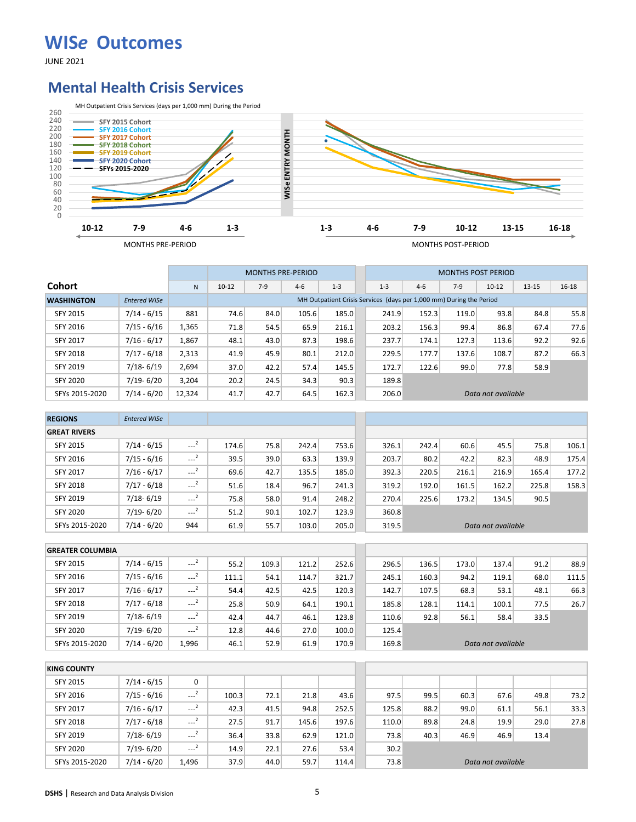JUNE 2021

#### **Mental Health Crisis Services**



|                   |                     |        |           | <b>MONTHS PRE-PERIOD</b> |         |         |         |       | <b>MONTHS POST PERIOD</b>                                           |                    |           |           |
|-------------------|---------------------|--------|-----------|--------------------------|---------|---------|---------|-------|---------------------------------------------------------------------|--------------------|-----------|-----------|
| <b>Cohort</b>     |                     | N      | $10 - 12$ | $7-9$                    | $4 - 6$ | $1 - 3$ | $1 - 3$ | $4-6$ | $7-9$                                                               | $10 - 12$          | $13 - 15$ | $16 - 18$ |
| <b>WASHINGTON</b> | <b>Entered WISe</b> |        |           |                          |         |         |         |       | MH Outpatient Crisis Services (days per 1,000 mm) During the Period |                    |           |           |
| <b>SFY 2015</b>   | $7/14 - 6/15$       | 881    | 74.6      | 84.0                     | 105.6   | 185.0   | 241.9   | 152.3 | 119.0                                                               | 93.8               | 84.8      | 55.8      |
| SFY 2016          | $7/15 - 6/16$       | 1,365  | 71.8      | 54.5                     | 65.9    | 216.1   | 203.2   | 156.3 | 99.4                                                                | 86.8               | 67.4      | 77.6      |
| <b>SFY 2017</b>   | $7/16 - 6/17$       | 1.867  | 48.1      | 43.0                     | 87.3    | 198.6   | 237.7   | 174.1 | 127.3                                                               | 113.6              | 92.2      | 92.6      |
| SFY 2018          | $7/17 - 6/18$       | 2,313  | 41.9      | 45.9                     | 80.1    | 212.0   | 229.5   | 177.7 | 137.6                                                               | 108.7              | 87.2      | 66.3      |
| SFY 2019          | $7/18 - 6/19$       | 2,694  | 37.0      | 42.2                     | 57.4    | 145.5   | 172.7   | 122.6 | 99.0                                                                | 77.8               | 58.9      |           |
| <b>SFY 2020</b>   | $7/19 - 6/20$       | 3.204  | 20.2      | 24.5                     | 34.3    | 90.3    | 189.8   |       |                                                                     |                    |           |           |
| SFYs 2015-2020    | $7/14 - 6/20$       | 12,324 | 41.7      | 42.7                     | 64.5    | 162.3   | 206.0   |       |                                                                     | Data not available |           |           |

| <b>REGIONS</b>      | <b>Entered WISe</b> |                     |       |      |       |       |       |       |       |                    |       |       |
|---------------------|---------------------|---------------------|-------|------|-------|-------|-------|-------|-------|--------------------|-------|-------|
| <b>GREAT RIVERS</b> |                     |                     |       |      |       |       |       |       |       |                    |       |       |
| <b>SFY 2015</b>     | $7/14 - 6/15$       | $\sim$ <sup>2</sup> | 174.6 | 75.8 | 242.4 | 753.6 | 326.1 | 242.4 | 60.6  | 45.5               | 75.8  | 106.1 |
| <b>SFY 2016</b>     | $7/15 - 6/16$       | $---2$              | 39.5  | 39.0 | 63.3  | 139.9 | 203.7 | 80.2  | 42.2  | 82.3               | 48.9  | 175.4 |
| <b>SFY 2017</b>     | $7/16 - 6/17$       | $\sim$ <sup>2</sup> | 69.6  | 42.7 | 135.5 | 185.0 | 392.3 | 220.5 | 216.1 | 216.9              | 165.4 | 177.2 |
| <b>SFY 2018</b>     | $7/17 - 6/18$       | $\sim$ <sup>2</sup> | 51.6  | 18.4 | 96.7  | 241.3 | 319.2 | 192.0 | 161.5 | 162.2              | 225.8 | 158.3 |
| <b>SFY 2019</b>     | $7/18 - 6/19$       | $\sim$ <sup>2</sup> | 75.8  | 58.0 | 91.4  | 248.2 | 270.4 | 225.6 | 173.2 | 134.5              | 90.5  |       |
| <b>SFY 2020</b>     | 7/19-6/20           | $\sim$ <sup>2</sup> | 51.2  | 90.1 | 102.7 | 123.9 | 360.8 |       |       |                    |       |       |
| SFYs 2015-2020      | $7/14 - 6/20$       | 944                 | 61.9  | 55.7 | 103.0 | 205.0 | 319.5 |       |       | Data not available |       |       |

| <b>GREATER COLUMBIA</b> |               |                     |       |       |       |       |       |       |       |                    |      |       |
|-------------------------|---------------|---------------------|-------|-------|-------|-------|-------|-------|-------|--------------------|------|-------|
| <b>SFY 2015</b>         | $7/14 - 6/15$ | $\sim$ <sup>2</sup> | 55.2  | 109.3 | 121.2 | 252.6 | 296.5 | 136.5 | 173.0 | 137.4              | 91.2 | 88.9  |
| SFY 2016                | $7/15 - 6/16$ | $\sim$ <sup>2</sup> | 111.1 | 54.1  | 114.7 | 321.7 | 245.1 | 160.3 | 94.2  | 119.1              | 68.0 | 111.5 |
| <b>SFY 2017</b>         | $7/16 - 6/17$ | $---2$              | 54.4  | 42.5  | 42.5  | 120.3 | 142.7 | 107.5 | 68.3  | 53.1               | 48.1 | 66.3  |
| <b>SFY 2018</b>         | $7/17 - 6/18$ | $\cdots$            | 25.8  | 50.9  | 64.1  | 190.1 | 185.8 | 128.1 | 114.1 | 100.1              | 77.5 | 26.7  |
| SFY 2019                | $7/18 - 6/19$ | $---2$              | 42.4  | 44.7  | 46.1  | 123.8 | 110.6 | 92.8  | 56.1  | 58.4               | 33.5 |       |
| <b>SFY 2020</b>         | $7/19 - 6/20$ | $---2$              | 12.8  | 44.6  | 27.0  | 100.0 | 125.4 |       |       |                    |      |       |
| SFYs 2015-2020          | $7/14 - 6/20$ | 1.996               | 46.1  | 52.9  | 61.9  | 170.9 | 169.8 |       |       | Data not available |      |       |

| <b>KING COUNTY</b> |               |                     |       |      |       |       |       |      |      |                    |      |      |
|--------------------|---------------|---------------------|-------|------|-------|-------|-------|------|------|--------------------|------|------|
| SFY 2015           | $7/14 - 6/15$ | 0                   |       |      |       |       |       |      |      |                    |      |      |
| SFY 2016           | $7/15 - 6/16$ | $\sim$ <sup>2</sup> | 100.3 | 72.1 | 21.8  | 43.6  | 97.5  | 99.5 | 60.3 | 67.6               | 49.8 | 73.2 |
| <b>SFY 2017</b>    | $7/16 - 6/17$ | $\sim$ <sup>2</sup> | 42.3  | 41.5 | 94.8  | 252.5 | 125.8 | 88.2 | 99.0 | 61.1               | 56.1 | 33.3 |
| <b>SFY 2018</b>    | $7/17 - 6/18$ | $\sim$ <sup>2</sup> | 27.5  | 91.7 | 145.6 | 197.6 | 110.0 | 89.8 | 24.8 | 19.9               | 29.0 | 27.8 |
| SFY 2019           | $7/18 - 6/19$ | $---2$              | 36.4  | 33.8 | 62.9  | 121.0 | 73.8  | 40.3 | 46.9 | 46.9               | 13.4 |      |
| <b>SFY 2020</b>    | $7/19 - 6/20$ | $-2$                | 14.9  | 22.1 | 27.6  | 53.4  | 30.2  |      |      |                    |      |      |
| SFYs 2015-2020     | $7/14 - 6/20$ | 1,496               | 37.9  | 44.0 | 59.7  | 114.4 | 73.8  |      |      | Data not available |      |      |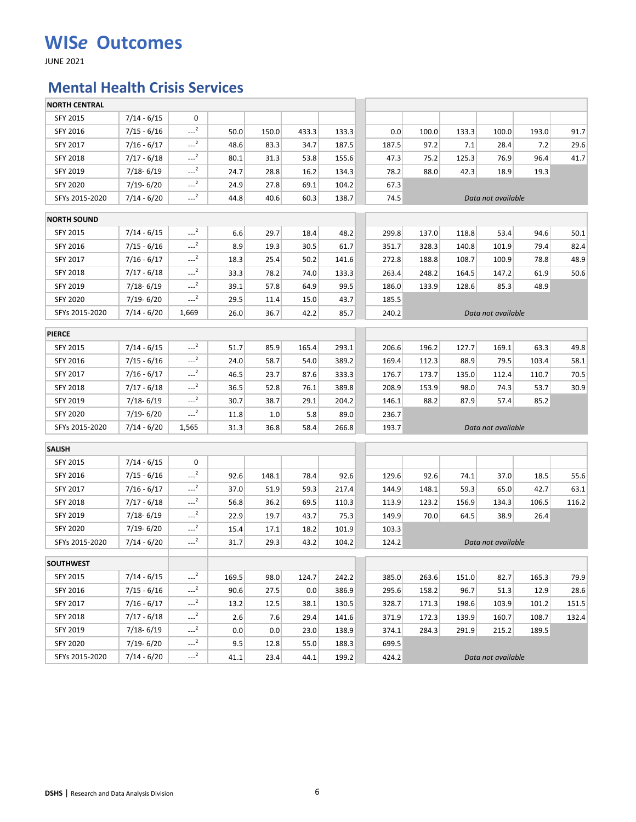JUNE 2021

### **Mental Health Crisis Services**

| <b>NORTH CENTRAL</b> |               |                     |       |       |       |       |       |       |       |                    |       |       |
|----------------------|---------------|---------------------|-------|-------|-------|-------|-------|-------|-------|--------------------|-------|-------|
| <b>SFY 2015</b>      | $7/14 - 6/15$ | 0                   |       |       |       |       |       |       |       |                    |       |       |
| SFY 2016             | $7/15 - 6/16$ | $-2$                | 50.0  | 150.0 | 433.3 | 133.3 | 0.0   | 100.0 | 133.3 | 100.0              | 193.0 | 91.7  |
| SFY 2017             | $7/16 - 6/17$ | $-2$                | 48.6  | 83.3  | 34.7  | 187.5 | 187.5 | 97.2  | 7.1   | 28.4               | 7.2   | 29.6  |
| SFY 2018             | $7/17 - 6/18$ | $-2$                | 80.1  | 31.3  | 53.8  | 155.6 | 47.3  | 75.2  | 125.3 | 76.9               | 96.4  | 41.7  |
| <b>SFY 2019</b>      | $7/18 - 6/19$ | $-2$                | 24.7  | 28.8  | 16.2  | 134.3 | 78.2  | 88.0  | 42.3  | 18.9               | 19.3  |       |
| <b>SFY 2020</b>      | 7/19-6/20     | $-2$                | 24.9  | 27.8  | 69.1  | 104.2 | 67.3  |       |       |                    |       |       |
| SFYs 2015-2020       | $7/14 - 6/20$ | $-2$                | 44.8  | 40.6  | 60.3  | 138.7 | 74.5  |       |       | Data not available |       |       |
| <b>NORTH SOUND</b>   |               |                     |       |       |       |       |       |       |       |                    |       |       |
| SFY 2015             | $7/14 - 6/15$ | $-2$                | 6.6   | 29.7  | 18.4  | 48.2  | 299.8 | 137.0 | 118.8 | 53.4               | 94.6  | 50.1  |
| SFY 2016             | $7/15 - 6/16$ | $-2$                | 8.9   | 19.3  | 30.5  | 61.7  | 351.7 | 328.3 | 140.8 | 101.9              | 79.4  | 82.4  |
| SFY 2017             | $7/16 - 6/17$ | $-2$                | 18.3  | 25.4  | 50.2  | 141.6 | 272.8 | 188.8 | 108.7 | 100.9              | 78.8  | 48.9  |
| <b>SFY 2018</b>      | $7/17 - 6/18$ | $-2$                | 33.3  | 78.2  | 74.0  | 133.3 | 263.4 | 248.2 | 164.5 | 147.2              | 61.9  | 50.6  |
| SFY 2019             | $7/18 - 6/19$ | $-2$                | 39.1  | 57.8  | 64.9  | 99.5  | 186.0 | 133.9 | 128.6 | 85.3               | 48.9  |       |
| <b>SFY 2020</b>      | 7/19-6/20     | $-2$                | 29.5  | 11.4  | 15.0  | 43.7  | 185.5 |       |       |                    |       |       |
| SFYs 2015-2020       | $7/14 - 6/20$ | 1,669               | 26.0  | 36.7  | 42.2  | 85.7  | 240.2 |       |       | Data not available |       |       |
| <b>PIERCE</b>        |               |                     |       |       |       |       |       |       |       |                    |       |       |
| <b>SFY 2015</b>      | $7/14 - 6/15$ | $-2$                | 51.7  | 85.9  | 165.4 | 293.1 | 206.6 | 196.2 | 127.7 | 169.1              | 63.3  | 49.8  |
| SFY 2016             | $7/15 - 6/16$ | $-2$                | 24.0  | 58.7  | 54.0  | 389.2 | 169.4 | 112.3 | 88.9  | 79.5               | 103.4 | 58.1  |
| SFY 2017             | $7/16 - 6/17$ | $-2$                | 46.5  | 23.7  | 87.6  | 333.3 | 176.7 | 173.7 | 135.0 | 112.4              | 110.7 | 70.5  |
| <b>SFY 2018</b>      | $7/17 - 6/18$ | $\sim$ <sup>2</sup> | 36.5  | 52.8  | 76.1  | 389.8 | 208.9 | 153.9 | 98.0  | 74.3               | 53.7  | 30.9  |
| SFY 2019             | 7/18-6/19     | $-2$                | 30.7  | 38.7  | 29.1  | 204.2 | 146.1 | 88.2  | 87.9  | 57.4               | 85.2  |       |
| <b>SFY 2020</b>      | 7/19-6/20     | $-2$                | 11.8  | 1.0   | 5.8   | 89.0  | 236.7 |       |       |                    |       |       |
| SFYs 2015-2020       | $7/14 - 6/20$ | 1,565               | 31.3  | 36.8  | 58.4  | 266.8 | 193.7 |       |       | Data not available |       |       |
| <b>SALISH</b>        |               |                     |       |       |       |       |       |       |       |                    |       |       |
| SFY 2015             | $7/14 - 6/15$ | 0                   |       |       |       |       |       |       |       |                    |       |       |
| SFY 2016             | $7/15 - 6/16$ | $-2$                | 92.6  | 148.1 | 78.4  | 92.6  | 129.6 | 92.6  | 74.1  | 37.0               | 18.5  | 55.6  |
| SFY 2017             | $7/16 - 6/17$ | $---2$              | 37.0  | 51.9  | 59.3  | 217.4 | 144.9 | 148.1 | 59.3  | 65.0               | 42.7  | 63.1  |
| <b>SFY 2018</b>      | $7/17 - 6/18$ | $-2$                | 56.8  | 36.2  | 69.5  | 110.3 | 113.9 | 123.2 | 156.9 | 134.3              | 106.5 | 116.2 |
| SFY 2019             | $7/18 - 6/19$ | $-2$                | 22.9  | 19.7  | 43.7  | 75.3  | 149.9 | 70.0  | 64.5  | 38.9               | 26.4  |       |
| <b>SFY 2020</b>      | 7/19-6/20     | $-2$                | 15.4  | 17.1  | 18.2  | 101.9 | 103.3 |       |       |                    |       |       |
| SFYs 2015-2020       | $7/14 - 6/20$ | $-2$                | 31.7  | 29.3  | 43.2  | 104.2 | 124.2 |       |       | Data not available |       |       |
|                      |               |                     |       |       |       |       |       |       |       |                    |       |       |
| <b>SOUTHWEST</b>     |               |                     |       |       |       |       |       |       |       |                    |       |       |
| SFY 2015             | $7/14 - 6/15$ | $-2$                | 169.5 | 98.0  | 124.7 | 242.2 | 385.0 | 263.6 | 151.0 | 82.7               | 165.3 | 79.9  |
| SFY 2016             | 7/15 - 6/16   | $-2$                | 90.6  | 27.5  | 0.0   | 386.9 | 295.6 | 158.2 | 96.7  | 51.3               | 12.9  | 28.6  |
| SFY 2017             | $7/16 - 6/17$ | $-2$                | 13.2  | 12.5  | 38.1  | 130.5 | 328.7 | 171.3 | 198.6 | 103.9              | 101.2 | 151.5 |
| SFY 2018             | $7/17 - 6/18$ | $-2$                | 2.6   | 7.6   | 29.4  | 141.6 | 371.9 | 172.3 | 139.9 | 160.7              | 108.7 | 132.4 |
| SFY 2019             | 7/18-6/19     | $-2$                | 0.0   | 0.0   | 23.0  | 138.9 | 374.1 | 284.3 | 291.9 | 215.2              | 189.5 |       |
| <b>SFY 2020</b>      | 7/19-6/20     | $---2$              | 9.5   | 12.8  | 55.0  | 188.3 | 699.5 |       |       |                    |       |       |
| SFYs 2015-2020       | $7/14 - 6/20$ | $-2$                | 41.1  | 23.4  | 44.1  | 199.2 | 424.2 |       |       | Data not available |       |       |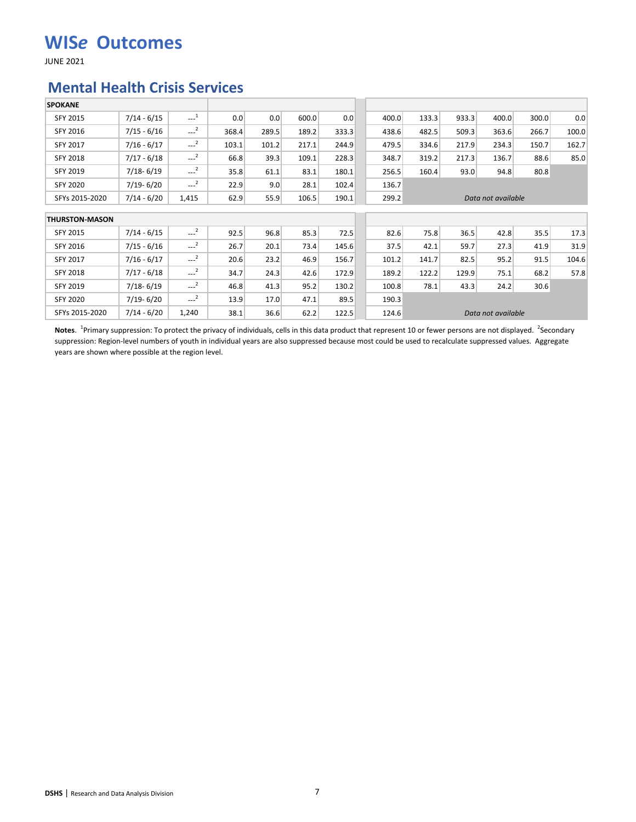JUNE 2021

#### **Mental Health Crisis Services**

| <b>SPOKANE</b>        |               |                     |       |       |       |       |       |       |       |                    |       |       |
|-----------------------|---------------|---------------------|-------|-------|-------|-------|-------|-------|-------|--------------------|-------|-------|
| <b>SFY 2015</b>       | $7/14 - 6/15$ | $\sim$ <sup>1</sup> | 0.0   | 0.0   | 600.0 | 0.0   | 400.0 | 133.3 | 933.3 | 400.0              | 300.0 | 0.0   |
| SFY 2016              | $7/15 - 6/16$ | $\sim$ <sup>2</sup> | 368.4 | 289.5 | 189.2 | 333.3 | 438.6 | 482.5 | 509.3 | 363.6              | 266.7 | 100.0 |
| SFY 2017              | $7/16 - 6/17$ | $---2$              | 103.1 | 101.2 | 217.1 | 244.9 | 479.5 | 334.6 | 217.9 | 234.3              | 150.7 | 162.7 |
| <b>SFY 2018</b>       | $7/17 - 6/18$ | $---2$              | 66.8  | 39.3  | 109.1 | 228.3 | 348.7 | 319.2 | 217.3 | 136.7              | 88.6  | 85.0  |
| <b>SFY 2019</b>       | $7/18 - 6/19$ | $-2$                | 35.8  | 61.1  | 83.1  | 180.1 | 256.5 | 160.4 | 93.0  | 94.8               | 80.8  |       |
| SFY 2020              | $7/19 - 6/20$ | $-2$                | 22.9  | 9.0   | 28.1  | 102.4 | 136.7 |       |       |                    |       |       |
| SFYs 2015-2020        | $7/14 - 6/20$ | 1,415               | 62.9  | 55.9  | 106.5 | 190.1 | 299.2 |       |       | Data not available |       |       |
| <b>THURSTON-MASON</b> |               |                     |       |       |       |       |       |       |       |                    |       |       |
| <b>SFY 2015</b>       | $7/14 - 6/15$ | $---2$              | 92.5  | 96.8  | 85.3  | 72.5  | 82.6  | 75.8  | 36.5  | 42.8               | 35.5  | 17.3  |
| SFY 2016              | $7/15 - 6/16$ | $\sim$ <sup>2</sup> | 26.7  | 20.1  | 73.4  | 145.6 | 37.5  | 42.1  | 59.7  | 27.3               | 41.9  | 31.9  |
| <b>SFY 2017</b>       | $7/16 - 6/17$ | $-2$                | 20.6  | 23.2  | 46.9  | 156.7 | 101.2 | 141.7 | 82.5  | 95.2               | 91.5  | 104.6 |
| SFY 2018              | $7/17 - 6/18$ | $---2$              | 34.7  | 24.3  | 42.6  | 172.9 | 189.2 | 122.2 | 129.9 | 75.1               | 68.2  | 57.8  |
| SFY 2019              | $7/18 - 6/19$ | $-2$                | 46.8  | 41.3  | 95.2  | 130.2 | 100.8 | 78.1  | 43.3  | 24.2               | 30.6  |       |
| SFY 2020              | $7/19 - 6/20$ | $-2$                | 13.9  | 17.0  | 47.1  | 89.5  | 190.3 |       |       |                    |       |       |
| SFYs 2015-2020        | $7/14 - 6/20$ | 1,240               | 38.1  | 36.6  | 62.2  | 122.5 | 124.6 |       |       | Data not available |       |       |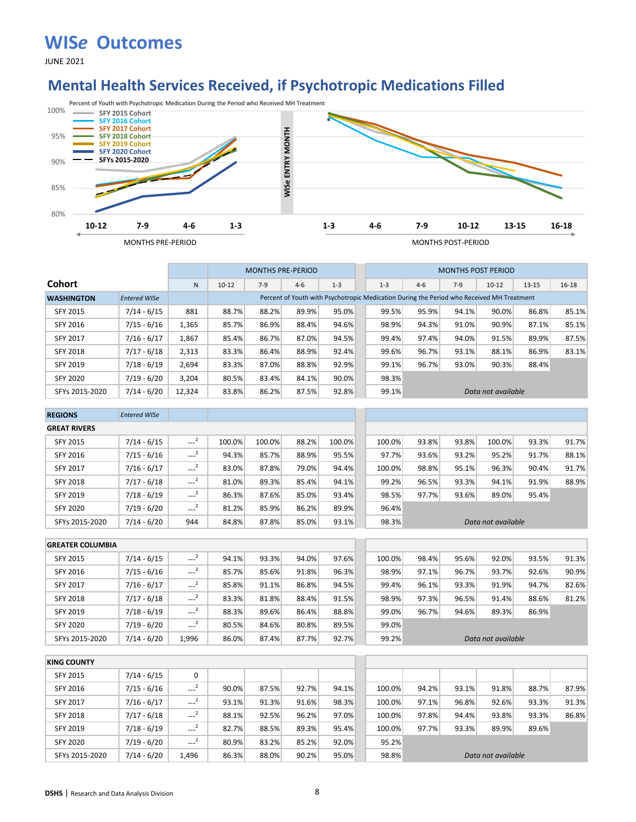JUNE 2021

### **Mental Health Services Received, if Psychotropic Medications Filled**



|                   |                     |              |           |       | <b>MONTHS PRE-PERIOD</b>                                                                  |         |         |         | <b>MONTHS POST PERIOD</b> |                    |           |           |
|-------------------|---------------------|--------------|-----------|-------|-------------------------------------------------------------------------------------------|---------|---------|---------|---------------------------|--------------------|-----------|-----------|
| Cohort            |                     | $\mathsf{N}$ | $10 - 12$ | $7-9$ | $4-6$                                                                                     | $1 - 3$ | $1 - 3$ | $4 - 6$ | $7-9$                     | $10-12$            | $13 - 15$ | $16 - 18$ |
| <b>WASHINGTON</b> | <b>Entered WISe</b> |              |           |       | Percent of Youth with Psychotropic Medication During the Period who Received MH Treatment |         |         |         |                           |                    |           |           |
| <b>SFY 2015</b>   | $7/14 - 6/15$       | 881          | 88.7%     | 88.2% | 89.9%                                                                                     | 95.0%   | 99.5%   | 95.9%   | 94.1%                     | 90.0%              | 86.8%     | 85.1%     |
| SFY 2016          | $7/15 - 6/16$       | 1,365        | 85.7%     | 86.9% | 88.4%                                                                                     | 94.6%   | 98.9%   | 94.3%   | 91.0%                     | 90.9%              | 87.1%     | 85.1%     |
| <b>SFY 2017</b>   | $7/16 - 6/17$       | 1,867        | 85.4%     | 86.7% | 87.0%                                                                                     | 94.5%   | 99.4%   | 97.4%   | 94.0%                     | 91.5%              | 89.9%     | 87.5%     |
| <b>SFY 2018</b>   | $7/17 - 6/18$       | 2,313        | 83.3%     | 86.4% | 88.9%                                                                                     | 92.4%   | 99.6%   | 96.7%   | 93.1%                     | 88.1%              | 86.9%     | 83.1%     |
| SFY 2019          | $7/18 - 6/19$       | 2.694        | 83.3%     | 87.0% | 88.8%                                                                                     | 92.9%   | 99.1%   | 96.7%   | 93.0%                     | 90.3%              | 88.4%     |           |
| <b>SFY 2020</b>   | $7/19 - 6/20$       | 3.204        | 80.5%     | 83.4% | 84.1%                                                                                     | 90.0%   | 98.3%   |         |                           |                    |           |           |
| SFYs 2015-2020    | $7/14 - 6/20$       | 12,324       | 83.8%     | 86.2% | 87.5%                                                                                     | 92.8%   | 99.1%   |         |                           | Data not available |           |           |

| <b>REGIONS</b>      | <b>Entered WISe</b> |                     |        |        |       |        |        |       |       |                    |       |       |
|---------------------|---------------------|---------------------|--------|--------|-------|--------|--------|-------|-------|--------------------|-------|-------|
| <b>GREAT RIVERS</b> |                     |                     |        |        |       |        |        |       |       |                    |       |       |
| <b>SFY 2015</b>     | $7/14 - 6/15$       | $\sim$ <sup>2</sup> | 100.0% | 100.0% | 88.2% | 100.0% | 100.0% | 93.8% | 93.8% | 100.0%             | 93.3% | 91.7% |
| SFY 2016            | $7/15 - 6/16$       | $\sim$ <sup>2</sup> | 94.3%  | 85.7%  | 88.9% | 95.5%  | 97.7%  | 93.6% | 93.2% | 95.2%              | 91.7% | 88.1% |
| <b>SFY 2017</b>     | $7/16 - 6/17$       | $---2$              | 83.0%  | 87.8%  | 79.0% | 94.4%  | 100.0% | 98.8% | 95.1% | 96.3%              | 90.4% | 91.7% |
| <b>SFY 2018</b>     | $7/17 - 6/18$       | $\sim$ <sup>2</sup> | 81.0%  | 89.3%  | 85.4% | 94.1%  | 99.2%  | 96.5% | 93.3% | 94.1%              | 91.9% | 88.9% |
| <b>SFY 2019</b>     | $7/18 - 6/19$       | $\sim$ <sup>2</sup> | 86.3%  | 87.6%  | 85.0% | 93.4%  | 98.5%  | 97.7% | 93.6% | 89.0%              | 95.4% |       |
| <b>SFY 2020</b>     | $7/19 - 6/20$       | $\sim$ <sup>2</sup> | 81.2%  | 85.9%  | 86.2% | 89.9%  | 96.4%  |       |       |                    |       |       |
| SFYs 2015-2020      | 7/14 - 6/20         | 944                 | 84.8%  | 87.8%  | 85.0% | 93.1%  | 98.3%  |       |       | Data not available |       |       |

| <b>GREATER COLUMBIA</b> |               |                     |       |       |       |       |        |       |       |                    |       |       |
|-------------------------|---------------|---------------------|-------|-------|-------|-------|--------|-------|-------|--------------------|-------|-------|
| <b>SFY 2015</b>         | $7/14 - 6/15$ | $---2$              | 94.1% | 93.3% | 94.0% | 97.6% | 100.0% | 98.4% | 95.6% | 92.0%              | 93.5% | 91.3% |
| SFY 2016                | $7/15 - 6/16$ | $-2$                | 85.7% | 85.6% | 91.8% | 96.3% | 98.9%  | 97.1% | 96.7% | 93.7%              | 92.6% | 90.9% |
| <b>SFY 2017</b>         | $7/16 - 6/17$ | $\sim$ <sup>2</sup> | 85.8% | 91.1% | 86.8% | 94.5% | 99.4%  | 96.1% | 93.3% | 91.9%              | 94.7% | 82.6% |
| <b>SFY 2018</b>         | $7/17 - 6/18$ | $\sim$ <sup>2</sup> | 83.3% | 81.8% | 88.4% | 91.5% | 98.9%  | 97.3% | 96.5% | 91.4%              | 88.6% | 81.2% |
| SFY 2019                | $7/18 - 6/19$ | $-2$                | 88.3% | 89.6% | 86.4% | 88.8% | 99.0%  | 96.7% | 94.6% | 89.3%              | 86.9% |       |
| <b>SFY 2020</b>         | $7/19 - 6/20$ | $-2$                | 80.5% | 84.6% | 80.8% | 89.5% | 99.0%  |       |       |                    |       |       |
| SFYs 2015-2020          | $7/14 - 6/20$ | 1,996               | 86.0% | 87.4% | 87.7% | 92.7% | 99.2%  |       |       | Data not available |       |       |

| <b>KING COUNTY</b> |               |                     |       |       |       |       |        |       |       |                    |       |       |
|--------------------|---------------|---------------------|-------|-------|-------|-------|--------|-------|-------|--------------------|-------|-------|
| <b>SFY 2015</b>    | $7/14 - 6/15$ | 0                   |       |       |       |       |        |       |       |                    |       |       |
| SFY 2016           | $7/15 - 6/16$ | $-2$                | 90.0% | 87.5% | 92.7% | 94.1% | 100.0% | 94.2% | 93.1% | 91.8%              | 88.7% | 87.9% |
| <b>SFY 2017</b>    | $7/16 - 6/17$ | $\sim$ <sup>2</sup> | 93.1% | 91.3% | 91.6% | 98.3% | 100.0% | 97.1% | 96.8% | 92.6%              | 93.3% | 91.3% |
| <b>SFY 2018</b>    | $7/17 - 6/18$ | $---2$              | 88.1% | 92.5% | 96.2% | 97.0% | 100.0% | 97.8% | 94.4% | 93.8%              | 93.3% | 86.8% |
| <b>SFY 2019</b>    | $7/18 - 6/19$ | $-2$                | 82.7% | 88.5% | 89.3% | 95.4% | 100.0% | 97.7% | 93.3% | 89.9%              | 89.6% |       |
| <b>SFY 2020</b>    | $7/19 - 6/20$ | $\sim$ <sup>2</sup> | 80.9% | 83.2% | 85.2% | 92.0% | 95.2%  |       |       |                    |       |       |
| SFYs 2015-2020     | $7/14 - 6/20$ | 1,496               | 86.3% | 88.0% | 90.2% | 95.0% | 98.8%  |       |       | Data not available |       |       |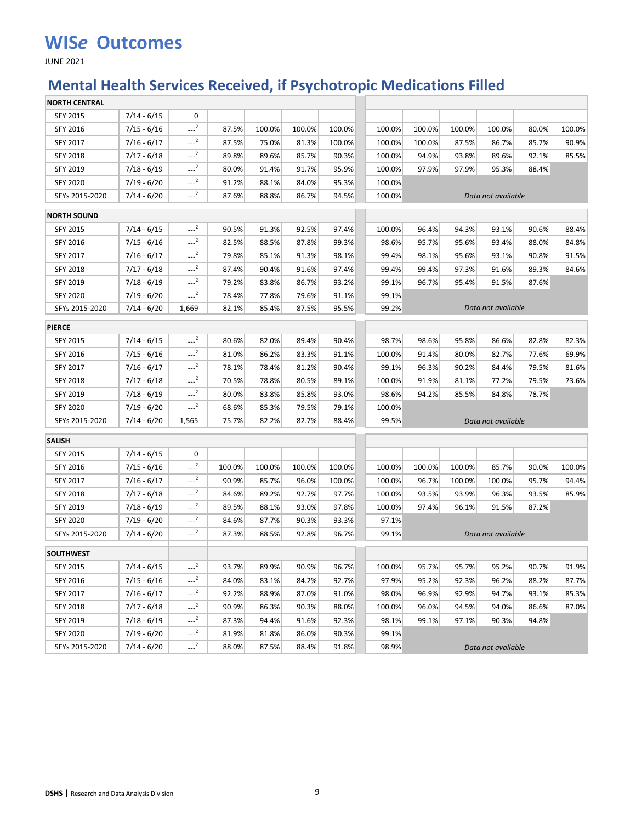JUNE 2021

## **Mental Health Services Received, if Psychotropic Medications Filled**

| <b>NORTH CENTRAL</b> |               |                     |        |        |        |        |        |        |        |                    |       |        |
|----------------------|---------------|---------------------|--------|--------|--------|--------|--------|--------|--------|--------------------|-------|--------|
| SFY 2015             | $7/14 - 6/15$ | 0                   |        |        |        |        |        |        |        |                    |       |        |
| SFY 2016             | $7/15 - 6/16$ | $-2$                | 87.5%  | 100.0% | 100.0% | 100.0% | 100.0% | 100.0% | 100.0% | 100.0%             | 80.0% | 100.0% |
| SFY 2017             | $7/16 - 6/17$ | $---2$              | 87.5%  | 75.0%  | 81.3%  | 100.0% | 100.0% | 100.0% | 87.5%  | 86.7%              | 85.7% | 90.9%  |
| SFY 2018             | $7/17 - 6/18$ | $-2$                | 89.8%  | 89.6%  | 85.7%  | 90.3%  | 100.0% | 94.9%  | 93.8%  | 89.6%              | 92.1% | 85.5%  |
| SFY 2019             | $7/18 - 6/19$ | $---2$              | 80.0%  | 91.4%  | 91.7%  | 95.9%  | 100.0% | 97.9%  | 97.9%  | 95.3%              | 88.4% |        |
| <b>SFY 2020</b>      | 7/19 - 6/20   | $-2$                | 91.2%  | 88.1%  | 84.0%  | 95.3%  | 100.0% |        |        |                    |       |        |
| SFYs 2015-2020       | $7/14 - 6/20$ | $\sim$ <sup>2</sup> | 87.6%  | 88.8%  | 86.7%  | 94.5%  | 100.0% |        |        | Data not available |       |        |
| <b>NORTH SOUND</b>   |               |                     |        |        |        |        |        |        |        |                    |       |        |
| <b>SFY 2015</b>      | $7/14 - 6/15$ | $-2$                | 90.5%  | 91.3%  | 92.5%  | 97.4%  | 100.0% | 96.4%  | 94.3%  | 93.1%              | 90.6% | 88.4%  |
| SFY 2016             | $7/15 - 6/16$ | $---2$              | 82.5%  | 88.5%  | 87.8%  | 99.3%  | 98.6%  | 95.7%  | 95.6%  | 93.4%              | 88.0% | 84.8%  |
| SFY 2017             | $7/16 - 6/17$ | $-2$                | 79.8%  | 85.1%  | 91.3%  | 98.1%  | 99.4%  | 98.1%  | 95.6%  | 93.1%              | 90.8% | 91.5%  |
| SFY 2018             | $7/17 - 6/18$ | $-2$                | 87.4%  | 90.4%  | 91.6%  | 97.4%  | 99.4%  | 99.4%  | 97.3%  | 91.6%              | 89.3% | 84.6%  |
| SFY 2019             | $7/18 - 6/19$ | $---2$              | 79.2%  | 83.8%  | 86.7%  | 93.2%  | 99.1%  | 96.7%  | 95.4%  | 91.5%              | 87.6% |        |
| <b>SFY 2020</b>      | $7/19 - 6/20$ | $---2$              | 78.4%  | 77.8%  | 79.6%  | 91.1%  | 99.1%  |        |        |                    |       |        |
| SFYs 2015-2020       | $7/14 - 6/20$ | 1,669               | 82.1%  | 85.4%  | 87.5%  | 95.5%  | 99.2%  |        |        | Data not available |       |        |
| <b>PIERCE</b>        |               |                     |        |        |        |        |        |        |        |                    |       |        |
| <b>SFY 2015</b>      | $7/14 - 6/15$ | $-2$                | 80.6%  | 82.0%  | 89.4%  | 90.4%  | 98.7%  | 98.6%  | 95.8%  | 86.6%              | 82.8% | 82.3%  |
| <b>SFY 2016</b>      | $7/15 - 6/16$ | $-2$                | 81.0%  | 86.2%  | 83.3%  | 91.1%  | 100.0% | 91.4%  | 80.0%  | 82.7%              | 77.6% | 69.9%  |
| SFY 2017             | $7/16 - 6/17$ | $---2$              | 78.1%  | 78.4%  | 81.2%  | 90.4%  | 99.1%  | 96.3%  | 90.2%  | 84.4%              | 79.5% | 81.6%  |
| <b>SFY 2018</b>      | $7/17 - 6/18$ | $\sim$ <sup>2</sup> | 70.5%  | 78.8%  | 80.5%  | 89.1%  | 100.0% | 91.9%  | 81.1%  | 77.2%              | 79.5% | 73.6%  |
| SFY 2019             | $7/18 - 6/19$ | $-2$                | 80.0%  | 83.8%  | 85.8%  | 93.0%  | 98.6%  | 94.2%  | 85.5%  | 84.8%              | 78.7% |        |
| <b>SFY 2020</b>      | $7/19 - 6/20$ | $-2$                | 68.6%  | 85.3%  | 79.5%  | 79.1%  | 100.0% |        |        |                    |       |        |
| SFYs 2015-2020       | $7/14 - 6/20$ | 1,565               | 75.7%  | 82.2%  | 82.7%  | 88.4%  | 99.5%  |        |        | Data not available |       |        |
| <b>SALISH</b>        |               |                     |        |        |        |        |        |        |        |                    |       |        |
| SFY 2015             | $7/14 - 6/15$ | 0                   |        |        |        |        |        |        |        |                    |       |        |
| SFY 2016             | $7/15 - 6/16$ | $-2$                | 100.0% | 100.0% | 100.0% | 100.0% | 100.0% | 100.0% | 100.0% | 85.7%              | 90.0% | 100.0% |
| SFY 2017             | $7/16 - 6/17$ | $-2$                | 90.9%  | 85.7%  | 96.0%  | 100.0% | 100.0% | 96.7%  | 100.0% | 100.0%             | 95.7% | 94.4%  |
| <b>SFY 2018</b>      | $7/17 - 6/18$ | $---2$              | 84.6%  | 89.2%  | 92.7%  | 97.7%  | 100.0% | 93.5%  | 93.9%  | 96.3%              | 93.5% | 85.9%  |
| <b>SFY 2019</b>      | $7/18 - 6/19$ | $---2$              | 89.5%  | 88.1%  | 93.0%  | 97.8%  | 100.0% | 97.4%  | 96.1%  | 91.5%              | 87.2% |        |
| <b>SFY 2020</b>      | $7/19 - 6/20$ | $-2$                | 84.6%  | 87.7%  | 90.3%  | 93.3%  | 97.1%  |        |        |                    |       |        |
| SFYs 2015-2020       | $7/14 - 6/20$ | $-2$                | 87.3%  | 88.5%  | 92.8%  | 96.7%  | 99.1%  |        |        | Data not available |       |        |
| <b>SOUTHWEST</b>     |               |                     |        |        |        |        |        |        |        |                    |       |        |
| <b>SFY 2015</b>      | $7/14 - 6/15$ | $-2$                | 93.7%  | 89.9%  | 90.9%  | 96.7%  | 100.0% | 95.7%  | 95.7%  | 95.2%              | 90.7% | 91.9%  |
| SFY 2016             | $7/15 - 6/16$ | $-2$                | 84.0%  | 83.1%  | 84.2%  | 92.7%  | 97.9%  | 95.2%  | 92.3%  | 96.2%              | 88.2% | 87.7%  |
| SFY 2017             | $7/16 - 6/17$ | $-2$                | 92.2%  | 88.9%  | 87.0%  | 91.0%  | 98.0%  | 96.9%  | 92.9%  | 94.7%              | 93.1% | 85.3%  |
| <b>SFY 2018</b>      | $7/17 - 6/18$ | $-2$                | 90.9%  | 86.3%  | 90.3%  | 88.0%  | 100.0% | 96.0%  | 94.5%  | 94.0%              | 86.6% | 87.0%  |
| SFY 2019             | $7/18 - 6/19$ | $-2$                | 87.3%  | 94.4%  | 91.6%  | 92.3%  | 98.1%  | 99.1%  | 97.1%  | 90.3%              | 94.8% |        |
| <b>SFY 2020</b>      | $7/19 - 6/20$ | $-2$                | 81.9%  | 81.8%  | 86.0%  | 90.3%  | 99.1%  |        |        |                    |       |        |
| SFYs 2015-2020       | $7/14 - 6/20$ | $--2$               | 88.0%  | 87.5%  | 88.4%  | 91.8%  | 98.9%  |        |        | Data not available |       |        |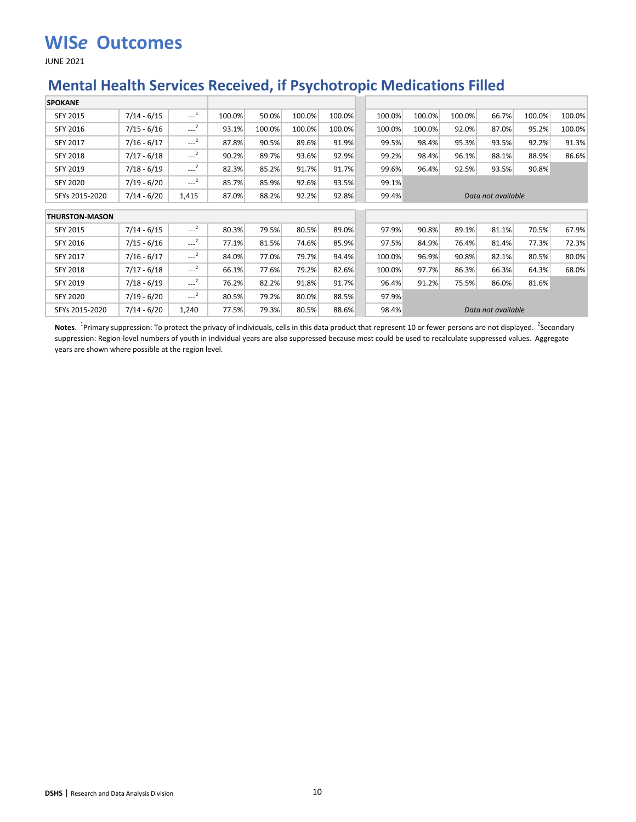JUNE 2021

### **Mental Health Services Received, if Psychotropic Medications Filled**

| <b>SPOKANE</b>        |               |                     |        |        |        |        |        |        |        |                    |        |        |
|-----------------------|---------------|---------------------|--------|--------|--------|--------|--------|--------|--------|--------------------|--------|--------|
| <b>SFY 2015</b>       | $7/14 - 6/15$ | $-1$                | 100.0% | 50.0%  | 100.0% | 100.0% | 100.0% | 100.0% | 100.0% | 66.7%              | 100.0% | 100.0% |
| SFY 2016              | $7/15 - 6/16$ | $-2$                | 93.1%  | 100.0% | 100.0% | 100.0% | 100.0% | 100.0% | 92.0%  | 87.0%              | 95.2%  | 100.0% |
| SFY 2017              | $7/16 - 6/17$ | $\sim$ <sup>2</sup> | 87.8%  | 90.5%  | 89.6%  | 91.9%  | 99.5%  | 98.4%  | 95.3%  | 93.5%              | 92.2%  | 91.3%  |
| <b>SFY 2018</b>       | $7/17 - 6/18$ | $\sim$ <sup>2</sup> | 90.2%  | 89.7%  | 93.6%  | 92.9%  | 99.2%  | 98.4%  | 96.1%  | 88.1%              | 88.9%  | 86.6%  |
| SFY 2019              | $7/18 - 6/19$ | $-2$                | 82.3%  | 85.2%  | 91.7%  | 91.7%  | 99.6%  | 96.4%  | 92.5%  | 93.5%              | 90.8%  |        |
| <b>SFY 2020</b>       | $7/19 - 6/20$ | $-2$                | 85.7%  | 85.9%  | 92.6%  | 93.5%  | 99.1%  |        |        |                    |        |        |
| SFYs 2015-2020        | $7/14 - 6/20$ | 1,415               | 87.0%  | 88.2%  | 92.2%  | 92.8%  | 99.4%  |        |        | Data not available |        |        |
| <b>THURSTON-MASON</b> |               |                     |        |        |        |        |        |        |        |                    |        |        |
| <b>SFY 2015</b>       | $7/14 - 6/15$ | $-2$                | 80.3%  | 79.5%  | 80.5%  | 89.0%  | 97.9%  | 90.8%  | 89.1%  | 81.1%              | 70.5%  | 67.9%  |
| SFY 2016              | $7/15 - 6/16$ | $-2$                | 77.1%  | 81.5%  | 74.6%  | 85.9%  | 97.5%  | 84.9%  | 76.4%  | 81.4%              | 77.3%  | 72.3%  |
| SFY 2017              | $7/16 - 6/17$ | $-2$                | 84.0%  | 77.0%  | 79.7%  | 94.4%  | 100.0% | 96.9%  | 90.8%  | 82.1%              | 80.5%  | 80.0%  |
| <b>SFY 2018</b>       | $7/17 - 6/18$ | $\sim$ <sup>2</sup> | 66.1%  | 77.6%  | 79.2%  | 82.6%  | 100.0% | 97.7%  | 86.3%  | 66.3%              | 64.3%  | 68.0%  |
| <b>SFY 2019</b>       | $7/18 - 6/19$ | $---2$              | 76.2%  | 82.2%  | 91.8%  | 91.7%  | 96.4%  | 91.2%  | 75.5%  | 86.0%              | 81.6%  |        |
| SFY 2020              | $7/19 - 6/20$ | $-2$                | 80.5%  | 79.2%  | 80.0%  | 88.5%  | 97.9%  |        |        |                    |        |        |
| SFYs 2015-2020        | $7/14 - 6/20$ | 1,240               | 77.5%  | 79.3%  | 80.5%  | 88.6%  | 98.4%  |        |        | Data not available |        |        |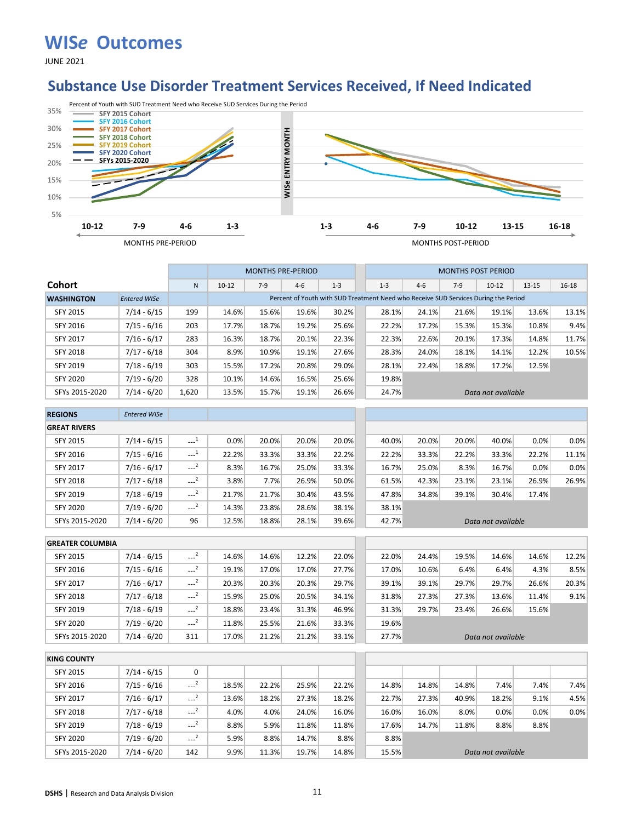JUNE 2021

### **Substance Use Disorder Treatment Services Received, If Need Indicated**



|                   |                     |       |           | <b>MONTHS PRE-PERIOD</b> |                                                                                     |         |         |       | <b>MONTHS POST PERIOD</b> |                    |           |           |
|-------------------|---------------------|-------|-----------|--------------------------|-------------------------------------------------------------------------------------|---------|---------|-------|---------------------------|--------------------|-----------|-----------|
| <b>Cohort</b>     |                     | N     | $10 - 12$ | $7-9$                    | $4 - 6$                                                                             | $1 - 3$ | $1 - 3$ | $4-6$ | $7-9$                     | $10 - 12$          | $13 - 15$ | $16 - 18$ |
| <b>WASHINGTON</b> | <b>Entered WISe</b> |       |           |                          | Percent of Youth with SUD Treatment Need who Receive SUD Services During the Period |         |         |       |                           |                    |           |           |
| <b>SFY 2015</b>   | 7/14 - 6/15         | 199   | 14.6%     | 15.6%                    | 19.6%                                                                               | 30.2%   | 28.1%   | 24.1% | 21.6%                     | 19.1%              | 13.6%     | 13.1%     |
| SFY 2016          | $7/15 - 6/16$       | 203   | 17.7%     | 18.7%                    | 19.2%                                                                               | 25.6%   | 22.2%   | 17.2% | 15.3%                     | 15.3%              | 10.8%     | 9.4%      |
| <b>SFY 2017</b>   | $7/16 - 6/17$       | 283   | 16.3%     | 18.7%                    | 20.1%                                                                               | 22.3%   | 22.3%   | 22.6% | 20.1%                     | 17.3%              | 14.8%     | 11.7%     |
| <b>SFY 2018</b>   | $7/17 - 6/18$       | 304   | 8.9%      | 10.9%                    | 19.1%                                                                               | 27.6%   | 28.3%   | 24.0% | 18.1%                     | 14.1%              | 12.2%     | 10.5%     |
| <b>SFY 2019</b>   | $7/18 - 6/19$       | 303   | 15.5%     | 17.2%                    | 20.8%                                                                               | 29.0%   | 28.1%   | 22.4% | 18.8%                     | 17.2%              | 12.5%     |           |
| <b>SFY 2020</b>   | $7/19 - 6/20$       | 328   | 10.1%     | 14.6%                    | 16.5%                                                                               | 25.6%   | 19.8%   |       |                           |                    |           |           |
| SFYs 2015-2020    | $7/14 - 6/20$       | 1.620 | 13.5%     | 15.7%                    | 19.1%                                                                               | 26.6%   | 24.7%   |       |                           | Data not available |           |           |

| <b>REGIONS</b>      | <b>Entered WISe</b> |                     |       |       |       |       |       |       |       |                    |       |       |
|---------------------|---------------------|---------------------|-------|-------|-------|-------|-------|-------|-------|--------------------|-------|-------|
| <b>GREAT RIVERS</b> |                     |                     |       |       |       |       |       |       |       |                    |       |       |
| <b>SFY 2015</b>     | $7/14 - 6/15$       | $\sim$ <sup>1</sup> | 0.0%  | 20.0% | 20.0% | 20.0% | 40.0% | 20.0% | 20.0% | 40.0%              | 0.0%  | 0.0%  |
| SFY 2016            | $7/15 - 6/16$       | $\sim$ <sup>1</sup> | 22.2% | 33.3% | 33.3% | 22.2% | 22.2% | 33.3% | 22.2% | 33.3%              | 22.2% | 11.1% |
| <b>SFY 2017</b>     | $7/16 - 6/17$       | $\sim$ <sup>2</sup> | 8.3%  | 16.7% | 25.0% | 33.3% | 16.7% | 25.0% | 8.3%  | 16.7%              | 0.0%  | 0.0%  |
| <b>SFY 2018</b>     | $7/17 - 6/18$       | $\sim$ <sup>2</sup> | 3.8%  | 7.7%  | 26.9% | 50.0% | 61.5% | 42.3% | 23.1% | 23.1%              | 26.9% | 26.9% |
| SFY 2019            | $7/18 - 6/19$       | $\sim$ <sup>2</sup> | 21.7% | 21.7% | 30.4% | 43.5% | 47.8% | 34.8% | 39.1% | 30.4%              | 17.4% |       |
| <b>SFY 2020</b>     | $7/19 - 6/20$       | $\sim$ <sup>2</sup> | 14.3% | 23.8% | 28.6% | 38.1% | 38.1% |       |       |                    |       |       |
| SFYs 2015-2020      | $7/14 - 6/20$       | 96                  | 12.5% | 18.8% | 28.1% | 39.6% | 42.7% |       |       | Data not available |       |       |

| <b>GREATER COLUMBIA</b> |               |                     |       |       |       |       |       |       |       |                    |       |       |
|-------------------------|---------------|---------------------|-------|-------|-------|-------|-------|-------|-------|--------------------|-------|-------|
| <b>SFY 2015</b>         | $7/14 - 6/15$ | $-$ <sup>2</sup>    | 14.6% | 14.6% | 12.2% | 22.0% | 22.0% | 24.4% | 19.5% | 14.6%              | 14.6% | 12.2% |
| SFY 2016                | $7/15 - 6/16$ | $\sim$ <sup>2</sup> | 19.1% | 17.0% | 17.0% | 27.7% | 17.0% | 10.6% | 6.4%  | 6.4%               | 4.3%  | 8.5%  |
| <b>SFY 2017</b>         | $7/16 - 6/17$ | $---2$              | 20.3% | 20.3% | 20.3% | 29.7% | 39.1% | 39.1% | 29.7% | 29.7%              | 26.6% | 20.3% |
| <b>SFY 2018</b>         | $7/17 - 6/18$ | $-2$                | 15.9% | 25.0% | 20.5% | 34.1% | 31.8% | 27.3% | 27.3% | 13.6%              | 11.4% | 9.1%  |
| <b>SFY 2019</b>         | $7/18 - 6/19$ | ---                 | 18.8% | 23.4% | 31.3% | 46.9% | 31.3% | 29.7% | 23.4% | 26.6%              | 15.6% |       |
| <b>SFY 2020</b>         | $7/19 - 6/20$ | $-2$                | 11.8% | 25.5% | 21.6% | 33.3% | 19.6% |       |       |                    |       |       |
| SFYs 2015-2020          | $7/14 - 6/20$ | 311                 | 17.0% | 21.2% | 21.2% | 33.1% | 27.7% |       |       | Data not available |       |       |

| <b>KING COUNTY</b> |               |                         |       |       |       |       |       |       |       |                    |      |      |
|--------------------|---------------|-------------------------|-------|-------|-------|-------|-------|-------|-------|--------------------|------|------|
| <b>SFY 2015</b>    | $7/14 - 6/15$ | 0                       |       |       |       |       |       |       |       |                    |      |      |
| SFY 2016           | $7/15 - 6/16$ | $\cdots$                | 18.5% | 22.2% | 25.9% | 22.2% | 14.8% | 14.8% | 14.8% | 7.4%               | 7.4% | 7.4% |
| <b>SFY 2017</b>    | $7/16 - 6/17$ | $\sim$ $^{2}$           | 13.6% | 18.2% | 27.3% | 18.2% | 22.7% | 27.3% | 40.9% | 18.2%              | 9.1% | 4.5% |
| <b>SFY 2018</b>    | $7/17 - 6/18$ | $-2$                    | 4.0%  | 4.0%  | 24.0% | 16.0% | 16.0% | 16.0% | 8.0%  | 0.0%               | 0.0% | 0.0% |
| <b>SFY 2019</b>    | $7/18 - 6/19$ | $\overline{2}$<br>---   | 8.8%  | 5.9%  | 11.8% | 11.8% | 17.6% | 14.7% | 11.8% | 8.8%               | 8.8% |      |
| <b>SFY 2020</b>    | $7/19 - 6/20$ | $\overline{2}$<br>$---$ | 5.9%  | 8.8%  | 14.7% | 8.8%  | 8.8%  |       |       |                    |      |      |
| SFYs 2015-2020     | $7/14 - 6/20$ | 142                     | 9.9%  | 11.3% | 19.7% | 14.8% | 15.5% |       |       | Data not available |      |      |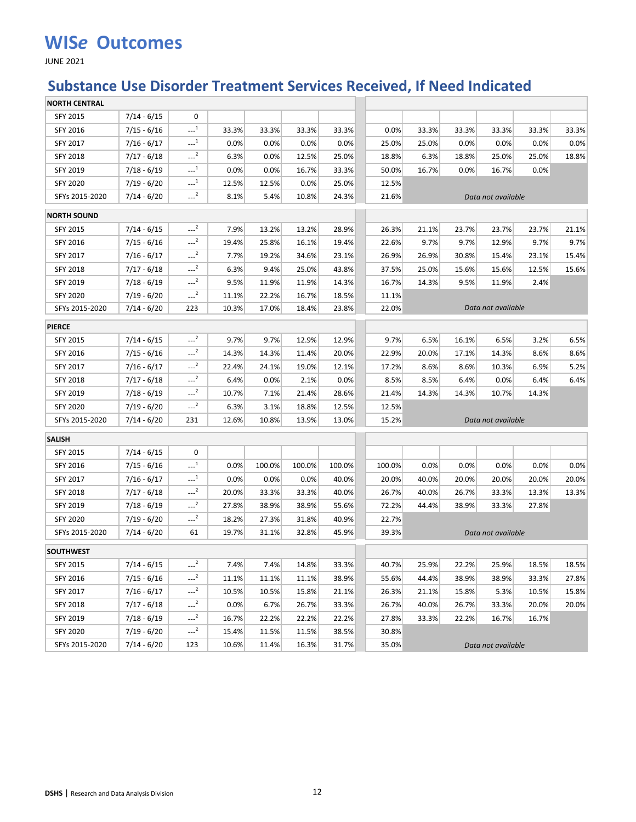JUNE 2021

## **Substance Use Disorder Treatment Services Received, If Need Indicated**

| <b>NORTH CENTRAL</b> |               |                     |       |        |        |        |        |       |       |                    |       |       |
|----------------------|---------------|---------------------|-------|--------|--------|--------|--------|-------|-------|--------------------|-------|-------|
| <b>SFY 2015</b>      | $7/14 - 6/15$ | 0                   |       |        |        |        |        |       |       |                    |       |       |
| SFY 2016             | $7/15 - 6/16$ | $---1$              | 33.3% | 33.3%  | 33.3%  | 33.3%  | 0.0%   | 33.3% | 33.3% | 33.3%              | 33.3% | 33.3% |
| SFY 2017             | $7/16 - 6/17$ | $-1$                | 0.0%  | 0.0%   | 0.0%   | 0.0%   | 25.0%  | 25.0% | 0.0%  | 0.0%               | 0.0%  | 0.0%  |
| SFY 2018             | $7/17 - 6/18$ | $-2$                | 6.3%  | 0.0%   | 12.5%  | 25.0%  | 18.8%  | 6.3%  | 18.8% | 25.0%              | 25.0% | 18.8% |
| SFY 2019             | $7/18 - 6/19$ | $-1$                | 0.0%  | 0.0%   | 16.7%  | 33.3%  | 50.0%  | 16.7% | 0.0%  | 16.7%              | 0.0%  |       |
| SFY 2020             | $7/19 - 6/20$ | $-1$                | 12.5% | 12.5%  | 0.0%   | 25.0%  | 12.5%  |       |       |                    |       |       |
| SFYs 2015-2020       | $7/14 - 6/20$ | $-2$                | 8.1%  | 5.4%   | 10.8%  | 24.3%  | 21.6%  |       |       | Data not available |       |       |
| <b>NORTH SOUND</b>   |               |                     |       |        |        |        |        |       |       |                    |       |       |
| SFY 2015             | $7/14 - 6/15$ | $-2$                | 7.9%  | 13.2%  | 13.2%  | 28.9%  | 26.3%  | 21.1% | 23.7% | 23.7%              | 23.7% | 21.1% |
| SFY 2016             | $7/15 - 6/16$ | $---2$              | 19.4% | 25.8%  | 16.1%  | 19.4%  | 22.6%  | 9.7%  | 9.7%  | 12.9%              | 9.7%  | 9.7%  |
| SFY 2017             | $7/16 - 6/17$ | $\sim$ <sup>2</sup> | 7.7%  | 19.2%  | 34.6%  | 23.1%  | 26.9%  | 26.9% | 30.8% | 15.4%              | 23.1% | 15.4% |
| <b>SFY 2018</b>      | $7/17 - 6/18$ | $-2$                | 6.3%  | 9.4%   | 25.0%  | 43.8%  | 37.5%  | 25.0% | 15.6% | 15.6%              | 12.5% | 15.6% |
| SFY 2019             | $7/18 - 6/19$ | $---2$              | 9.5%  | 11.9%  | 11.9%  | 14.3%  | 16.7%  | 14.3% | 9.5%  | 11.9%              | 2.4%  |       |
| <b>SFY 2020</b>      | $7/19 - 6/20$ | $-2$                | 11.1% | 22.2%  | 16.7%  | 18.5%  | 11.1%  |       |       |                    |       |       |
| SFYs 2015-2020       | $7/14 - 6/20$ | 223                 | 10.3% | 17.0%  | 18.4%  | 23.8%  | 22.0%  |       |       | Data not available |       |       |
| <b>PIERCE</b>        |               |                     |       |        |        |        |        |       |       |                    |       |       |
| SFY 2015             | $7/14 - 6/15$ | $-2$                | 9.7%  | 9.7%   | 12.9%  | 12.9%  | 9.7%   | 6.5%  | 16.1% | 6.5%               | 3.2%  | 6.5%  |
| SFY 2016             | $7/15 - 6/16$ | $-2$                | 14.3% | 14.3%  | 11.4%  | 20.0%  | 22.9%  | 20.0% | 17.1% | 14.3%              | 8.6%  | 8.6%  |
| SFY 2017             | $7/16 - 6/17$ | $---2$              | 22.4% | 24.1%  | 19.0%  | 12.1%  | 17.2%  | 8.6%  | 8.6%  | 10.3%              | 6.9%  | 5.2%  |
| SFY 2018             | $7/17 - 6/18$ | $\sim$ <sup>2</sup> | 6.4%  | 0.0%   | 2.1%   | 0.0%   | 8.5%   | 8.5%  | 6.4%  | 0.0%               | 6.4%  | 6.4%  |
| SFY 2019             | $7/18 - 6/19$ | $-2$                | 10.7% | 7.1%   | 21.4%  | 28.6%  | 21.4%  | 14.3% | 14.3% | 10.7%              | 14.3% |       |
| <b>SFY 2020</b>      | $7/19 - 6/20$ | $---2$              | 6.3%  | 3.1%   | 18.8%  | 12.5%  | 12.5%  |       |       |                    |       |       |
| SFYs 2015-2020       | $7/14 - 6/20$ | 231                 | 12.6% | 10.8%  | 13.9%  | 13.0%  | 15.2%  |       |       | Data not available |       |       |
| SALISH               |               |                     |       |        |        |        |        |       |       |                    |       |       |
| SFY 2015             | $7/14 - 6/15$ | 0                   |       |        |        |        |        |       |       |                    |       |       |
| SFY 2016             | $7/15 - 6/16$ | $-1$                | 0.0%  | 100.0% | 100.0% | 100.0% | 100.0% | 0.0%  | 0.0%  | 0.0%               | 0.0%  | 0.0%  |
| SFY 2017             | $7/16 - 6/17$ | $-1$                | 0.0%  | 0.0%   | 0.0%   | 40.0%  | 20.0%  | 40.0% | 20.0% | 20.0%              | 20.0% | 20.0% |
| SFY 2018             | $7/17 - 6/18$ | $-2$                | 20.0% | 33.3%  | 33.3%  | 40.0%  | 26.7%  | 40.0% | 26.7% | 33.3%              | 13.3% | 13.3% |
| SFY 2019             | $7/18 - 6/19$ | $-2$                | 27.8% | 38.9%  | 38.9%  | 55.6%  | 72.2%  | 44.4% | 38.9% | 33.3%              | 27.8% |       |
| <b>SFY 2020</b>      | $7/19 - 6/20$ | $---2$              | 18.2% | 27.3%  | 31.8%  | 40.9%  | 22.7%  |       |       |                    |       |       |
| SFYs 2015-2020       | $7/14 - 6/20$ | 61                  | 19.7% | 31.1%  | 32.8%  | 45.9%  | 39.3%  |       |       | Data not available |       |       |
| <b>SOUTHWEST</b>     |               |                     |       |        |        |        |        |       |       |                    |       |       |
| SFY 2015             | $7/14 - 6/15$ | $-2$                | 7.4%  | 7.4%   | 14.8%  | 33.3%  | 40.7%  | 25.9% | 22.2% | 25.9%              | 18.5% | 18.5% |
| SFY 2016             | $7/15 - 6/16$ | $---2$              | 11.1% | 11.1%  | 11.1%  | 38.9%  | 55.6%  | 44.4% | 38.9% | 38.9%              | 33.3% | 27.8% |
| SFY 2017             | $7/16 - 6/17$ | $-2$                | 10.5% | 10.5%  | 15.8%  | 21.1%  | 26.3%  | 21.1% | 15.8% | 5.3%               | 10.5% | 15.8% |
| <b>SFY 2018</b>      | $7/17 - 6/18$ | $-2$                | 0.0%  | 6.7%   | 26.7%  | 33.3%  | 26.7%  | 40.0% | 26.7% | 33.3%              | 20.0% | 20.0% |
| SFY 2019             | $7/18 - 6/19$ | $-2$                | 16.7% | 22.2%  | 22.2%  | 22.2%  | 27.8%  | 33.3% | 22.2% | 16.7%              | 16.7% |       |
| <b>SFY 2020</b>      | 7/19 - 6/20   | $-2$                | 15.4% | 11.5%  | 11.5%  | 38.5%  | 30.8%  |       |       |                    |       |       |
| SFYs 2015-2020       | 7/14 - 6/20   | 123                 | 10.6% | 11.4%  | 16.3%  | 31.7%  | 35.0%  |       |       | Data not available |       |       |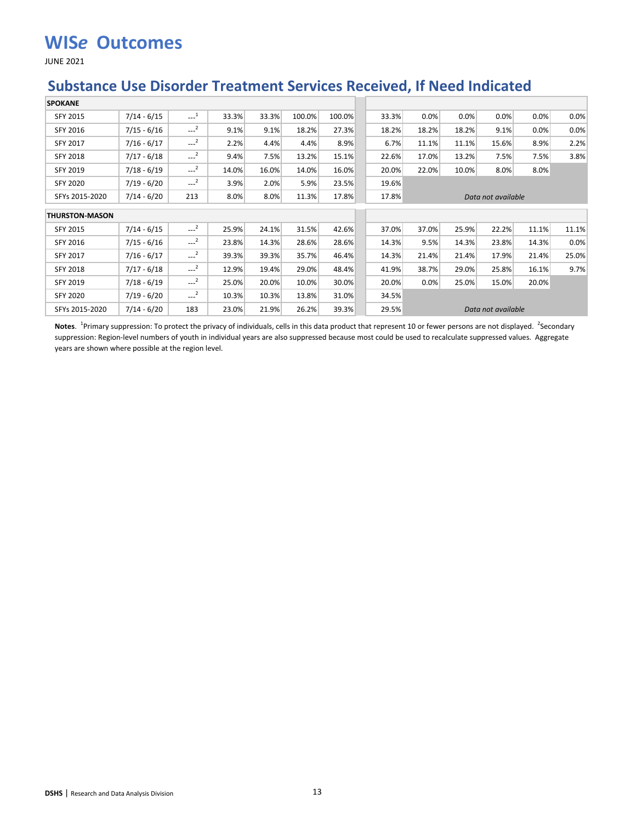JUNE 2021

### **Substance Use Disorder Treatment Services Received, If Need Indicated**

| <b>SPOKANE</b>        |               |                       |       |       |        |        |       |       |       |                    |       |       |
|-----------------------|---------------|-----------------------|-------|-------|--------|--------|-------|-------|-------|--------------------|-------|-------|
| SFY 2015              | $7/14 - 6/15$ | $\cdots$ <sup>1</sup> | 33.3% | 33.3% | 100.0% | 100.0% | 33.3% | 0.0%  | 0.0%  | 0.0%               | 0.0%  | 0.0%  |
| SFY 2016              | $7/15 - 6/16$ | $-2$                  | 9.1%  | 9.1%  | 18.2%  | 27.3%  | 18.2% | 18.2% | 18.2% | 9.1%               | 0.0%  | 0.0%  |
| SFY 2017              | $7/16 - 6/17$ | $-2$                  | 2.2%  | 4.4%  | 4.4%   | 8.9%   | 6.7%  | 11.1% | 11.1% | 15.6%              | 8.9%  | 2.2%  |
| <b>SFY 2018</b>       | $7/17 - 6/18$ | $\sim$ <sup>2</sup>   | 9.4%  | 7.5%  | 13.2%  | 15.1%  | 22.6% | 17.0% | 13.2% | 7.5%               | 7.5%  | 3.8%  |
| SFY 2019              | $7/18 - 6/19$ | $-2$                  | 14.0% | 16.0% | 14.0%  | 16.0%  | 20.0% | 22.0% | 10.0% | 8.0%               | 8.0%  |       |
| <b>SFY 2020</b>       | $7/19 - 6/20$ | $-2$                  | 3.9%  | 2.0%  | 5.9%   | 23.5%  | 19.6% |       |       |                    |       |       |
| SFYs 2015-2020        | $7/14 - 6/20$ | 213                   | 8.0%  | 8.0%  | 11.3%  | 17.8%  | 17.8% |       |       | Data not available |       |       |
| <b>THURSTON-MASON</b> |               |                       |       |       |        |        |       |       |       |                    |       |       |
|                       |               |                       |       |       |        |        |       |       |       |                    |       |       |
| SFY 2015              | $7/14 - 6/15$ | $-2$                  | 25.9% | 24.1% | 31.5%  | 42.6%  | 37.0% | 37.0% | 25.9% | 22.2%              | 11.1% | 11.1% |
| SFY 2016              | $7/15 - 6/16$ | $-2$                  | 23.8% | 14.3% | 28.6%  | 28.6%  | 14.3% | 9.5%  | 14.3% | 23.8%              | 14.3% | 0.0%  |
| SFY 2017              | $7/16 - 6/17$ | $\sim$ <sup>2</sup>   | 39.3% | 39.3% | 35.7%  | 46.4%  | 14.3% | 21.4% | 21.4% | 17.9%              | 21.4% | 25.0% |
| <b>SFY 2018</b>       | $7/17 - 6/18$ | $-2$                  | 12.9% | 19.4% | 29.0%  | 48.4%  | 41.9% | 38.7% | 29.0% | 25.8%              | 16.1% | 9.7%  |
| SFY 2019              | $7/18 - 6/19$ | $-2$                  | 25.0% | 20.0% | 10.0%  | 30.0%  | 20.0% | 0.0%  | 25.0% | 15.0%              | 20.0% |       |
| <b>SFY 2020</b>       | $7/19 - 6/20$ | $-2$                  | 10.3% | 10.3% | 13.8%  | 31.0%  | 34.5% |       |       |                    |       |       |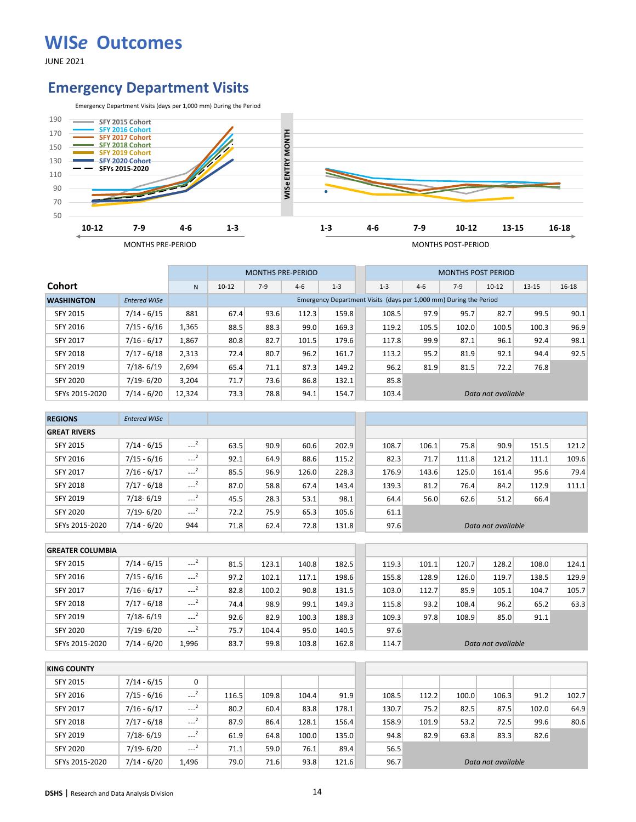JUNE 2021

#### **Emergency Department Visits**



|                   |                     |        |           | <b>MONTHS PRE-PERIOD</b> |         |         |         |       | <b>MONTHS POST PERIOD</b>                                         |                    |           |           |
|-------------------|---------------------|--------|-----------|--------------------------|---------|---------|---------|-------|-------------------------------------------------------------------|--------------------|-----------|-----------|
| <b>Cohort</b>     |                     | N      | $10 - 12$ | $7-9$                    | $4 - 6$ | $1 - 3$ | $1 - 3$ | $4-6$ | $7-9$                                                             | $10-12$            | $13 - 15$ | $16 - 18$ |
| <b>WASHINGTON</b> | <b>Entered WISe</b> |        |           |                          |         |         |         |       | Emergency Department Visits (days per 1,000 mm) During the Period |                    |           |           |
| <b>SFY 2015</b>   | $7/14 - 6/15$       | 881    | 67.4      | 93.6                     | 112.3   | 159.8   | 108.5   | 97.9  | 95.7                                                              | 82.7               | 99.5      | 90.1      |
| SFY 2016          | $7/15 - 6/16$       | 1,365  | 88.5      | 88.3                     | 99.0    | 169.3   | 119.2   | 105.5 | 102.0                                                             | 100.5              | 100.3     | 96.9      |
| <b>SFY 2017</b>   | $7/16 - 6/17$       | 1,867  | 80.8      | 82.7                     | 101.5   | 179.6   | 117.8   | 99.9  | 87.1                                                              | 96.1               | 92.4      | 98.1      |
| SFY 2018          | $7/17 - 6/18$       | 2,313  | 72.4      | 80.7                     | 96.2    | 161.7   | 113.2   | 95.2  | 81.9                                                              | 92.1               | 94.4      | 92.5      |
| <b>SFY 2019</b>   | $7/18 - 6/19$       | 2,694  | 65.4      | 71.1                     | 87.3    | 149.2   | 96.2    | 81.9  | 81.5                                                              | 72.2               | 76.8      |           |
| <b>SFY 2020</b>   | $7/19 - 6/20$       | 3.204  | 71.7      | 73.6                     | 86.8    | 132.1   | 85.8    |       |                                                                   |                    |           |           |
| SFYs 2015-2020    | $7/14 - 6/20$       | 12,324 | 73.3      | 78.8                     | 94.1    | 154.7   | 103.4   |       |                                                                   | Data not available |           |           |

| <b>REGIONS</b>      | <b>Entered WISe</b> |                     |      |      |       |       |       |       |       |                    |       |       |
|---------------------|---------------------|---------------------|------|------|-------|-------|-------|-------|-------|--------------------|-------|-------|
| <b>GREAT RIVERS</b> |                     |                     |      |      |       |       |       |       |       |                    |       |       |
| SFY 2015            | $7/14 - 6/15$       | $\sim$ <sup>2</sup> | 63.5 | 90.9 | 60.6  | 202.9 | 108.7 | 106.1 | 75.8  | 90.9               | 151.5 | 121.2 |
| SFY 2016            | $7/15 - 6/16$       | $\sim$ <sup>2</sup> | 92.1 | 64.9 | 88.6  | 115.2 | 82.3  | 71.7  | 111.8 | 121.2              | 111.1 | 109.6 |
| <b>SFY 2017</b>     | $7/16 - 6/17$       | $---2$              | 85.5 | 96.9 | 126.0 | 228.3 | 176.9 | 143.6 | 125.0 | 161.4              | 95.6  | 79.4  |
| <b>SFY 2018</b>     | $7/17 - 6/18$       | $\sim$ <sup>2</sup> | 87.0 | 58.8 | 67.4  | 143.4 | 139.3 | 81.2  | 76.4  | 84.2               | 112.9 | 111.1 |
| SFY 2019            | $7/18 - 6/19$       | $\sim$ <sup>2</sup> | 45.5 | 28.3 | 53.1  | 98.1  | 64.4  | 56.0  | 62.6  | 51.2               | 66.4  |       |
| <b>SFY 2020</b>     | $7/19 - 6/20$       | $\sim$ <sup>2</sup> | 72.2 | 75.9 | 65.3  | 105.6 | 61.1  |       |       |                    |       |       |
| SFYs 2015-2020      | $7/14 - 6/20$       | 944                 | 71.8 | 62.4 | 72.8  | 131.8 | 97.6  |       |       | Data not available |       |       |

| <b>GREATER COLUMBIA</b> |               |                     |      |       |       |       |       |       |       |                    |       |       |
|-------------------------|---------------|---------------------|------|-------|-------|-------|-------|-------|-------|--------------------|-------|-------|
| <b>SFY 2015</b>         | $7/14 - 6/15$ | $\sim$ $^{-2}$      | 81.5 | 123.1 | 140.8 | 182.5 | 119.3 | 101.1 | 120.7 | 128.2              | 108.0 | 124.1 |
| <b>SFY 2016</b>         | $7/15 - 6/16$ | $-2$                | 97.2 | 102.1 | 117.1 | 198.6 | 155.8 | 128.9 | 126.0 | 119.7              | 138.5 | 129.9 |
| <b>SFY 2017</b>         | $7/16 - 6/17$ | $---2$              | 82.8 | 100.2 | 90.8  | 131.5 | 103.0 | 112.7 | 85.9  | 105.1              | 104.7 | 105.7 |
| <b>SFY 2018</b>         | $7/17 - 6/18$ | $\cdots$            | 74.4 | 98.9  | 99.1  | 149.3 | 115.8 | 93.2  | 108.4 | 96.2               | 65.2  | 63.3  |
| <b>SFY 2019</b>         | $7/18 - 6/19$ | $\sim$ <sup>2</sup> | 92.6 | 82.9  | 100.3 | 188.3 | 109.3 | 97.8  | 108.9 | 85.0               | 91.1  |       |
| <b>SFY 2020</b>         | $7/19 - 6/20$ | $---2$              | 75.7 | 104.4 | 95.0  | 140.5 | 97.6  |       |       |                    |       |       |
| SFYs 2015-2020          | $7/14 - 6/20$ | 1.996               | 83.7 | 99.8  | 103.8 | 162.8 | 114.7 |       |       | Data not available |       |       |

| <b>KING COUNTY</b> |               |                     |       |       |       |       |       |       |       |                    |       |       |
|--------------------|---------------|---------------------|-------|-------|-------|-------|-------|-------|-------|--------------------|-------|-------|
| <b>SFY 2015</b>    | $7/14 - 6/15$ | 0                   |       |       |       |       |       |       |       |                    |       |       |
| SFY 2016           | $7/15 - 6/16$ | $---2$              | 116.5 | 109.8 | 104.4 | 91.9  | 108.5 | 112.2 | 100.0 | 106.3              | 91.2  | 102.7 |
| <b>SFY 2017</b>    | $7/16 - 6/17$ | $\sim$ <sup>2</sup> | 80.2  | 60.4  | 83.8  | 178.1 | 130.7 | 75.2  | 82.5  | 87.5               | 102.0 | 64.9  |
| <b>SFY 2018</b>    | $7/17 - 6/18$ | $\sim$ <sup>2</sup> | 87.9  | 86.4  | 128.1 | 156.4 | 158.9 | 101.9 | 53.2  | 72.5               | 99.6  | 80.6  |
| SFY 2019           | $7/18 - 6/19$ | $-2$                | 61.9  | 64.8  | 100.0 | 135.0 | 94.8  | 82.9  | 63.8  | 83.3               | 82.6  |       |
| <b>SFY 2020</b>    | $7/19 - 6/20$ | $\sim$ <sup>2</sup> | 71.1  | 59.0  | 76.1  | 89.4  | 56.5  |       |       |                    |       |       |
| SFYs 2015-2020     | $7/14 - 6/20$ | 1.496               | 79.0  | 71.6  | 93.8  | 121.6 | 96.7  |       |       | Data not available |       |       |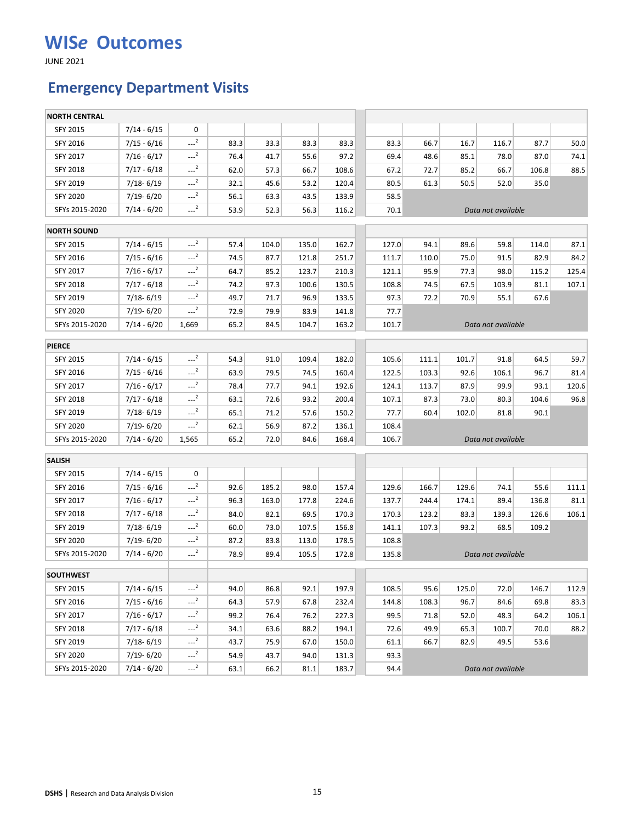JUNE 2021

### **Emergency Department Visits**

| <b>NORTH CENTRAL</b> |               |                     |      |       |       |       |       |       |       |                    |       |       |
|----------------------|---------------|---------------------|------|-------|-------|-------|-------|-------|-------|--------------------|-------|-------|
| SFY 2015             | $7/14 - 6/15$ | 0                   |      |       |       |       |       |       |       |                    |       |       |
| SFY 2016             | $7/15 - 6/16$ | $-2$                | 83.3 | 33.3  | 83.3  | 83.3  | 83.3  | 66.7  | 16.7  | 116.7              | 87.7  | 50.0  |
| SFY 2017             | $7/16 - 6/17$ | $-2$                | 76.4 | 41.7  | 55.6  | 97.2  | 69.4  | 48.6  | 85.1  | 78.0               | 87.0  | 74.1  |
| SFY 2018             | $7/17 - 6/18$ | $\sim$ <sup>2</sup> | 62.0 | 57.3  | 66.7  | 108.6 | 67.2  | 72.7  | 85.2  | 66.7               | 106.8 | 88.5  |
| SFY 2019             | 7/18-6/19     | $-2$                | 32.1 | 45.6  | 53.2  | 120.4 | 80.5  | 61.3  | 50.5  | 52.0               | 35.0  |       |
| <b>SFY 2020</b>      | 7/19-6/20     | $-2$                | 56.1 | 63.3  | 43.5  | 133.9 | 58.5  |       |       |                    |       |       |
| SFYs 2015-2020       | $7/14 - 6/20$ | $-2$                | 53.9 | 52.3  | 56.3  | 116.2 | 70.1  |       |       | Data not available |       |       |
| <b>NORTH SOUND</b>   |               |                     |      |       |       |       |       |       |       |                    |       |       |
| <b>SFY 2015</b>      | $7/14 - 6/15$ | $\sim$ <sup>2</sup> | 57.4 | 104.0 | 135.0 | 162.7 | 127.0 | 94.1  | 89.6  | 59.8               | 114.0 | 87.1  |
| SFY 2016             | $7/15 - 6/16$ | $-2$                | 74.5 | 87.7  | 121.8 | 251.7 | 111.7 | 110.0 | 75.0  | 91.5               | 82.9  | 84.2  |
| SFY 2017             | $7/16 - 6/17$ | $-2$                | 64.7 | 85.2  | 123.7 | 210.3 | 121.1 | 95.9  | 77.3  | 98.0               | 115.2 | 125.4 |
| SFY 2018             | $7/17 - 6/18$ | $-2$                | 74.2 | 97.3  | 100.6 | 130.5 | 108.8 | 74.5  | 67.5  | 103.9              | 81.1  | 107.1 |
| SFY 2019             | 7/18-6/19     | $-2$                | 49.7 | 71.7  | 96.9  | 133.5 | 97.3  | 72.2  | 70.9  | 55.1               | 67.6  |       |
| <b>SFY 2020</b>      | $7/19 - 6/20$ | $-2$                | 72.9 | 79.9  | 83.9  | 141.8 | 77.7  |       |       |                    |       |       |
| SFYs 2015-2020       | $7/14 - 6/20$ | 1,669               | 65.2 | 84.5  | 104.7 | 163.2 | 101.7 |       |       | Data not available |       |       |
| <b>PIERCE</b>        |               |                     |      |       |       |       |       |       |       |                    |       |       |
| <b>SFY 2015</b>      | $7/14 - 6/15$ | $-2$                | 54.3 | 91.0  | 109.4 | 182.0 | 105.6 | 111.1 | 101.7 | 91.8               | 64.5  | 59.7  |
| SFY 2016             | $7/15 - 6/16$ | $-2$                | 63.9 | 79.5  | 74.5  | 160.4 | 122.5 | 103.3 | 92.6  | 106.1              | 96.7  | 81.4  |
| SFY 2017             | $7/16 - 6/17$ | $-2$                | 78.4 | 77.7  | 94.1  | 192.6 | 124.1 | 113.7 | 87.9  | 99.9               | 93.1  | 120.6 |
| <b>SFY 2018</b>      | $7/17 - 6/18$ | $\sim$ <sup>2</sup> | 63.1 | 72.6  | 93.2  | 200.4 | 107.1 | 87.3  | 73.0  | 80.3               | 104.6 | 96.8  |
| SFY 2019             | 7/18-6/19     | $\sim$ <sup>2</sup> | 65.1 | 71.2  | 57.6  | 150.2 | 77.7  | 60.4  | 102.0 | 81.8               | 90.1  |       |
| <b>SFY 2020</b>      | 7/19-6/20     | $-2$                | 62.1 | 56.9  | 87.2  | 136.1 | 108.4 |       |       |                    |       |       |
| SFYs 2015-2020       | $7/14 - 6/20$ | 1,565               | 65.2 | 72.0  | 84.6  | 168.4 | 106.7 |       |       | Data not available |       |       |
| <b>SALISH</b>        |               |                     |      |       |       |       |       |       |       |                    |       |       |
| SFY 2015             | $7/14 - 6/15$ | 0                   |      |       |       |       |       |       |       |                    |       |       |
| SFY 2016             | $7/15 - 6/16$ | $-2$                | 92.6 | 185.2 | 98.0  | 157.4 | 129.6 | 166.7 | 129.6 | 74.1               | 55.6  | 111.1 |
| SFY 2017             | $7/16 - 6/17$ | $-2$                | 96.3 | 163.0 | 177.8 | 224.6 | 137.7 | 244.4 | 174.1 | 89.4               | 136.8 | 81.1  |
| SFY 2018             | $7/17 - 6/18$ | $-2$                | 84.0 | 82.1  | 69.5  | 170.3 | 170.3 | 123.2 | 83.3  | 139.3              | 126.6 | 106.1 |
| SFY 2019             | $7/18 - 6/19$ | $-2$                | 60.0 | 73.0  | 107.5 | 156.8 | 141.1 | 107.3 | 93.2  | 68.5               | 109.2 |       |
| <b>SFY 2020</b>      | 7/19-6/20     | $-2$                | 87.2 | 83.8  | 113.0 | 178.5 | 108.8 |       |       |                    |       |       |
| SFYs 2015-2020       | $7/14 - 6/20$ | $-2$                | 78.9 | 89.4  | 105.5 | 172.8 | 135.8 |       |       | Data not available |       |       |
| <b>SOUTHWEST</b>     |               |                     |      |       |       |       |       |       |       |                    |       |       |
| SFY 2015             | $7/14 - 6/15$ | $-2$                | 94.0 | 86.8  | 92.1  | 197.9 | 108.5 | 95.6  | 125.0 | 72.0               | 146.7 | 112.9 |
| SFY 2016             | $7/15 - 6/16$ | $-2$                | 64.3 | 57.9  | 67.8  | 232.4 | 144.8 | 108.3 | 96.7  | 84.6               | 69.8  | 83.3  |
| SFY 2017             | $7/16 - 6/17$ | $-2$                | 99.2 | 76.4  | 76.2  | 227.3 | 99.5  | 71.8  | 52.0  | 48.3               | 64.2  | 106.1 |
| SFY 2018             | $7/17 - 6/18$ | $-2$                | 34.1 | 63.6  | 88.2  | 194.1 | 72.6  | 49.9  | 65.3  | 100.7              | 70.0  | 88.2  |
| SFY 2019             | 7/18-6/19     | $-2$                | 43.7 | 75.9  | 67.0  | 150.0 | 61.1  | 66.7  | 82.9  | 49.5               | 53.6  |       |
| <b>SFY 2020</b>      | 7/19-6/20     | $-2$                | 54.9 | 43.7  | 94.0  | 131.3 | 93.3  |       |       |                    |       |       |
| SFYs 2015-2020       | $7/14 - 6/20$ | $-2$                | 63.1 | 66.2  | 81.1  | 183.7 | 94.4  |       |       | Data not available |       |       |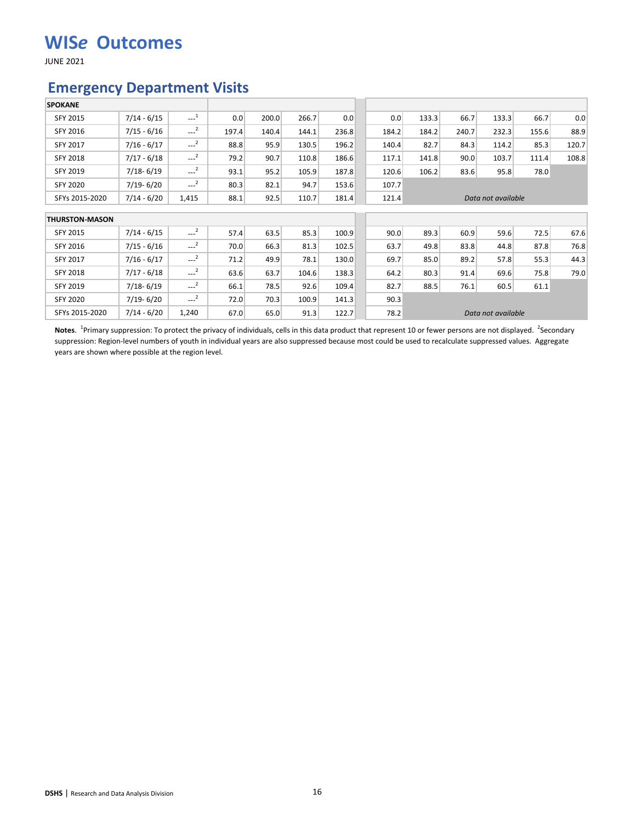JUNE 2021

#### **Emergency Department Visits**

| <b>SPOKANE</b>        |               |                     |       |       |       |       |       |       |       |                    |       |       |
|-----------------------|---------------|---------------------|-------|-------|-------|-------|-------|-------|-------|--------------------|-------|-------|
| SFY 2015              | $7/14 - 6/15$ | $\sim$ <sup>1</sup> | 0.0   | 200.0 | 266.7 | 0.0   | 0.0   | 133.3 | 66.7  | 133.3              | 66.7  | 0.0   |
| SFY 2016              | $7/15 - 6/16$ | $\sim$ <sup>2</sup> | 197.4 | 140.4 | 144.1 | 236.8 | 184.2 | 184.2 | 240.7 | 232.3              | 155.6 | 88.9  |
| SFY 2017              | $7/16 - 6/17$ | $---2$              | 88.8  | 95.9  | 130.5 | 196.2 | 140.4 | 82.7  | 84.3  | 114.2              | 85.3  | 120.7 |
| <b>SFY 2018</b>       | $7/17 - 6/18$ | $-2$                | 79.2  | 90.7  | 110.8 | 186.6 | 117.1 | 141.8 | 90.0  | 103.7              | 111.4 | 108.8 |
| SFY 2019              | $7/18 - 6/19$ | $---2$              | 93.1  | 95.2  | 105.9 | 187.8 | 120.6 | 106.2 | 83.6  | 95.8               | 78.0  |       |
| <b>SFY 2020</b>       | $7/19 - 6/20$ | $-2$                | 80.3  | 82.1  | 94.7  | 153.6 | 107.7 |       |       |                    |       |       |
| SFYs 2015-2020        | $7/14 - 6/20$ | 1,415               | 88.1  | 92.5  | 110.7 | 181.4 | 121.4 |       |       | Data not available |       |       |
| <b>THURSTON-MASON</b> |               |                     |       |       |       |       |       |       |       |                    |       |       |
| SFY 2015              | $7/14 - 6/15$ | $---2$              | 57.4  | 63.5  | 85.3  | 100.9 | 90.0  | 89.3  | 60.9  | 59.6               | 72.5  | 67.6  |
| SFY 2016              | $7/15 - 6/16$ | $-2$                | 70.0  | 66.3  | 81.3  | 102.5 | 63.7  | 49.8  | 83.8  | 44.8               | 87.8  | 76.8  |
| SFY 2017              | $7/16 - 6/17$ | $-2$                | 71.2  | 49.9  | 78.1  | 130.0 | 69.7  | 85.0  | 89.2  | 57.8               | 55.3  | 44.3  |
| <b>SFY 2018</b>       | $7/17 - 6/18$ | $---2$              | 63.6  | 63.7  | 104.6 | 138.3 | 64.2  | 80.3  | 91.4  | 69.6               | 75.8  | 79.0  |
| SFY 2019              | $7/18 - 6/19$ | $-2$                | 66.1  | 78.5  | 92.6  | 109.4 | 82.7  | 88.5  | 76.1  | 60.5               | 61.1  |       |
| SFY 2020              | $7/19 - 6/20$ | $-2$                | 72.0  | 70.3  | 100.9 | 141.3 | 90.3  |       |       |                    |       |       |
| SFYs 2015-2020        | $7/14 - 6/20$ | 1,240               | 67.0  | 65.0  | 91.3  | 122.7 | 78.2  |       |       | Data not available |       |       |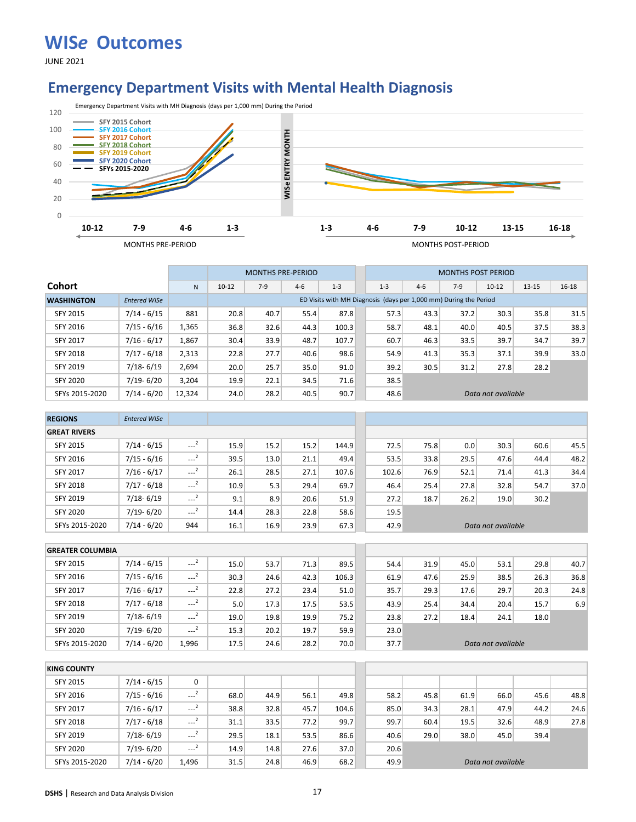JUNE 2021

#### **Emergency Department Visits with Mental Health Diagnosis**



|                   |                     |        |           | <b>MONTHS PRE-PERIOD</b> |         |                                                                   |         |       | <b>MONTHS POST PERIOD</b> |                    |           |           |
|-------------------|---------------------|--------|-----------|--------------------------|---------|-------------------------------------------------------------------|---------|-------|---------------------------|--------------------|-----------|-----------|
| <b>Cohort</b>     |                     | N      | $10 - 12$ | $7-9$                    | $4 - 6$ | $1 - 3$                                                           | $1 - 3$ | $4-6$ | $7-9$                     | $10 - 12$          | $13 - 15$ | $16 - 18$ |
| <b>WASHINGTON</b> | <b>Entered WISe</b> |        |           |                          |         | ED Visits with MH Diagnosis (days per 1,000 mm) During the Period |         |       |                           |                    |           |           |
| SFY 2015          | $7/14 - 6/15$       | 881    | 20.8      | 40.7                     | 55.4    | 87.8                                                              | 57.3    | 43.3  | 37.2                      | 30.3               | 35.8      | 31.5      |
| <b>SFY 2016</b>   | $7/15 - 6/16$       | 1,365  | 36.8      | 32.6                     | 44.3    | 100.3                                                             | 58.7    | 48.1  | 40.0                      | 40.5               | 37.5      | 38.3      |
| <b>SFY 2017</b>   | $7/16 - 6/17$       | 1.867  | 30.4      | 33.9                     | 48.7    | 107.7                                                             | 60.7    | 46.3  | 33.5                      | 39.7               | 34.7      | 39.7      |
| <b>SFY 2018</b>   | $7/17 - 6/18$       | 2,313  | 22.8      | 27.7                     | 40.6    | 98.6                                                              | 54.9    | 41.3  | 35.3                      | 37.1               | 39.9      | 33.0      |
| <b>SFY 2019</b>   | $7/18 - 6/19$       | 2,694  | 20.0      | 25.7                     | 35.0    | 91.0                                                              | 39.2    | 30.5  | 31.2                      | 27.8               | 28.2      |           |
| <b>SFY 2020</b>   | 7/19-6/20           | 3.204  | 19.9      | 22.1                     | 34.5    | 71.6                                                              | 38.5    |       |                           |                    |           |           |
| SFYs 2015-2020    | $7/14 - 6/20$       | 12,324 | 24.0      | 28.2                     | 40.5    | 90.7                                                              | 48.6    |       |                           | Data not available |           |           |

| <b>REGIONS</b>      | <b>Entered WISe</b> |                     |      |      |      |       |       |      |      |                    |      |      |
|---------------------|---------------------|---------------------|------|------|------|-------|-------|------|------|--------------------|------|------|
| <b>GREAT RIVERS</b> |                     |                     |      |      |      |       |       |      |      |                    |      |      |
| <b>SFY 2015</b>     | $7/14 - 6/15$       | $\sim$ <sup>2</sup> | 15.9 | 15.2 | 15.2 | 144.9 | 72.5  | 75.8 | 0.0  | 30.3               | 60.6 | 45.5 |
| SFY 2016            | $7/15 - 6/16$       | $---2$              | 39.5 | 13.0 | 21.1 | 49.4  | 53.5  | 33.8 | 29.5 | 47.6               | 44.4 | 48.2 |
| <b>SFY 2017</b>     | $7/16 - 6/17$       | $---2$              | 26.1 | 28.5 | 27.1 | 107.6 | 102.6 | 76.9 | 52.1 | 71.4               | 41.3 | 34.4 |
| <b>SFY 2018</b>     | $7/17 - 6/18$       | $\sim$ <sup>2</sup> | 10.9 | 5.3  | 29.4 | 69.7  | 46.4  | 25.4 | 27.8 | 32.8               | 54.7 | 37.0 |
| SFY 2019            | $7/18 - 6/19$       | $\sim$ <sup>2</sup> | 9.1  | 8.9  | 20.6 | 51.9  | 27.2  | 18.7 | 26.2 | 19.0               | 30.2 |      |
| <b>SFY 2020</b>     | $7/19 - 6/20$       | $\sim$ <sup>2</sup> | 14.4 | 28.3 | 22.8 | 58.6  | 19.5  |      |      |                    |      |      |
| SFYs 2015-2020      | $7/14 - 6/20$       | 944                 | 16.1 | 16.9 | 23.9 | 67.3  | 42.9  |      |      | Data not available |      |      |

| <b>GREATER COLUMBIA</b> |               |                         |      |      |      |       |      |      |      |                    |      |      |
|-------------------------|---------------|-------------------------|------|------|------|-------|------|------|------|--------------------|------|------|
| SFY 2015                | $7/14 - 6/15$ | $--2$                   | 15.0 | 53.7 | 71.3 | 89.5  | 54.4 | 31.9 | 45.0 | 53.1               | 29.8 | 40.7 |
| SFY 2016                | $7/15 - 6/16$ | $\overline{2}$<br>$---$ | 30.3 | 24.6 | 42.3 | 106.3 | 61.9 | 47.6 | 25.9 | 38.5               | 26.3 | 36.8 |
| <b>SFY 2017</b>         | $7/16 - 6/17$ | $\overline{2}$<br>----  | 22.8 | 27.2 | 23.4 | 51.0  | 35.7 | 29.3 | 17.6 | 29.7               | 20.3 | 24.8 |
| <b>SFY 2018</b>         | $7/17 - 6/18$ | $\cdots$                | 5.0  | 17.3 | 17.5 | 53.5  | 43.9 | 25.4 | 34.4 | 20.4               | 15.7 | 6.9  |
| <b>SFY 2019</b>         | $7/18 - 6/19$ | $\sim$ <sup>2</sup>     | 19.0 | 19.8 | 19.9 | 75.2  | 23.8 | 27.2 | 18.4 | 24.1               | 18.0 |      |
| <b>SFY 2020</b>         | $7/19 - 6/20$ | $-2$                    | 15.3 | 20.2 | 19.7 | 59.9  | 23.0 |      |      |                    |      |      |
| SFYs 2015-2020          | $7/14 - 6/20$ | 1.996                   | 17.5 | 24.6 | 28.2 | 70.0  | 37.7 |      |      | Data not available |      |      |

| <b>KING COUNTY</b> |               |                     |      |      |      |       |      |      |      |                    |      |      |
|--------------------|---------------|---------------------|------|------|------|-------|------|------|------|--------------------|------|------|
| <b>SFY 2015</b>    | $7/14 - 6/15$ | 0                   |      |      |      |       |      |      |      |                    |      |      |
| SFY 2016           | $7/15 - 6/16$ | $\sim$ $^{2}$       | 68.0 | 44.9 | 56.1 | 49.8  | 58.2 | 45.8 | 61.9 | 66.0               | 45.6 | 48.8 |
| <b>SFY 2017</b>    | $7/16 - 6/17$ | $-2$                | 38.8 | 32.8 | 45.7 | 104.6 | 85.0 | 34.3 | 28.1 | 47.9               | 44.2 | 24.6 |
| <b>SFY 2018</b>    | $7/17 - 6/18$ | $\sim$ <sup>2</sup> | 31.1 | 33.5 | 77.2 | 99.7  | 99.7 | 60.4 | 19.5 | 32.6               | 48.9 | 27.8 |
| SFY 2019           | $7/18 - 6/19$ | $-2$                | 29.5 | 18.1 | 53.5 | 86.6  | 40.6 | 29.0 | 38.0 | 45.0               | 39.4 |      |
| <b>SFY 2020</b>    | $7/19 - 6/20$ | $---2$              | 14.9 | 14.8 | 27.6 | 37.0  | 20.6 |      |      |                    |      |      |
| SFYs 2015-2020     | $7/14 - 6/20$ | 1.496               | 31.5 | 24.8 | 46.9 | 68.2  | 49.9 |      |      | Data not available |      |      |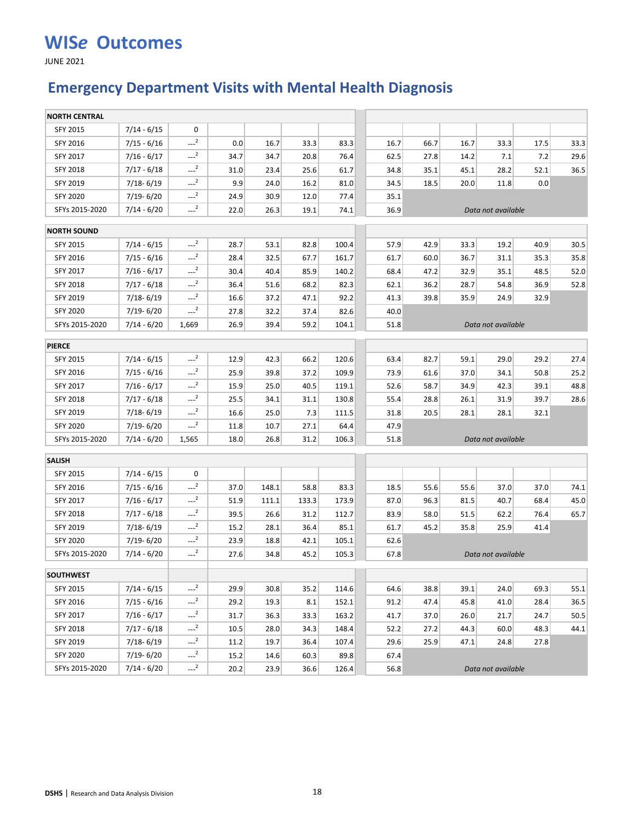JUNE 2021

## **Emergency Department Visits with Mental Health Diagnosis**

| SFY 2015<br>$7/14 - 6/15$<br>0<br>$-2$<br>SFY 2016<br>$7/15 - 6/16$<br>0.0<br>16.7<br>33.3<br>83.3<br>16.7<br>66.7<br>33.3<br>17.5<br>33.3<br>16.7<br>$-2$<br>SFY 2017<br>$7/16 - 6/17$<br>29.6<br>34.7<br>34.7<br>20.8<br>76.4<br>27.8<br>62.5<br>14.2<br>7.1<br>7.2<br>$-2$<br>SFY 2018<br>$7/17 - 6/18$<br>36.5<br>31.0<br>23.4<br>25.6<br>34.8<br>35.1<br>45.1<br>28.2<br>52.1<br>61.7<br>$-2$<br>9.9<br>SFY 2019<br>$7/18 - 6/19$<br>24.0<br>16.2<br>81.0<br>34.5<br>18.5<br>20.0<br>11.8<br>0.0<br>$-2$<br><b>SFY 2020</b><br>7/19-6/20<br>24.9<br>30.9<br>12.0<br>77.4<br>35.1<br>$-2$<br>SFYs 2015-2020<br>$7/14 - 6/20$<br>22.0<br>26.3<br>74.1<br>36.9<br>19.1<br>Data not available<br><b>NORTH SOUND</b><br>$-2$<br><b>SFY 2015</b><br>$7/14 - 6/15$<br>28.7<br>53.1<br>82.8<br>100.4<br>57.9<br>42.9<br>33.3<br>19.2<br>40.9<br>30.5<br>$\sim$ <sup>2</sup><br>32.5<br>35.8<br>SFY 2016<br>$7/15 - 6/16$<br>28.4<br>67.7<br>161.7<br>61.7<br>60.0<br>36.7<br>31.1<br>35.3<br>$-2$<br>SFY 2017<br>$7/16 - 6/17$<br>30.4<br>40.4<br>85.9<br>140.2<br>47.2<br>32.9<br>35.1<br>48.5<br>52.0<br>68.4<br>$---2$<br><b>SFY 2018</b><br>$7/17 - 6/18$<br>51.6<br>68.2<br>82.3<br>36.2<br>28.7<br>54.8<br>36.9<br>52.8<br>36.4<br>62.1<br>$-2$<br>SFY 2019<br>7/18-6/19<br>16.6<br>37.2<br>47.1<br>92.2<br>41.3<br>39.8<br>35.9<br>24.9<br>32.9<br>$-2$<br><b>SFY 2020</b><br>7/19-6/20<br>27.8<br>32.2<br>37.4<br>82.6<br>40.0<br>SFYs 2015-2020<br>$7/14 - 6/20$<br>1,669<br>26.9<br>39.4<br>59.2<br>104.1<br>51.8<br>Data not available<br><b>PIERCE</b><br>$-2$<br>SFY 2015<br>$7/14 - 6/15$<br>12.9<br>42.3<br>66.2<br>120.6<br>82.7<br>29.0<br>29.2<br>27.4<br>63.4<br>59.1<br>$-2$<br>SFY 2016<br>$7/15 - 6/16$<br>25.9<br>39.8<br>37.2<br>109.9<br>73.9<br>37.0<br>34.1<br>50.8<br>25.2<br>61.6<br>$-2$<br>48.8<br>SFY 2017<br>$7/16 - 6/17$<br>15.9<br>25.0<br>40.5<br>119.1<br>58.7<br>34.9<br>42.3<br>39.1<br>52.6<br>$-2$<br><b>SFY 2018</b><br>$7/17 - 6/18$<br>28.6<br>25.5<br>34.1<br>130.8<br>28.8<br>31.9<br>39.7<br>31.1<br>55.4<br>26.1<br>$-2$<br>SFY 2019<br>7/18-6/19<br>16.6<br>25.0<br>7.3<br>111.5<br>20.5<br>28.1<br>32.1<br>31.8<br>28.1<br>$-2$<br>27.1<br>47.9<br><b>SFY 2020</b><br>7/19-6/20<br>11.8<br>10.7<br>64.4<br>SFYs 2015-2020<br>1,565<br>7/14 - 6/20<br>18.0<br>26.8<br>31.2<br>106.3<br>51.8<br>Data not available<br><b>SALISH</b><br>SFY 2015<br>$7/14 - 6/15$<br>0<br>$-2$<br>SFY 2016<br>$7/15 - 6/16$<br>37.0<br>148.1<br>58.8<br>83.3<br>18.5<br>55.6<br>55.6<br>37.0<br>37.0<br>74.1<br>$\sim$ <sup>2</sup><br>51.9<br>133.3<br>173.9<br>96.3<br>45.0<br>SFY 2017<br>$7/16 - 6/17$<br>111.1<br>87.0<br>81.5<br>40.7<br>68.4<br>$-2$<br><b>SFY 2018</b><br>$7/17 - 6/18$<br>39.5<br>26.6<br>31.2<br>112.7<br>83.9<br>58.0<br>51.5<br>62.2<br>65.7<br>76.4<br>$-2$<br>SFY 2019<br>7/18-6/19<br>15.2<br>28.1<br>36.4<br>85.1<br>45.2<br>25.9<br>41.4<br>61.7<br>35.8<br>$-2$<br><b>SFY 2020</b><br>7/19-6/20<br>23.9<br>18.8<br>42.1<br>105.1<br>62.6<br>$-2$<br>SFYs 2015-2020<br>45.2<br>$7/14 - 6/20$<br>27.6<br>34.8<br>105.3<br>67.8<br>Data not available<br><b>SOUTHWEST</b><br>$-2$<br>$7/14 - 6/15$<br>29.9<br>SFY 2015<br>30.8<br>35.2<br>114.6<br>64.6<br>38.8<br>39.1<br>24.0<br>69.3<br>55.1<br>$--2$<br>SFY 2016<br>$7/15 - 6/16$<br>19.3<br>36.5<br>29.2<br>8.1<br>152.1<br>91.2<br>47.4<br>45.8<br>41.0<br>28.4<br>$-2$<br>SFY 2017<br>$7/16 - 6/17$<br>31.7<br>36.3<br>33.3<br>163.2<br>41.7<br>37.0<br>26.0<br>21.7<br>24.7<br>50.5<br>$-2$<br>44.1<br>SFY 2018<br>$7/17 - 6/18$<br>10.5<br>28.0<br>34.3<br>148.4<br>52.2<br>27.2<br>44.3<br>60.0<br>48.3<br>$---2$<br>SFY 2019<br>7/18-6/19<br>19.7<br>25.9<br>24.8<br>11.2<br>36.4<br>107.4<br>29.6<br>47.1<br>27.8<br>$-2$<br><b>SFY 2020</b><br>$7/19 - 6/20$<br>15.2<br>14.6<br>60.3<br>89.8<br>67.4<br>Data not available | <b>NORTH CENTRAL</b> |               |                     |      |      |      |       |      |  |  |  |
|-----------------------------------------------------------------------------------------------------------------------------------------------------------------------------------------------------------------------------------------------------------------------------------------------------------------------------------------------------------------------------------------------------------------------------------------------------------------------------------------------------------------------------------------------------------------------------------------------------------------------------------------------------------------------------------------------------------------------------------------------------------------------------------------------------------------------------------------------------------------------------------------------------------------------------------------------------------------------------------------------------------------------------------------------------------------------------------------------------------------------------------------------------------------------------------------------------------------------------------------------------------------------------------------------------------------------------------------------------------------------------------------------------------------------------------------------------------------------------------------------------------------------------------------------------------------------------------------------------------------------------------------------------------------------------------------------------------------------------------------------------------------------------------------------------------------------------------------------------------------------------------------------------------------------------------------------------------------------------------------------------------------------------------------------------------------------------------------------------------------------------------------------------------------------------------------------------------------------------------------------------------------------------------------------------------------------------------------------------------------------------------------------------------------------------------------------------------------------------------------------------------------------------------------------------------------------------------------------------------------------------------------------------------------------------------------------------------------------------------------------------------------------------------------------------------------------------------------------------------------------------------------------------------------------------------------------------------------------------------------------------------------------------------------------------------------------------------------------------------------------------------------------------------------------------------------------------------------------------------------------------------------------------------------------------------------------------------------------------------------------------------------------------------------------------------------------------------------------------------------------------------------------------------------------------------------------------------------------------------------------------------------------------------------------------------------------------------------------------------------------------------------------------------------------------------------------------------------------------|----------------------|---------------|---------------------|------|------|------|-------|------|--|--|--|
|                                                                                                                                                                                                                                                                                                                                                                                                                                                                                                                                                                                                                                                                                                                                                                                                                                                                                                                                                                                                                                                                                                                                                                                                                                                                                                                                                                                                                                                                                                                                                                                                                                                                                                                                                                                                                                                                                                                                                                                                                                                                                                                                                                                                                                                                                                                                                                                                                                                                                                                                                                                                                                                                                                                                                                                                                                                                                                                                                                                                                                                                                                                                                                                                                                                                                                                                                                                                                                                                                                                                                                                                                                                                                                                                                                                                                                                     |                      |               |                     |      |      |      |       |      |  |  |  |
|                                                                                                                                                                                                                                                                                                                                                                                                                                                                                                                                                                                                                                                                                                                                                                                                                                                                                                                                                                                                                                                                                                                                                                                                                                                                                                                                                                                                                                                                                                                                                                                                                                                                                                                                                                                                                                                                                                                                                                                                                                                                                                                                                                                                                                                                                                                                                                                                                                                                                                                                                                                                                                                                                                                                                                                                                                                                                                                                                                                                                                                                                                                                                                                                                                                                                                                                                                                                                                                                                                                                                                                                                                                                                                                                                                                                                                                     |                      |               |                     |      |      |      |       |      |  |  |  |
|                                                                                                                                                                                                                                                                                                                                                                                                                                                                                                                                                                                                                                                                                                                                                                                                                                                                                                                                                                                                                                                                                                                                                                                                                                                                                                                                                                                                                                                                                                                                                                                                                                                                                                                                                                                                                                                                                                                                                                                                                                                                                                                                                                                                                                                                                                                                                                                                                                                                                                                                                                                                                                                                                                                                                                                                                                                                                                                                                                                                                                                                                                                                                                                                                                                                                                                                                                                                                                                                                                                                                                                                                                                                                                                                                                                                                                                     |                      |               |                     |      |      |      |       |      |  |  |  |
|                                                                                                                                                                                                                                                                                                                                                                                                                                                                                                                                                                                                                                                                                                                                                                                                                                                                                                                                                                                                                                                                                                                                                                                                                                                                                                                                                                                                                                                                                                                                                                                                                                                                                                                                                                                                                                                                                                                                                                                                                                                                                                                                                                                                                                                                                                                                                                                                                                                                                                                                                                                                                                                                                                                                                                                                                                                                                                                                                                                                                                                                                                                                                                                                                                                                                                                                                                                                                                                                                                                                                                                                                                                                                                                                                                                                                                                     |                      |               |                     |      |      |      |       |      |  |  |  |
|                                                                                                                                                                                                                                                                                                                                                                                                                                                                                                                                                                                                                                                                                                                                                                                                                                                                                                                                                                                                                                                                                                                                                                                                                                                                                                                                                                                                                                                                                                                                                                                                                                                                                                                                                                                                                                                                                                                                                                                                                                                                                                                                                                                                                                                                                                                                                                                                                                                                                                                                                                                                                                                                                                                                                                                                                                                                                                                                                                                                                                                                                                                                                                                                                                                                                                                                                                                                                                                                                                                                                                                                                                                                                                                                                                                                                                                     |                      |               |                     |      |      |      |       |      |  |  |  |
|                                                                                                                                                                                                                                                                                                                                                                                                                                                                                                                                                                                                                                                                                                                                                                                                                                                                                                                                                                                                                                                                                                                                                                                                                                                                                                                                                                                                                                                                                                                                                                                                                                                                                                                                                                                                                                                                                                                                                                                                                                                                                                                                                                                                                                                                                                                                                                                                                                                                                                                                                                                                                                                                                                                                                                                                                                                                                                                                                                                                                                                                                                                                                                                                                                                                                                                                                                                                                                                                                                                                                                                                                                                                                                                                                                                                                                                     |                      |               |                     |      |      |      |       |      |  |  |  |
|                                                                                                                                                                                                                                                                                                                                                                                                                                                                                                                                                                                                                                                                                                                                                                                                                                                                                                                                                                                                                                                                                                                                                                                                                                                                                                                                                                                                                                                                                                                                                                                                                                                                                                                                                                                                                                                                                                                                                                                                                                                                                                                                                                                                                                                                                                                                                                                                                                                                                                                                                                                                                                                                                                                                                                                                                                                                                                                                                                                                                                                                                                                                                                                                                                                                                                                                                                                                                                                                                                                                                                                                                                                                                                                                                                                                                                                     |                      |               |                     |      |      |      |       |      |  |  |  |
|                                                                                                                                                                                                                                                                                                                                                                                                                                                                                                                                                                                                                                                                                                                                                                                                                                                                                                                                                                                                                                                                                                                                                                                                                                                                                                                                                                                                                                                                                                                                                                                                                                                                                                                                                                                                                                                                                                                                                                                                                                                                                                                                                                                                                                                                                                                                                                                                                                                                                                                                                                                                                                                                                                                                                                                                                                                                                                                                                                                                                                                                                                                                                                                                                                                                                                                                                                                                                                                                                                                                                                                                                                                                                                                                                                                                                                                     |                      |               |                     |      |      |      |       |      |  |  |  |
|                                                                                                                                                                                                                                                                                                                                                                                                                                                                                                                                                                                                                                                                                                                                                                                                                                                                                                                                                                                                                                                                                                                                                                                                                                                                                                                                                                                                                                                                                                                                                                                                                                                                                                                                                                                                                                                                                                                                                                                                                                                                                                                                                                                                                                                                                                                                                                                                                                                                                                                                                                                                                                                                                                                                                                                                                                                                                                                                                                                                                                                                                                                                                                                                                                                                                                                                                                                                                                                                                                                                                                                                                                                                                                                                                                                                                                                     |                      |               |                     |      |      |      |       |      |  |  |  |
|                                                                                                                                                                                                                                                                                                                                                                                                                                                                                                                                                                                                                                                                                                                                                                                                                                                                                                                                                                                                                                                                                                                                                                                                                                                                                                                                                                                                                                                                                                                                                                                                                                                                                                                                                                                                                                                                                                                                                                                                                                                                                                                                                                                                                                                                                                                                                                                                                                                                                                                                                                                                                                                                                                                                                                                                                                                                                                                                                                                                                                                                                                                                                                                                                                                                                                                                                                                                                                                                                                                                                                                                                                                                                                                                                                                                                                                     |                      |               |                     |      |      |      |       |      |  |  |  |
|                                                                                                                                                                                                                                                                                                                                                                                                                                                                                                                                                                                                                                                                                                                                                                                                                                                                                                                                                                                                                                                                                                                                                                                                                                                                                                                                                                                                                                                                                                                                                                                                                                                                                                                                                                                                                                                                                                                                                                                                                                                                                                                                                                                                                                                                                                                                                                                                                                                                                                                                                                                                                                                                                                                                                                                                                                                                                                                                                                                                                                                                                                                                                                                                                                                                                                                                                                                                                                                                                                                                                                                                                                                                                                                                                                                                                                                     |                      |               |                     |      |      |      |       |      |  |  |  |
|                                                                                                                                                                                                                                                                                                                                                                                                                                                                                                                                                                                                                                                                                                                                                                                                                                                                                                                                                                                                                                                                                                                                                                                                                                                                                                                                                                                                                                                                                                                                                                                                                                                                                                                                                                                                                                                                                                                                                                                                                                                                                                                                                                                                                                                                                                                                                                                                                                                                                                                                                                                                                                                                                                                                                                                                                                                                                                                                                                                                                                                                                                                                                                                                                                                                                                                                                                                                                                                                                                                                                                                                                                                                                                                                                                                                                                                     |                      |               |                     |      |      |      |       |      |  |  |  |
|                                                                                                                                                                                                                                                                                                                                                                                                                                                                                                                                                                                                                                                                                                                                                                                                                                                                                                                                                                                                                                                                                                                                                                                                                                                                                                                                                                                                                                                                                                                                                                                                                                                                                                                                                                                                                                                                                                                                                                                                                                                                                                                                                                                                                                                                                                                                                                                                                                                                                                                                                                                                                                                                                                                                                                                                                                                                                                                                                                                                                                                                                                                                                                                                                                                                                                                                                                                                                                                                                                                                                                                                                                                                                                                                                                                                                                                     |                      |               |                     |      |      |      |       |      |  |  |  |
|                                                                                                                                                                                                                                                                                                                                                                                                                                                                                                                                                                                                                                                                                                                                                                                                                                                                                                                                                                                                                                                                                                                                                                                                                                                                                                                                                                                                                                                                                                                                                                                                                                                                                                                                                                                                                                                                                                                                                                                                                                                                                                                                                                                                                                                                                                                                                                                                                                                                                                                                                                                                                                                                                                                                                                                                                                                                                                                                                                                                                                                                                                                                                                                                                                                                                                                                                                                                                                                                                                                                                                                                                                                                                                                                                                                                                                                     |                      |               |                     |      |      |      |       |      |  |  |  |
|                                                                                                                                                                                                                                                                                                                                                                                                                                                                                                                                                                                                                                                                                                                                                                                                                                                                                                                                                                                                                                                                                                                                                                                                                                                                                                                                                                                                                                                                                                                                                                                                                                                                                                                                                                                                                                                                                                                                                                                                                                                                                                                                                                                                                                                                                                                                                                                                                                                                                                                                                                                                                                                                                                                                                                                                                                                                                                                                                                                                                                                                                                                                                                                                                                                                                                                                                                                                                                                                                                                                                                                                                                                                                                                                                                                                                                                     |                      |               |                     |      |      |      |       |      |  |  |  |
|                                                                                                                                                                                                                                                                                                                                                                                                                                                                                                                                                                                                                                                                                                                                                                                                                                                                                                                                                                                                                                                                                                                                                                                                                                                                                                                                                                                                                                                                                                                                                                                                                                                                                                                                                                                                                                                                                                                                                                                                                                                                                                                                                                                                                                                                                                                                                                                                                                                                                                                                                                                                                                                                                                                                                                                                                                                                                                                                                                                                                                                                                                                                                                                                                                                                                                                                                                                                                                                                                                                                                                                                                                                                                                                                                                                                                                                     |                      |               |                     |      |      |      |       |      |  |  |  |
|                                                                                                                                                                                                                                                                                                                                                                                                                                                                                                                                                                                                                                                                                                                                                                                                                                                                                                                                                                                                                                                                                                                                                                                                                                                                                                                                                                                                                                                                                                                                                                                                                                                                                                                                                                                                                                                                                                                                                                                                                                                                                                                                                                                                                                                                                                                                                                                                                                                                                                                                                                                                                                                                                                                                                                                                                                                                                                                                                                                                                                                                                                                                                                                                                                                                                                                                                                                                                                                                                                                                                                                                                                                                                                                                                                                                                                                     |                      |               |                     |      |      |      |       |      |  |  |  |
|                                                                                                                                                                                                                                                                                                                                                                                                                                                                                                                                                                                                                                                                                                                                                                                                                                                                                                                                                                                                                                                                                                                                                                                                                                                                                                                                                                                                                                                                                                                                                                                                                                                                                                                                                                                                                                                                                                                                                                                                                                                                                                                                                                                                                                                                                                                                                                                                                                                                                                                                                                                                                                                                                                                                                                                                                                                                                                                                                                                                                                                                                                                                                                                                                                                                                                                                                                                                                                                                                                                                                                                                                                                                                                                                                                                                                                                     |                      |               |                     |      |      |      |       |      |  |  |  |
|                                                                                                                                                                                                                                                                                                                                                                                                                                                                                                                                                                                                                                                                                                                                                                                                                                                                                                                                                                                                                                                                                                                                                                                                                                                                                                                                                                                                                                                                                                                                                                                                                                                                                                                                                                                                                                                                                                                                                                                                                                                                                                                                                                                                                                                                                                                                                                                                                                                                                                                                                                                                                                                                                                                                                                                                                                                                                                                                                                                                                                                                                                                                                                                                                                                                                                                                                                                                                                                                                                                                                                                                                                                                                                                                                                                                                                                     |                      |               |                     |      |      |      |       |      |  |  |  |
|                                                                                                                                                                                                                                                                                                                                                                                                                                                                                                                                                                                                                                                                                                                                                                                                                                                                                                                                                                                                                                                                                                                                                                                                                                                                                                                                                                                                                                                                                                                                                                                                                                                                                                                                                                                                                                                                                                                                                                                                                                                                                                                                                                                                                                                                                                                                                                                                                                                                                                                                                                                                                                                                                                                                                                                                                                                                                                                                                                                                                                                                                                                                                                                                                                                                                                                                                                                                                                                                                                                                                                                                                                                                                                                                                                                                                                                     |                      |               |                     |      |      |      |       |      |  |  |  |
|                                                                                                                                                                                                                                                                                                                                                                                                                                                                                                                                                                                                                                                                                                                                                                                                                                                                                                                                                                                                                                                                                                                                                                                                                                                                                                                                                                                                                                                                                                                                                                                                                                                                                                                                                                                                                                                                                                                                                                                                                                                                                                                                                                                                                                                                                                                                                                                                                                                                                                                                                                                                                                                                                                                                                                                                                                                                                                                                                                                                                                                                                                                                                                                                                                                                                                                                                                                                                                                                                                                                                                                                                                                                                                                                                                                                                                                     |                      |               |                     |      |      |      |       |      |  |  |  |
|                                                                                                                                                                                                                                                                                                                                                                                                                                                                                                                                                                                                                                                                                                                                                                                                                                                                                                                                                                                                                                                                                                                                                                                                                                                                                                                                                                                                                                                                                                                                                                                                                                                                                                                                                                                                                                                                                                                                                                                                                                                                                                                                                                                                                                                                                                                                                                                                                                                                                                                                                                                                                                                                                                                                                                                                                                                                                                                                                                                                                                                                                                                                                                                                                                                                                                                                                                                                                                                                                                                                                                                                                                                                                                                                                                                                                                                     |                      |               |                     |      |      |      |       |      |  |  |  |
|                                                                                                                                                                                                                                                                                                                                                                                                                                                                                                                                                                                                                                                                                                                                                                                                                                                                                                                                                                                                                                                                                                                                                                                                                                                                                                                                                                                                                                                                                                                                                                                                                                                                                                                                                                                                                                                                                                                                                                                                                                                                                                                                                                                                                                                                                                                                                                                                                                                                                                                                                                                                                                                                                                                                                                                                                                                                                                                                                                                                                                                                                                                                                                                                                                                                                                                                                                                                                                                                                                                                                                                                                                                                                                                                                                                                                                                     |                      |               |                     |      |      |      |       |      |  |  |  |
|                                                                                                                                                                                                                                                                                                                                                                                                                                                                                                                                                                                                                                                                                                                                                                                                                                                                                                                                                                                                                                                                                                                                                                                                                                                                                                                                                                                                                                                                                                                                                                                                                                                                                                                                                                                                                                                                                                                                                                                                                                                                                                                                                                                                                                                                                                                                                                                                                                                                                                                                                                                                                                                                                                                                                                                                                                                                                                                                                                                                                                                                                                                                                                                                                                                                                                                                                                                                                                                                                                                                                                                                                                                                                                                                                                                                                                                     |                      |               |                     |      |      |      |       |      |  |  |  |
|                                                                                                                                                                                                                                                                                                                                                                                                                                                                                                                                                                                                                                                                                                                                                                                                                                                                                                                                                                                                                                                                                                                                                                                                                                                                                                                                                                                                                                                                                                                                                                                                                                                                                                                                                                                                                                                                                                                                                                                                                                                                                                                                                                                                                                                                                                                                                                                                                                                                                                                                                                                                                                                                                                                                                                                                                                                                                                                                                                                                                                                                                                                                                                                                                                                                                                                                                                                                                                                                                                                                                                                                                                                                                                                                                                                                                                                     |                      |               |                     |      |      |      |       |      |  |  |  |
|                                                                                                                                                                                                                                                                                                                                                                                                                                                                                                                                                                                                                                                                                                                                                                                                                                                                                                                                                                                                                                                                                                                                                                                                                                                                                                                                                                                                                                                                                                                                                                                                                                                                                                                                                                                                                                                                                                                                                                                                                                                                                                                                                                                                                                                                                                                                                                                                                                                                                                                                                                                                                                                                                                                                                                                                                                                                                                                                                                                                                                                                                                                                                                                                                                                                                                                                                                                                                                                                                                                                                                                                                                                                                                                                                                                                                                                     |                      |               |                     |      |      |      |       |      |  |  |  |
|                                                                                                                                                                                                                                                                                                                                                                                                                                                                                                                                                                                                                                                                                                                                                                                                                                                                                                                                                                                                                                                                                                                                                                                                                                                                                                                                                                                                                                                                                                                                                                                                                                                                                                                                                                                                                                                                                                                                                                                                                                                                                                                                                                                                                                                                                                                                                                                                                                                                                                                                                                                                                                                                                                                                                                                                                                                                                                                                                                                                                                                                                                                                                                                                                                                                                                                                                                                                                                                                                                                                                                                                                                                                                                                                                                                                                                                     |                      |               |                     |      |      |      |       |      |  |  |  |
|                                                                                                                                                                                                                                                                                                                                                                                                                                                                                                                                                                                                                                                                                                                                                                                                                                                                                                                                                                                                                                                                                                                                                                                                                                                                                                                                                                                                                                                                                                                                                                                                                                                                                                                                                                                                                                                                                                                                                                                                                                                                                                                                                                                                                                                                                                                                                                                                                                                                                                                                                                                                                                                                                                                                                                                                                                                                                                                                                                                                                                                                                                                                                                                                                                                                                                                                                                                                                                                                                                                                                                                                                                                                                                                                                                                                                                                     |                      |               |                     |      |      |      |       |      |  |  |  |
|                                                                                                                                                                                                                                                                                                                                                                                                                                                                                                                                                                                                                                                                                                                                                                                                                                                                                                                                                                                                                                                                                                                                                                                                                                                                                                                                                                                                                                                                                                                                                                                                                                                                                                                                                                                                                                                                                                                                                                                                                                                                                                                                                                                                                                                                                                                                                                                                                                                                                                                                                                                                                                                                                                                                                                                                                                                                                                                                                                                                                                                                                                                                                                                                                                                                                                                                                                                                                                                                                                                                                                                                                                                                                                                                                                                                                                                     |                      |               |                     |      |      |      |       |      |  |  |  |
|                                                                                                                                                                                                                                                                                                                                                                                                                                                                                                                                                                                                                                                                                                                                                                                                                                                                                                                                                                                                                                                                                                                                                                                                                                                                                                                                                                                                                                                                                                                                                                                                                                                                                                                                                                                                                                                                                                                                                                                                                                                                                                                                                                                                                                                                                                                                                                                                                                                                                                                                                                                                                                                                                                                                                                                                                                                                                                                                                                                                                                                                                                                                                                                                                                                                                                                                                                                                                                                                                                                                                                                                                                                                                                                                                                                                                                                     |                      |               |                     |      |      |      |       |      |  |  |  |
|                                                                                                                                                                                                                                                                                                                                                                                                                                                                                                                                                                                                                                                                                                                                                                                                                                                                                                                                                                                                                                                                                                                                                                                                                                                                                                                                                                                                                                                                                                                                                                                                                                                                                                                                                                                                                                                                                                                                                                                                                                                                                                                                                                                                                                                                                                                                                                                                                                                                                                                                                                                                                                                                                                                                                                                                                                                                                                                                                                                                                                                                                                                                                                                                                                                                                                                                                                                                                                                                                                                                                                                                                                                                                                                                                                                                                                                     |                      |               |                     |      |      |      |       |      |  |  |  |
|                                                                                                                                                                                                                                                                                                                                                                                                                                                                                                                                                                                                                                                                                                                                                                                                                                                                                                                                                                                                                                                                                                                                                                                                                                                                                                                                                                                                                                                                                                                                                                                                                                                                                                                                                                                                                                                                                                                                                                                                                                                                                                                                                                                                                                                                                                                                                                                                                                                                                                                                                                                                                                                                                                                                                                                                                                                                                                                                                                                                                                                                                                                                                                                                                                                                                                                                                                                                                                                                                                                                                                                                                                                                                                                                                                                                                                                     |                      |               |                     |      |      |      |       |      |  |  |  |
|                                                                                                                                                                                                                                                                                                                                                                                                                                                                                                                                                                                                                                                                                                                                                                                                                                                                                                                                                                                                                                                                                                                                                                                                                                                                                                                                                                                                                                                                                                                                                                                                                                                                                                                                                                                                                                                                                                                                                                                                                                                                                                                                                                                                                                                                                                                                                                                                                                                                                                                                                                                                                                                                                                                                                                                                                                                                                                                                                                                                                                                                                                                                                                                                                                                                                                                                                                                                                                                                                                                                                                                                                                                                                                                                                                                                                                                     |                      |               |                     |      |      |      |       |      |  |  |  |
|                                                                                                                                                                                                                                                                                                                                                                                                                                                                                                                                                                                                                                                                                                                                                                                                                                                                                                                                                                                                                                                                                                                                                                                                                                                                                                                                                                                                                                                                                                                                                                                                                                                                                                                                                                                                                                                                                                                                                                                                                                                                                                                                                                                                                                                                                                                                                                                                                                                                                                                                                                                                                                                                                                                                                                                                                                                                                                                                                                                                                                                                                                                                                                                                                                                                                                                                                                                                                                                                                                                                                                                                                                                                                                                                                                                                                                                     |                      |               |                     |      |      |      |       |      |  |  |  |
|                                                                                                                                                                                                                                                                                                                                                                                                                                                                                                                                                                                                                                                                                                                                                                                                                                                                                                                                                                                                                                                                                                                                                                                                                                                                                                                                                                                                                                                                                                                                                                                                                                                                                                                                                                                                                                                                                                                                                                                                                                                                                                                                                                                                                                                                                                                                                                                                                                                                                                                                                                                                                                                                                                                                                                                                                                                                                                                                                                                                                                                                                                                                                                                                                                                                                                                                                                                                                                                                                                                                                                                                                                                                                                                                                                                                                                                     |                      |               |                     |      |      |      |       |      |  |  |  |
|                                                                                                                                                                                                                                                                                                                                                                                                                                                                                                                                                                                                                                                                                                                                                                                                                                                                                                                                                                                                                                                                                                                                                                                                                                                                                                                                                                                                                                                                                                                                                                                                                                                                                                                                                                                                                                                                                                                                                                                                                                                                                                                                                                                                                                                                                                                                                                                                                                                                                                                                                                                                                                                                                                                                                                                                                                                                                                                                                                                                                                                                                                                                                                                                                                                                                                                                                                                                                                                                                                                                                                                                                                                                                                                                                                                                                                                     |                      |               |                     |      |      |      |       |      |  |  |  |
|                                                                                                                                                                                                                                                                                                                                                                                                                                                                                                                                                                                                                                                                                                                                                                                                                                                                                                                                                                                                                                                                                                                                                                                                                                                                                                                                                                                                                                                                                                                                                                                                                                                                                                                                                                                                                                                                                                                                                                                                                                                                                                                                                                                                                                                                                                                                                                                                                                                                                                                                                                                                                                                                                                                                                                                                                                                                                                                                                                                                                                                                                                                                                                                                                                                                                                                                                                                                                                                                                                                                                                                                                                                                                                                                                                                                                                                     |                      |               |                     |      |      |      |       |      |  |  |  |
|                                                                                                                                                                                                                                                                                                                                                                                                                                                                                                                                                                                                                                                                                                                                                                                                                                                                                                                                                                                                                                                                                                                                                                                                                                                                                                                                                                                                                                                                                                                                                                                                                                                                                                                                                                                                                                                                                                                                                                                                                                                                                                                                                                                                                                                                                                                                                                                                                                                                                                                                                                                                                                                                                                                                                                                                                                                                                                                                                                                                                                                                                                                                                                                                                                                                                                                                                                                                                                                                                                                                                                                                                                                                                                                                                                                                                                                     |                      |               |                     |      |      |      |       |      |  |  |  |
|                                                                                                                                                                                                                                                                                                                                                                                                                                                                                                                                                                                                                                                                                                                                                                                                                                                                                                                                                                                                                                                                                                                                                                                                                                                                                                                                                                                                                                                                                                                                                                                                                                                                                                                                                                                                                                                                                                                                                                                                                                                                                                                                                                                                                                                                                                                                                                                                                                                                                                                                                                                                                                                                                                                                                                                                                                                                                                                                                                                                                                                                                                                                                                                                                                                                                                                                                                                                                                                                                                                                                                                                                                                                                                                                                                                                                                                     | SFYs 2015-2020       | $7/14 - 6/20$ | $\sim$ <sup>2</sup> | 20.2 | 23.9 | 36.6 | 126.4 | 56.8 |  |  |  |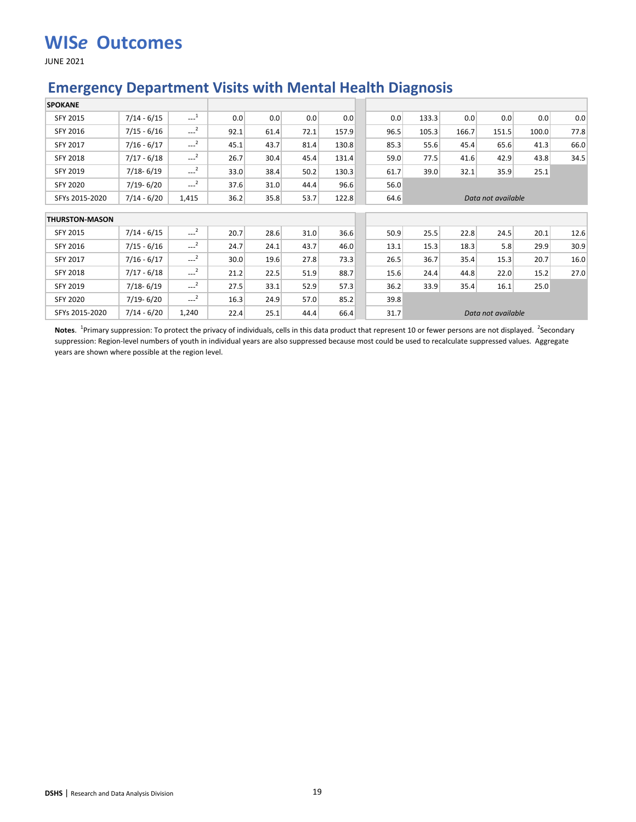JUNE 2021

#### **Emergency Department Visits with Mental Health Diagnosis**

| <b>SPOKANE</b>        |               |                       |      |      |      |       |      |       |       |                    |       |      |
|-----------------------|---------------|-----------------------|------|------|------|-------|------|-------|-------|--------------------|-------|------|
| <b>SFY 2015</b>       | $7/14 - 6/15$ | $\cdots$ <sup>1</sup> | 0.0  | 0.0  | 0.0  | 0.0   | 0.0  | 133.3 | 0.0   | 0.0                | 0.0   | 0.0  |
| SFY 2016              | $7/15 - 6/16$ | $\sim$ <sup>2</sup>   | 92.1 | 61.4 | 72.1 | 157.9 | 96.5 | 105.3 | 166.7 | 151.5              | 100.0 | 77.8 |
| <b>SFY 2017</b>       | $7/16 - 6/17$ | $---2$                | 45.1 | 43.7 | 81.4 | 130.8 | 85.3 | 55.6  | 45.4  | 65.6               | 41.3  | 66.0 |
| <b>SFY 2018</b>       | $7/17 - 6/18$ | $---2$                | 26.7 | 30.4 | 45.4 | 131.4 | 59.0 | 77.5  | 41.6  | 42.9               | 43.8  | 34.5 |
| <b>SFY 2019</b>       | $7/18 - 6/19$ | $---2$                | 33.0 | 38.4 | 50.2 | 130.3 | 61.7 | 39.0  | 32.1  | 35.9               | 25.1  |      |
| <b>SFY 2020</b>       | $7/19 - 6/20$ | $\sim$ <sup>2</sup>   | 37.6 | 31.0 | 44.4 | 96.6  | 56.0 |       |       |                    |       |      |
| SFYs 2015-2020        | $7/14 - 6/20$ | 1,415                 | 36.2 | 35.8 | 53.7 | 122.8 | 64.6 |       |       | Data not available |       |      |
| <b>THURSTON-MASON</b> |               |                       |      |      |      |       |      |       |       |                    |       |      |
| SFY 2015              | $7/14 - 6/15$ | $---2$                | 20.7 | 28.6 | 31.0 | 36.6  | 50.9 | 25.5  | 22.8  | 24.5               | 20.1  | 12.6 |
| SFY 2016              | $7/15 - 6/16$ | $\sim$ <sup>2</sup>   | 24.7 | 24.1 | 43.7 | 46.0  | 13.1 | 15.3  | 18.3  | 5.8                | 29.9  | 30.9 |
| SFY 2017              | $7/16 - 6/17$ | $---2$                | 30.0 | 19.6 | 27.8 | 73.3  | 26.5 | 36.7  | 35.4  | 15.3               | 20.7  | 16.0 |
| <b>SFY 2018</b>       | $7/17 - 6/18$ | $-2$                  | 21.2 | 22.5 | 51.9 | 88.7  | 15.6 | 24.4  | 44.8  | 22.0               | 15.2  | 27.0 |
| SFY 2019              | $7/18 - 6/19$ | $---2$                | 27.5 | 33.1 | 52.9 | 57.3  | 36.2 | 33.9  | 35.4  | 16.1               | 25.0  |      |
| <b>SFY 2020</b>       | $7/19 - 6/20$ | $-2$                  | 16.3 | 24.9 | 57.0 | 85.2  | 39.8 |       |       |                    |       |      |
| SFYs 2015-2020        | $7/14 - 6/20$ | 1,240                 | 22.4 | 25.1 | 44.4 | 66.4  | 31.7 |       |       | Data not available |       |      |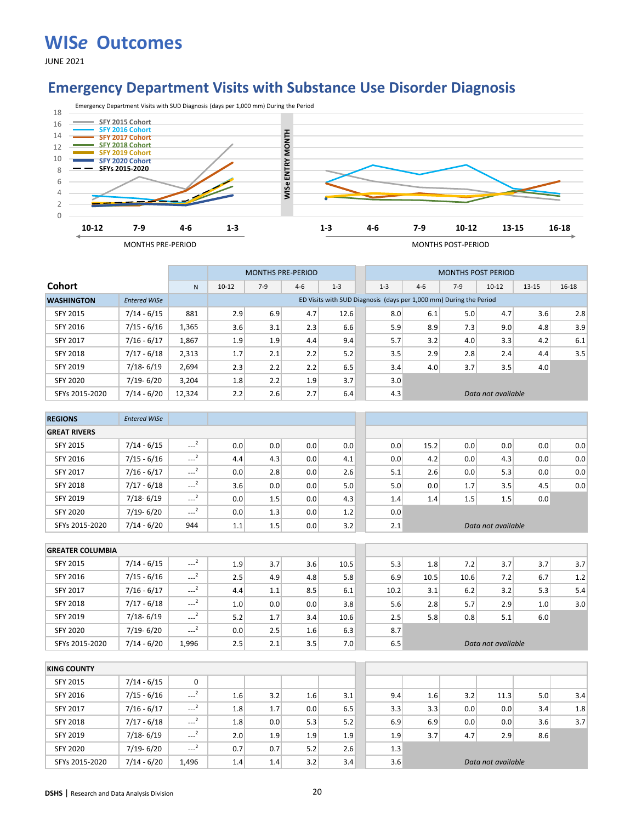JUNE 2021

#### **Emergency Department Visits with Substance Use Disorder Diagnosis**



|                   |                     |        |           | <b>MONTHS PRE-PERIOD</b> |         |                                                                    |         |       | <b>MONTHS POST PERIOD</b> |                    |           |           |
|-------------------|---------------------|--------|-----------|--------------------------|---------|--------------------------------------------------------------------|---------|-------|---------------------------|--------------------|-----------|-----------|
| Cohort            |                     | N      | $10 - 12$ | $7-9$                    | $4 - 6$ | $1 - 3$                                                            | $1 - 3$ | $4-6$ | $7-9$                     | $10 - 12$          | $13 - 15$ | $16 - 18$ |
| <b>WASHINGTON</b> | <b>Entered WISe</b> |        |           |                          |         | ED Visits with SUD Diagnosis (days per 1,000 mm) During the Period |         |       |                           |                    |           |           |
| SFY 2015          | 7/14 - 6/15         | 881    | 2.9       | 6.9                      | 4.7     | 12.6                                                               | 8.0     | 6.1   | 5.0                       | 4.7                | 3.6       | 2.8       |
| SFY 2016          | 7/15 - 6/16         | 1,365  | 3.6       | 3.1                      | 2.3     | 6.6                                                                | 5.9     | 8.9   | 7.3                       | 9.0                | 4.8       | 3.9       |
| <b>SFY 2017</b>   | $7/16 - 6/17$       | 1,867  | 1.9       | 1.9                      | 4.4     | 9.4                                                                | 5.7     | 3.2   | 4.0                       | 3.3                | 4.2       | 6.1       |
| <b>SFY 2018</b>   | $7/17 - 6/18$       | 2,313  | 1.7       | 2.1                      | 2.2     | 5.2                                                                | 3.5     | 2.9   | 2.8                       | 2.4                | 4.4       | 3.5       |
| <b>SFY 2019</b>   | $7/18 - 6/19$       | 2,694  | 2.3       | 2.2                      | 2.2     | 6.5                                                                | 3.4     | 4.0   | 3.7                       | 3.5                | 4.0       |           |
| SFY 2020          | $7/19 - 6/20$       | 3.204  | 1.8       | 2.2                      | 1.9     | 3.7                                                                | 3.0     |       |                           |                    |           |           |
| SFYs 2015-2020    | $7/14 - 6/20$       | 12,324 | 2.2       | 2.6                      | 2.7     | 6.4                                                                | 4.3     |       |                           | Data not available |           |           |

| <b>REGIONS</b>      | <b>Entered WISe</b> |                        |     |     |     |     |     |      |     |                    |     |     |
|---------------------|---------------------|------------------------|-----|-----|-----|-----|-----|------|-----|--------------------|-----|-----|
| <b>GREAT RIVERS</b> |                     |                        |     |     |     |     |     |      |     |                    |     |     |
| <b>SFY 2015</b>     | $7/14 - 6/15$       | $\sim$ <sup>2</sup>    | 0.0 | 0.0 | 0.0 | 0.0 | 0.0 | 15.2 | 0.0 | 0.0                | 0.0 | 0.0 |
| SFY 2016            | $7/15 - 6/16$       | $\sim$ <sup>2</sup>    | 4.4 | 4.3 | 0.0 | 4.1 | 0.0 | 4.2  | 0.0 | 4.3                | 0.0 | 0.0 |
| <b>SFY 2017</b>     | $7/16 - 6/17$       | $\sim$ <sup>2</sup>    | 0.0 | 2.8 | 0.0 | 2.6 | 5.1 | 2.6  | 0.0 | 5.3                | 0.0 | 0.0 |
| <b>SFY 2018</b>     | $7/17 - 6/18$       | $\overline{2}$<br>---- | 3.6 | 0.0 | 0.0 | 5.0 | 5.0 | 0.0  | 1.7 | 3.5                | 4.5 | 0.0 |
| SFY 2019            | $7/18 - 6/19$       | $-2$                   | 0.0 | 1.5 | 0.0 | 4.3 | 1.4 | 1.4  | 1.5 | 1.5                | 0.0 |     |
| <b>SFY 2020</b>     | $7/19 - 6/20$       | $-2$                   | 0.0 | 1.3 | 0.0 | 1.2 | 0.0 |      |     |                    |     |     |
| SFYs 2015-2020      | $7/14 - 6/20$       | 944                    | 1.1 | 1.5 | 0.0 | 3.2 | 2.1 |      |     | Data not available |     |     |

| <b>GREATER COLUMBIA</b> |               |                     |     |     |     |      |      |      |      |                    |     |     |
|-------------------------|---------------|---------------------|-----|-----|-----|------|------|------|------|--------------------|-----|-----|
| <b>SFY 2015</b>         | $7/14 - 6/15$ | $-2$                | 1.9 | 3.7 | 3.6 | 10.5 | 5.3  | 1.8  | 7.2  | 3.7                | 3.7 | 3.7 |
| <b>SFY 2016</b>         | $7/15 - 6/16$ | $-2$                | 2.5 | 4.9 | 4.8 | 5.8  | 6.9  | 10.5 | 10.6 | 7.2                | 6.7 | 1.2 |
| <b>SFY 2017</b>         | $7/16 - 6/17$ | ---                 | 4.4 | 1.1 | 8.5 | 6.1  | 10.2 | 3.1  | 6.2  | 3.2                | 5.3 | 5.4 |
| <b>SFY 2018</b>         | $7/17 - 6/18$ | $\cdots$            | 1.0 | 0.0 | 0.0 | 3.8  | 5.6  | 2.8  | 5.7  | 2.9                | 1.0 | 3.0 |
| <b>SFY 2019</b>         | $7/18 - 6/19$ | $-2$                | 5.2 | 1.7 | 3.4 | 10.6 | 2.5  | 5.8  | 0.8  | 5.1                | 6.0 |     |
| <b>SFY 2020</b>         | $7/19 - 6/20$ | $\sim$ <sup>2</sup> | 0.0 | 2.5 | 1.6 | 6.3  | 8.7  |      |      |                    |     |     |
| SFYs 2015-2020          | $7/14 - 6/20$ | 1.996               | 2.5 | 2.1 | 3.5 | 7.0  | 6.5  |      |      | Data not available |     |     |

| <b>KING COUNTY</b> |               |                     |     |     |     |     |     |     |     |                    |     |     |
|--------------------|---------------|---------------------|-----|-----|-----|-----|-----|-----|-----|--------------------|-----|-----|
| SFY 2015           | $7/14 - 6/15$ | 0                   |     |     |     |     |     |     |     |                    |     |     |
| SFY 2016           | $7/15 - 6/16$ | $\sim$ <sup>2</sup> | 1.6 | 3.2 | 1.6 | 3.1 | 9.4 | 1.6 | 3.2 | 11.3               | 5.0 | 3.4 |
| <b>SFY 2017</b>    | $7/16 - 6/17$ | $-2$                | 1.8 | 1.7 | 0.0 | 6.5 | 3.3 | 3.3 | 0.0 | 0.0                | 3.4 | 1.8 |
| <b>SFY 2018</b>    | $7/17 - 6/18$ | $\sim$ <sup>2</sup> | 1.8 | 0.0 | 5.3 | 5.2 | 6.9 | 6.9 | 0.0 | 0.0                | 3.6 | 3.7 |
| SFY 2019           | $7/18 - 6/19$ | $-2$                | 2.0 | 1.9 | 1.9 | 1.9 | 1.9 | 3.7 | 4.7 | 2.9                | 8.6 |     |
| <b>SFY 2020</b>    | $7/19 - 6/20$ | $-2$                | 0.7 | 0.7 | 5.2 | 2.6 | 1.3 |     |     |                    |     |     |
| SFYs 2015-2020     | $7/14 - 6/20$ | 1.496               | 1.4 | 1.4 | 3.2 | 3.4 | 3.6 |     |     | Data not available |     |     |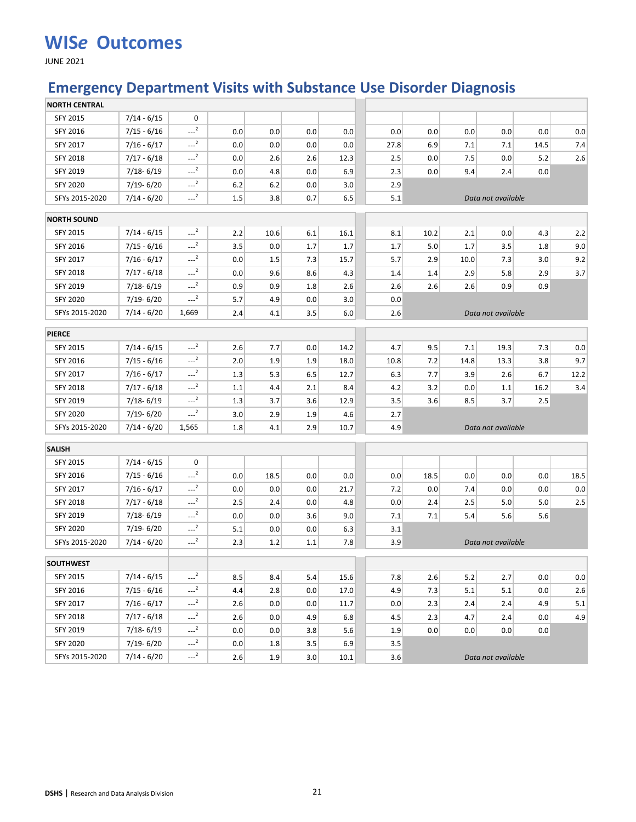JUNE 2021

### **Emergency Department Visits with Substance Use Disorder Diagnosis**

| <b>NORTH CENTRAL</b> |               |                     |         |      |     |      |      |             |      |                    |      |      |
|----------------------|---------------|---------------------|---------|------|-----|------|------|-------------|------|--------------------|------|------|
| SFY 2015             | $7/14 - 6/15$ | 0                   |         |      |     |      |      |             |      |                    |      |      |
| SFY 2016             | $7/15 - 6/16$ | $-2$                | 0.0     | 0.0  | 0.0 | 0.0  |      | 0.0<br>0.0  | 0.0  | 0.0                | 0.0  | 0.0  |
| SFY 2017             | $7/16 - 6/17$ | $---2$              | 0.0     | 0.0  | 0.0 | 0.0  | 27.8 | 6.9         | 7.1  | 7.1                | 14.5 | 7.4  |
| <b>SFY 2018</b>      | $7/17 - 6/18$ | $-2$                | 0.0     | 2.6  | 2.6 | 12.3 |      | 2.5<br>0.0  | 7.5  | 0.0                | 5.2  | 2.6  |
| SFY 2019             | $7/18 - 6/19$ | $-2$                | 0.0     | 4.8  | 0.0 | 6.9  |      | 2.3<br>0.0  | 9.4  | 2.4                | 0.0  |      |
| <b>SFY 2020</b>      | 7/19-6/20     | $-2$                | 6.2     | 6.2  | 0.0 | 3.0  |      | 2.9         |      |                    |      |      |
| SFYs 2015-2020       | $7/14 - 6/20$ | $-2$                | $1.5\,$ | 3.8  | 0.7 | 6.5  |      | 5.1         |      | Data not available |      |      |
| <b>NORTH SOUND</b>   |               |                     |         |      |     |      |      |             |      |                    |      |      |
| SFY 2015             | $7/14 - 6/15$ | $-2$                | 2.2     | 10.6 | 6.1 | 16.1 |      | 8.1<br>10.2 | 2.1  | 0.0                | 4.3  | 2.2  |
| SFY 2016             | $7/15 - 6/16$ | $-2$                | 3.5     | 0.0  | 1.7 | 1.7  |      | 5.0<br>1.7  | 1.7  | 3.5                | 1.8  | 9.0  |
| SFY 2017             | $7/16 - 6/17$ | $-2$                | 0.0     | 1.5  | 7.3 | 15.7 |      | 5.7<br>2.9  | 10.0 | 7.3                | 3.0  | 9.2  |
| <b>SFY 2018</b>      | $7/17 - 6/18$ | $-2$                | 0.0     | 9.6  | 8.6 | 4.3  |      | 1.4<br>1.4  | 2.9  | 5.8                | 2.9  | 3.7  |
| SFY 2019             | 7/18-6/19     | $-2$                | 0.9     | 0.9  | 1.8 | 2.6  |      | 2.6<br>2.6  | 2.6  | 0.9                | 0.9  |      |
| <b>SFY 2020</b>      | 7/19-6/20     | $-2$                | 5.7     | 4.9  | 0.0 | 3.0  |      | 0.0         |      |                    |      |      |
| SFYs 2015-2020       | $7/14 - 6/20$ | 1,669               | 2.4     | 4.1  | 3.5 | 6.0  |      | 2.6         |      | Data not available |      |      |
| <b>PIERCE</b>        |               |                     |         |      |     |      |      |             |      |                    |      |      |
| SFY 2015             | $7/14 - 6/15$ | $-2$                | 2.6     | 7.7  | 0.0 | 14.2 |      | 9.5<br>4.7  | 7.1  | 19.3               | 7.3  | 0.0  |
| SFY 2016             | $7/15 - 6/16$ | $-2$                | 2.0     | 1.9  | 1.9 | 18.0 | 10.8 | 7.2         | 14.8 | 13.3               | 3.8  | 9.7  |
| <b>SFY 2017</b>      | $7/16 - 6/17$ | $-2$                | 1.3     | 5.3  | 6.5 | 12.7 |      | 7.7<br>6.3  | 3.9  | 2.6                | 6.7  | 12.2 |
| SFY 2018             | $7/17 - 6/18$ | $-2$                | 1.1     | 4.4  | 2.1 | 8.4  |      | 3.2<br>4.2  | 0.0  | 1.1                | 16.2 | 3.4  |
| SFY 2019             | 7/18-6/19     | $-2$                | 1.3     | 3.7  | 3.6 | 12.9 |      | 3.5<br>3.6  | 8.5  | 3.7                | 2.5  |      |
| <b>SFY 2020</b>      | 7/19-6/20     | $-2$                | 3.0     | 2.9  | 1.9 | 4.6  |      | 2.7         |      |                    |      |      |
| SFYs 2015-2020       | $7/14 - 6/20$ | 1,565               | 1.8     | 4.1  | 2.9 | 10.7 |      | 4.9         |      | Data not available |      |      |
| <b>SALISH</b>        |               |                     |         |      |     |      |      |             |      |                    |      |      |
| SFY 2015             | $7/14 - 6/15$ | 0                   |         |      |     |      |      |             |      |                    |      |      |
| SFY 2016             | $7/15 - 6/16$ | $\sim$ <sup>2</sup> | 0.0     | 18.5 | 0.0 | 0.0  |      | 0.0<br>18.5 | 0.0  | 0.0                | 0.0  | 18.5 |
| <b>SFY 2017</b>      | $7/16 - 6/17$ | $-2$                | 0.0     | 0.0  | 0.0 | 21.7 |      | 0.0<br>7.2  | 7.4  | 0.0                | 0.0  | 0.0  |
| SFY 2018             | $7/17 - 6/18$ | $-2$                | 2.5     | 2.4  | 0.0 | 4.8  |      | 0.0<br>2.4  | 2.5  | 5.0                | 5.0  | 2.5  |
| SFY 2019             | $7/18 - 6/19$ | $-2$                | 0.0     | 0.0  | 3.6 | 9.0  |      | 7.1<br>7.1  | 5.4  | 5.6                | 5.6  |      |
| <b>SFY 2020</b>      | 7/19-6/20     | $-2$                | 5.1     | 0.0  | 0.0 | 6.3  |      | 3.1         |      |                    |      |      |
| SFYs 2015-2020       | $7/14 - 6/20$ | $---2$              | 2.3     | 1.2  | 1.1 | 7.8  |      | 3.9         |      | Data not available |      |      |
| <b>SOUTHWEST</b>     |               |                     |         |      |     |      |      |             |      |                    |      |      |
| SFY 2015             | 7/14 - 6/15   | $-2$                | 8.5     | 8.4  | 5.4 | 15.6 |      | 7.8<br>2.6  | 5.2  | 2.7                | 0.0  | 0.0  |
| SFY 2016             | $7/15 - 6/16$ | $-2$                | 4.4     | 2.8  | 0.0 | 17.0 |      | 4.9<br>7.3  | 5.1  | 5.1                | 0.0  | 2.6  |
| SFY 2017             | $7/16 - 6/17$ | $-2$                | 2.6     | 0.0  | 0.0 | 11.7 |      | 0.0<br>2.3  | 2.4  | 2.4                | 4.9  | 5.1  |
| <b>SFY 2018</b>      | $7/17 - 6/18$ | $-2$                | 2.6     | 0.0  | 4.9 | 6.8  |      | 4.5<br>2.3  | 4.7  | 2.4                | 0.0  | 4.9  |
| SFY 2019             | $7/18 - 6/19$ | $-2$                | 0.0     | 0.0  | 3.8 | 5.6  |      | 0.0<br>1.9  | 0.0  | 0.0                | 0.0  |      |
| <b>SFY 2020</b>      | $7/19 - 6/20$ | $-2$                | 0.0     | 1.8  | 3.5 | 6.9  |      | 3.5         |      |                    |      |      |
| SFYs 2015-2020       | $7/14 - 6/20$ | $-2$                | 2.6     | 1.9  | 3.0 | 10.1 |      | 3.6         |      | Data not available |      |      |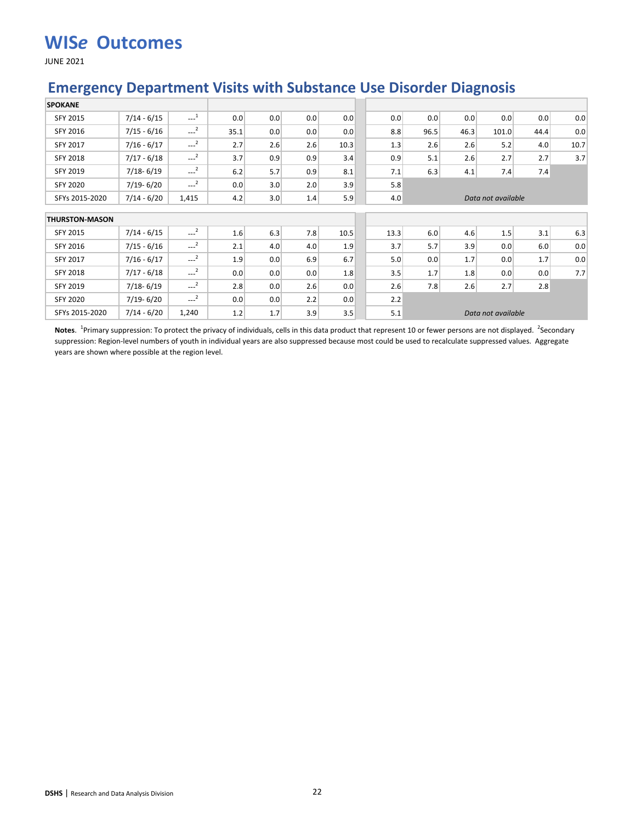JUNE 2021

### **Emergency Department Visits with Substance Use Disorder Diagnosis**

| <b>SPOKANE</b>        |               |                     |      |     |     |      |      |      |      |                    |      |      |
|-----------------------|---------------|---------------------|------|-----|-----|------|------|------|------|--------------------|------|------|
| <b>SFY 2015</b>       | $7/14 - 6/15$ | $\sim$ <sup>1</sup> | 0.0  | 0.0 | 0.0 | 0.0  | 0.0  | 0.0  | 0.0  | 0.0                | 0.0  | 0.0  |
| SFY 2016              | $7/15 - 6/16$ | $-2$                | 35.1 | 0.0 | 0.0 | 0.0  | 8.8  | 96.5 | 46.3 | 101.0              | 44.4 | 0.0  |
| SFY 2017              | $7/16 - 6/17$ | $-2$                | 2.7  | 2.6 | 2.6 | 10.3 | 1.3  | 2.6  | 2.6  | 5.2                | 4.0  | 10.7 |
| SFY 2018              | $7/17 - 6/18$ | $-2$                | 3.7  | 0.9 | 0.9 | 3.4  | 0.9  | 5.1  | 2.6  | 2.7                | 2.7  | 3.7  |
| <b>SFY 2019</b>       | $7/18 - 6/19$ | $-2$                | 6.2  | 5.7 | 0.9 | 8.1  | 7.1  | 6.3  | 4.1  | 7.4                | 7.4  |      |
| <b>SFY 2020</b>       | $7/19 - 6/20$ | $\sim$ <sup>2</sup> | 0.0  | 3.0 | 2.0 | 3.9  | 5.8  |      |      |                    |      |      |
| SFYs 2015-2020        | $7/14 - 6/20$ | 1,415               | 4.2  | 3.0 | 1.4 | 5.9  | 4.0  |      |      | Data not available |      |      |
| <b>THURSTON-MASON</b> |               |                     |      |     |     |      |      |      |      |                    |      |      |
| SFY 2015              | $7/14 - 6/15$ | $\sim$ <sup>2</sup> | 1.6  | 6.3 | 7.8 | 10.5 | 13.3 | 6.0  | 4.6  | 1.5                | 3.1  | 6.3  |
| SFY 2016              | $7/15 - 6/16$ | $\sim$ <sup>2</sup> | 2.1  | 4.0 | 4.0 | 1.9  | 3.7  | 5.7  | 3.9  | 0.0                | 6.0  | 0.0  |
| SFY 2017              | $7/16 - 6/17$ | $-2$                | 1.9  | 0.0 | 6.9 | 6.7  | 5.0  | 0.0  | 1.7  | 0.0                | 1.7  | 0.0  |
| <b>SFY 2018</b>       | $7/17 - 6/18$ | $-2$                | 0.0  | 0.0 | 0.0 | 1.8  | 3.5  | 1.7  | 1.8  | 0.0                | 0.0  | 7.7  |
| SFY 2019              | $7/18 - 6/19$ | $-2$                | 2.8  | 0.0 | 2.6 | 0.0  | 2.6  | 7.8  | 2.6  | 2.7                | 2.8  |      |
| <b>SFY 2020</b>       | $7/19 - 6/20$ | $\sim$ <sup>2</sup> | 0.0  | 0.0 | 2.2 | 0.0  | 2.2  |      |      |                    |      |      |
| SFYs 2015-2020        | $7/14 - 6/20$ | 1,240               | 1.2  | 1.7 | 3.9 | 3.5  | 5.1  |      |      | Data not available |      |      |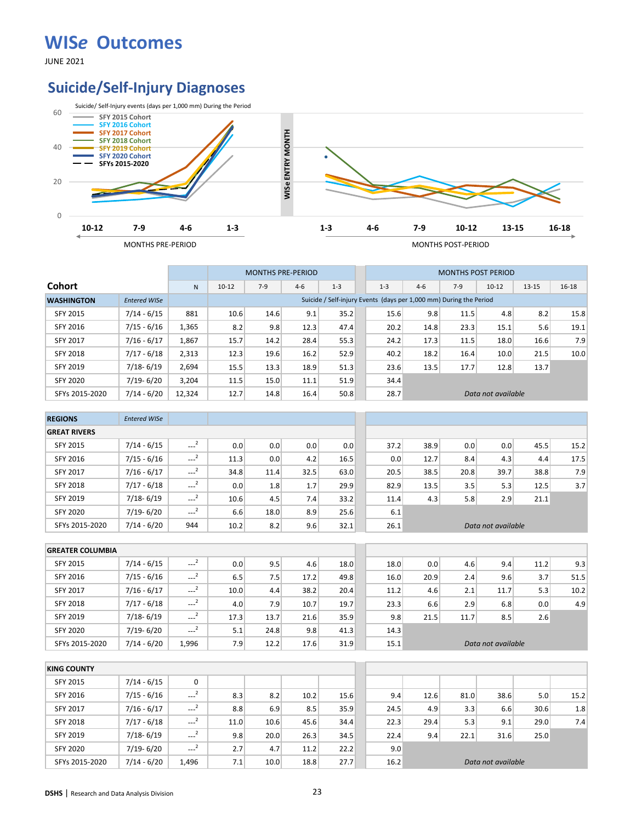JUNE 2021

### **Suicide/Self-Injury Diagnoses**



|                   |                     |        |           | <b>MONTHS PRE-PERIOD</b> |         |                                                                    |         |       |       | <b>MONTHS POST PERIOD</b> |           |           |
|-------------------|---------------------|--------|-----------|--------------------------|---------|--------------------------------------------------------------------|---------|-------|-------|---------------------------|-----------|-----------|
| <b>Cohort</b>     |                     | N      | $10 - 12$ | $7-9$                    | $4 - 6$ | $1 - 3$                                                            | $1 - 3$ | $4-6$ | $7-9$ | $10 - 12$                 | $13 - 15$ | $16 - 18$ |
| <b>WASHINGTON</b> | <b>Entered WISe</b> |        |           |                          |         | Suicide / Self-injury Events (days per 1,000 mm) During the Period |         |       |       |                           |           |           |
| SFY 2015          | $7/14 - 6/15$       | 881    | 10.6      | 14.6                     | 9.1     | 35.2                                                               | 15.6    | 9.8   | 11.5  | 4.8                       | 8.2       | 15.8      |
| <b>SFY 2016</b>   | $7/15 - 6/16$       | 1,365  | 8.2       | 9.8                      | 12.3    | 47.4                                                               | 20.2    | 14.8  | 23.3  | 15.1                      | 5.6       | 19.1      |
| <b>SFY 2017</b>   | $7/16 - 6/17$       | 1,867  | 15.7      | 14.2                     | 28.4    | 55.3                                                               | 24.2    | 17.3  | 11.5  | 18.0                      | 16.6      | 7.9       |
| <b>SFY 2018</b>   | $7/17 - 6/18$       | 2,313  | 12.3      | 19.6                     | 16.2    | 52.9                                                               | 40.2    | 18.2  | 16.4  | 10.0                      | 21.5      | 10.0      |
| <b>SFY 2019</b>   | $7/18 - 6/19$       | 2,694  | 15.5      | 13.3                     | 18.9    | 51.3                                                               | 23.6    | 13.5  | 17.7  | 12.8                      | 13.7      |           |
| <b>SFY 2020</b>   | 7/19-6/20           | 3,204  | 11.5      | 15.0                     | 11.1    | 51.9                                                               | 34.4    |       |       |                           |           |           |
| SFYs 2015-2020    | $7/14 - 6/20$       | 12,324 | 12.7      | 14.8                     | 16.4    | 50.8                                                               | 28.7    |       |       | Data not available        |           |           |

| <b>REGIONS</b>      | <b>Entered WISe</b> |                     |      |      |      |      |      |      |      |                    |      |      |
|---------------------|---------------------|---------------------|------|------|------|------|------|------|------|--------------------|------|------|
| <b>GREAT RIVERS</b> |                     |                     |      |      |      |      |      |      |      |                    |      |      |
| <b>SFY 2015</b>     | $7/14 - 6/15$       | $\sim$ <sup>2</sup> | 0.0  | 0.0  | 0.0  | 0.0  | 37.2 | 38.9 | 0.0  | 0.0                | 45.5 | 15.2 |
| SFY 2016            | $7/15 - 6/16$       | $\sim$ <sup>2</sup> | 11.3 | 0.0  | 4.2  | 16.5 | 0.0  | 12.7 | 8.4  | 4.3                | 4.4  | 17.5 |
| <b>SFY 2017</b>     | $7/16 - 6/17$       | $\sim$ <sup>2</sup> | 34.8 | 11.4 | 32.5 | 63.0 | 20.5 | 38.5 | 20.8 | 39.7               | 38.8 | 7.9  |
| <b>SFY 2018</b>     | $7/17 - 6/18$       | $-2$                | 0.0  | 1.8  | 1.7  | 29.9 | 82.9 | 13.5 | 3.5  | 5.3                | 12.5 | 3.7  |
| SFY 2019            | $7/18 - 6/19$       | $\sim$ <sup>2</sup> | 10.6 | 4.5  | 7.4  | 33.2 | 11.4 | 4.3  | 5.8  | 2.9                | 21.1 |      |
| <b>SFY 2020</b>     | $7/19 - 6/20$       | $\sim$ <sup>2</sup> | 6.6  | 18.0 | 8.9  | 25.6 | 6.1  |      |      |                    |      |      |
| SFYs 2015-2020      | $7/14 - 6/20$       | 944                 | 10.2 | 8.2  | 9.6  | 32.1 | 26.1 |      |      | Data not available |      |      |

| <b>GREATER COLUMBIA</b> |               |                     |      |      |      |      |      |      |      |                    |      |      |
|-------------------------|---------------|---------------------|------|------|------|------|------|------|------|--------------------|------|------|
| <b>SFY 2015</b>         | $7/14 - 6/15$ | $-2$                | 0.0  | 9.5  | 4.6  | 18.0 | 18.0 | 0.0  | 4.6  | 9.4                | 11.2 | 9.3  |
| <b>SFY 2016</b>         | $7/15 - 6/16$ | $---2$              | 6.5  | 7.5  | 17.2 | 49.8 | 16.0 | 20.9 | 2.4  | 9.6                | 3.7  | 51.5 |
| <b>SFY 2017</b>         | $7/16 - 6/17$ | $\sim$ <sup>2</sup> | 10.0 | 4.4  | 38.2 | 20.4 | 11.2 | 4.6  | 2.1  | 11.7               | 5.3  | 10.2 |
| <b>SFY 2018</b>         | $7/17 - 6/18$ | $\cdots$            | 4.0  | 7.9  | 10.7 | 19.7 | 23.3 | 6.6  | 2.9  | 6.8                | 0.0  | 4.9  |
| <b>SFY 2019</b>         | $7/18 - 6/19$ | $\sim$ <sup>2</sup> | 17.3 | 13.7 | 21.6 | 35.9 | 9.8  | 21.5 | 11.7 | 8.5                | 2.6  |      |
| <b>SFY 2020</b>         | $7/19 - 6/20$ | $---2$              | 5.1  | 24.8 | 9.8  | 41.3 | 14.3 |      |      |                    |      |      |
| SFYs 2015-2020          | $7/14 - 6/20$ | 1.996               | 7.9  | 12.2 | 17.6 | 31.9 | 15.1 |      |      | Data not available |      |      |

| <b>KING COUNTY</b> |               |                       |      |      |      |      |      |      |      |                    |      |      |
|--------------------|---------------|-----------------------|------|------|------|------|------|------|------|--------------------|------|------|
| <b>SFY 2015</b>    | $7/14 - 6/15$ | 0                     |      |      |      |      |      |      |      |                    |      |      |
| SFY 2016           | $7/15 - 6/16$ | $---2$                | 8.3  | 8.2  | 10.2 | 15.6 | 9.4  | 12.6 | 81.0 | 38.6               | 5.0  | 15.2 |
| <b>SFY 2017</b>    | $7/16 - 6/17$ | $\overline{2}$<br>--- | 8.8  | 6.9  | 8.5  | 35.9 | 24.5 | 4.9  | 3.3  | 6.6                | 30.6 | 1.8  |
| <b>SFY 2018</b>    | $7/17 - 6/18$ | $-2$                  | 11.0 | 10.6 | 45.6 | 34.4 | 22.3 | 29.4 | 5.3  | 9.1                | 29.0 | 7.4  |
| SFY 2019           | $7/18 - 6/19$ | $---2$                | 9.8  | 20.0 | 26.3 | 34.5 | 22.4 | 9.4  | 22.1 | 31.6               | 25.0 |      |
| <b>SFY 2020</b>    | $7/19 - 6/20$ | $---2$                | 2.7  | 4.7  | 11.2 | 22.2 | 9.0  |      |      |                    |      |      |
| SFYs 2015-2020     | $7/14 - 6/20$ | 1.496                 | 7.1  | 10.0 | 18.8 | 27.7 | 16.2 |      |      | Data not available |      |      |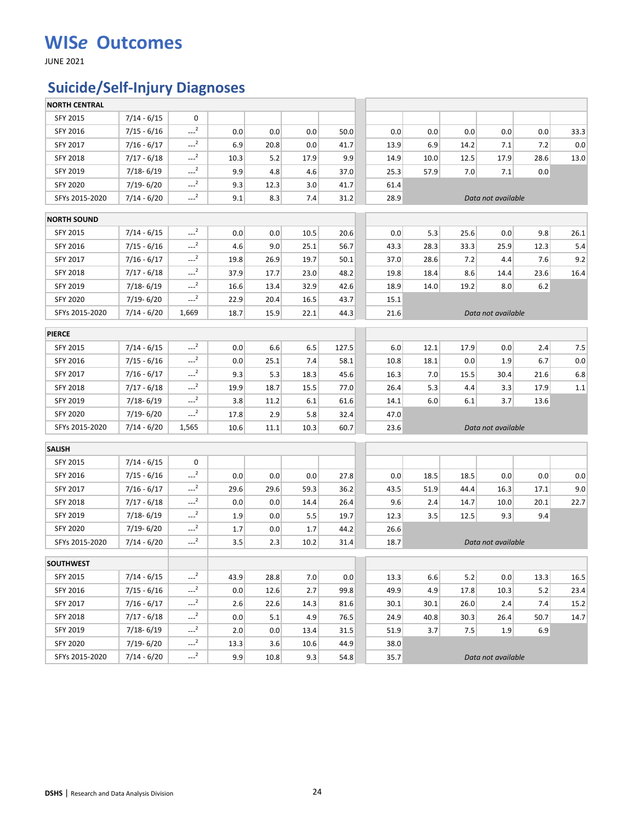JUNE 2021

## **Suicide/Self-Injury Diagnoses**

| <b>NORTH CENTRAL</b> |               |                     |      |      |      |       |      |      |      |                    |       |      |
|----------------------|---------------|---------------------|------|------|------|-------|------|------|------|--------------------|-------|------|
| SFY 2015             | $7/14 - 6/15$ | 0                   |      |      |      |       |      |      |      |                    |       |      |
| SFY 2016             | $7/15 - 6/16$ | $\sim$ <sup>2</sup> | 0.0  | 0.0  | 0.0  | 50.0  | 0.0  | 0.0  | 0.0  | 0.0                | 0.0   | 33.3 |
| SFY 2017             | $7/16 - 6/17$ | $-2$                | 6.9  | 20.8 | 0.0  | 41.7  | 13.9 | 6.9  | 14.2 | 7.1                | 7.2   | 0.0  |
| SFY 2018             | $7/17 - 6/18$ | $-2$                | 10.3 | 5.2  | 17.9 | 9.9   | 14.9 | 10.0 | 12.5 | 17.9               | 28.6  | 13.0 |
| SFY 2019             | 7/18-6/19     | $-2$                | 9.9  | 4.8  | 4.6  | 37.0  | 25.3 | 57.9 | 7.0  | 7.1                | 0.0   |      |
| <b>SFY 2020</b>      | $7/19 - 6/20$ | $-2$                | 9.3  | 12.3 | 3.0  | 41.7  | 61.4 |      |      |                    |       |      |
| SFYs 2015-2020       | $7/14 - 6/20$ | $-2$                | 9.1  | 8.3  | 7.4  | 31.2  | 28.9 |      |      | Data not available |       |      |
| <b>NORTH SOUND</b>   |               |                     |      |      |      |       |      |      |      |                    |       |      |
| SFY 2015             | $7/14 - 6/15$ | $-2$                | 0.0  | 0.0  | 10.5 | 20.6  | 0.0  | 5.3  | 25.6 | 0.0                | 9.8   | 26.1 |
| SFY 2016             | $7/15 - 6/16$ | $-2$                | 4.6  | 9.0  | 25.1 | 56.7  | 43.3 | 28.3 | 33.3 | 25.9               | 12.3  | 5.4  |
| SFY 2017             | $7/16 - 6/17$ | $-2$                | 19.8 | 26.9 | 19.7 | 50.1  | 37.0 | 28.6 | 7.2  | 4.4                | 7.6   | 9.2  |
| SFY 2018             | $7/17 - 6/18$ | $-2$                | 37.9 | 17.7 | 23.0 | 48.2  | 19.8 | 18.4 | 8.6  | 14.4               | 23.6  | 16.4 |
| SFY 2019             | 7/18-6/19     | $-2$                | 16.6 | 13.4 | 32.9 | 42.6  | 18.9 | 14.0 | 19.2 | 8.0                | $6.2$ |      |
| <b>SFY 2020</b>      | 7/19-6/20     | $-2$                | 22.9 | 20.4 | 16.5 | 43.7  | 15.1 |      |      |                    |       |      |
| SFYs 2015-2020       | 7/14 - 6/20   | 1,669               | 18.7 | 15.9 | 22.1 | 44.3  | 21.6 |      |      | Data not available |       |      |
| <b>PIERCE</b>        |               |                     |      |      |      |       |      |      |      |                    |       |      |
| SFY 2015             | $7/14 - 6/15$ | $-2$                | 0.0  | 6.6  | 6.5  | 127.5 | 6.0  | 12.1 | 17.9 | 0.0                | 2.4   | 7.5  |
| SFY 2016             | $7/15 - 6/16$ | $-2$                | 0.0  | 25.1 | 7.4  | 58.1  | 10.8 | 18.1 | 0.0  | 1.9                | 6.7   | 0.0  |
| SFY 2017             | $7/16 - 6/17$ | $\sim$ <sup>2</sup> | 9.3  | 5.3  | 18.3 | 45.6  | 16.3 | 7.0  | 15.5 | 30.4               | 21.6  | 6.8  |
| SFY 2018             | $7/17 - 6/18$ | $\sim$ <sup>2</sup> | 19.9 | 18.7 | 15.5 | 77.0  | 26.4 | 5.3  | 4.4  | 3.3                | 17.9  | 1.1  |
| SFY 2019             | 7/18-6/19     | $-2$                | 3.8  | 11.2 | 6.1  | 61.6  | 14.1 | 6.0  | 6.1  | 3.7                | 13.6  |      |
| <b>SFY 2020</b>      | 7/19-6/20     | $-2$                | 17.8 | 2.9  | 5.8  | 32.4  | 47.0 |      |      |                    |       |      |
| SFYs 2015-2020       | $7/14 - 6/20$ | 1,565               | 10.6 | 11.1 | 10.3 | 60.7  | 23.6 |      |      | Data not available |       |      |
| <b>SALISH</b>        |               |                     |      |      |      |       |      |      |      |                    |       |      |
| SFY 2015             | $7/14 - 6/15$ | 0                   |      |      |      |       |      |      |      |                    |       |      |
| SFY 2016             | $7/15 - 6/16$ | $-2$                | 0.0  | 0.0  | 0.0  | 27.8  | 0.0  | 18.5 | 18.5 | 0.0                | 0.0   | 0.0  |
| SFY 2017             | $7/16 - 6/17$ | $-2$                | 29.6 | 29.6 | 59.3 | 36.2  | 43.5 | 51.9 | 44.4 | 16.3               | 17.1  | 9.0  |
| <b>SFY 2018</b>      | $7/17 - 6/18$ | $-2$                | 0.0  | 0.0  | 14.4 | 26.4  | 9.6  | 2.4  | 14.7 | 10.0               | 20.1  | 22.7 |
| SFY 2019             | $7/18 - 6/19$ | $-2$                | 1.9  | 0.0  | 5.5  | 19.7  | 12.3 | 3.5  | 12.5 | 9.3                | 9.4   |      |
| <b>SFY 2020</b>      | 7/19-6/20     | $-2$                | 1.7  | 0.0  | 1.7  | 44.2  | 26.6 |      |      |                    |       |      |
| SFYs 2015-2020       | $7/14 - 6/20$ | $-2$                | 3.5  | 2.3  | 10.2 | 31.4  | 18.7 |      |      | Data not available |       |      |
| <b>SOUTHWEST</b>     |               |                     |      |      |      |       |      |      |      |                    |       |      |
| SFY 2015             | $7/14 - 6/15$ | $-2$                | 43.9 | 28.8 | 7.0  | 0.0   | 13.3 | 6.6  | 5.2  | 0.0                | 13.3  | 16.5 |
| SFY 2016             | $7/15 - 6/16$ | $-2$                | 0.0  | 12.6 | 2.7  | 99.8  | 49.9 | 4.9  | 17.8 | 10.3               | 5.2   | 23.4 |
| SFY 2017             | $7/16 - 6/17$ | $-2$                | 2.6  | 22.6 | 14.3 | 81.6  | 30.1 | 30.1 | 26.0 | 2.4                | 7.4   | 15.2 |
| <b>SFY 2018</b>      | $7/17 - 6/18$ | $\sim$ <sup>2</sup> | 0.0  | 5.1  | 4.9  | 76.5  | 24.9 | 40.8 | 30.3 | 26.4               | 50.7  | 14.7 |
| SFY 2019             | 7/18-6/19     | $-2$                | 2.0  | 0.0  | 13.4 | 31.5  | 51.9 | 3.7  | 7.5  | 1.9                | 6.9   |      |
| <b>SFY 2020</b>      | 7/19-6/20     | $---2$              | 13.3 | 3.6  | 10.6 | 44.9  | 38.0 |      |      |                    |       |      |
| SFYs 2015-2020       | $7/14 - 6/20$ | $-2$                | 9.9  | 10.8 | 9.3  | 54.8  | 35.7 |      |      | Data not available |       |      |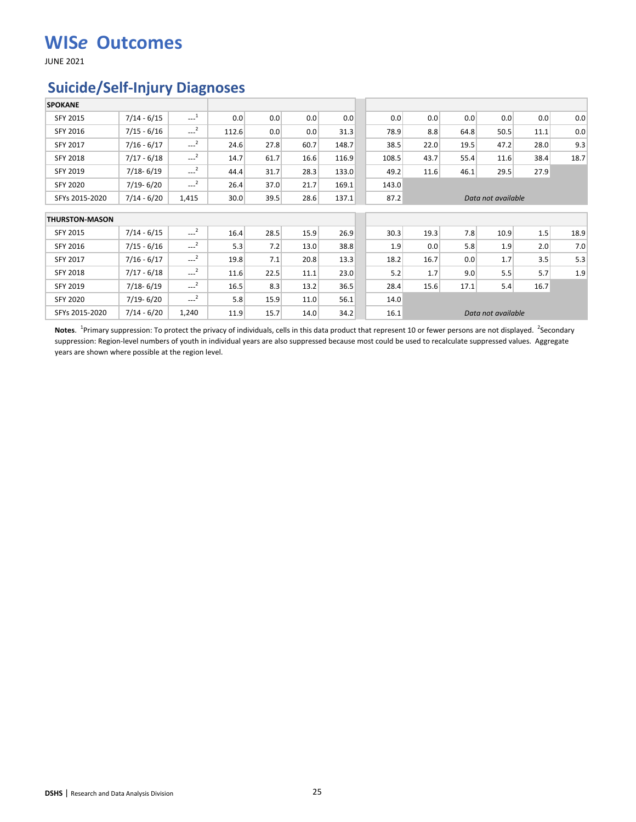JUNE 2021

#### **Suicide/Self-Injury Diagnoses**

| <b>SPOKANE</b>        |               |                     |       |      |      |       |       |      |      |                    |      |      |
|-----------------------|---------------|---------------------|-------|------|------|-------|-------|------|------|--------------------|------|------|
| <b>SFY 2015</b>       | $7/14 - 6/15$ | $\sim$ <sup>1</sup> | 0.0   | 0.0  | 0.0  | 0.0   | 0.0   | 0.0  | 0.0  | 0.0                | 0.0  | 0.0  |
| SFY 2016              | $7/15 - 6/16$ | $\sim$ <sup>2</sup> | 112.6 | 0.0  | 0.0  | 31.3  | 78.9  | 8.8  | 64.8 | 50.5               | 11.1 | 0.0  |
| SFY 2017              | $7/16 - 6/17$ | $---2$              | 24.6  | 27.8 | 60.7 | 148.7 | 38.5  | 22.0 | 19.5 | 47.2               | 28.0 | 9.3  |
| <b>SFY 2018</b>       | $7/17 - 6/18$ | $\sim$ <sup>2</sup> | 14.7  | 61.7 | 16.6 | 116.9 | 108.5 | 43.7 | 55.4 | 11.6               | 38.4 | 18.7 |
| <b>SFY 2019</b>       | $7/18 - 6/19$ | $-2$                | 44.4  | 31.7 | 28.3 | 133.0 | 49.2  | 11.6 | 46.1 | 29.5               | 27.9 |      |
| SFY 2020              | $7/19 - 6/20$ | $-2$                | 26.4  | 37.0 | 21.7 | 169.1 | 143.0 |      |      |                    |      |      |
| SFYs 2015-2020        | $7/14 - 6/20$ | 1,415               | 30.0  | 39.5 | 28.6 | 137.1 | 87.2  |      |      | Data not available |      |      |
| <b>THURSTON-MASON</b> |               |                     |       |      |      |       |       |      |      |                    |      |      |
| SFY 2015              | $7/14 - 6/15$ | $-2$                | 16.4  | 28.5 | 15.9 | 26.9  | 30.3  | 19.3 | 7.8  | 10.9               | 1.5  | 18.9 |
| SFY 2016              | $7/15 - 6/16$ | $\sim$ <sup>2</sup> | 5.3   | 7.2  | 13.0 | 38.8  | 1.9   | 0.0  | 5.8  | 1.9                | 2.0  | 7.0  |
| SFY 2017              | $7/16 - 6/17$ | $\sim$ <sup>2</sup> | 19.8  | 7.1  | 20.8 | 13.3  | 18.2  | 16.7 | 0.0  | 1.7                | 3.5  | 5.3  |
| <b>SFY 2018</b>       | $7/17 - 6/18$ | $---2$              | 11.6  | 22.5 | 11.1 | 23.0  | 5.2   | 1.7  | 9.0  | 5.5                | 5.7  | 1.9  |
| SFY 2019              | $7/18 - 6/19$ | $-2$                | 16.5  | 8.3  | 13.2 | 36.5  | 28.4  | 15.6 | 17.1 | 5.4                | 16.7 |      |
|                       |               |                     |       |      |      |       |       |      |      |                    |      |      |
| <b>SFY 2020</b>       | $7/19 - 6/20$ | $\sim$ <sup>2</sup> | 5.8   | 15.9 | 11.0 | 56.1  | 14.0  |      |      |                    |      |      |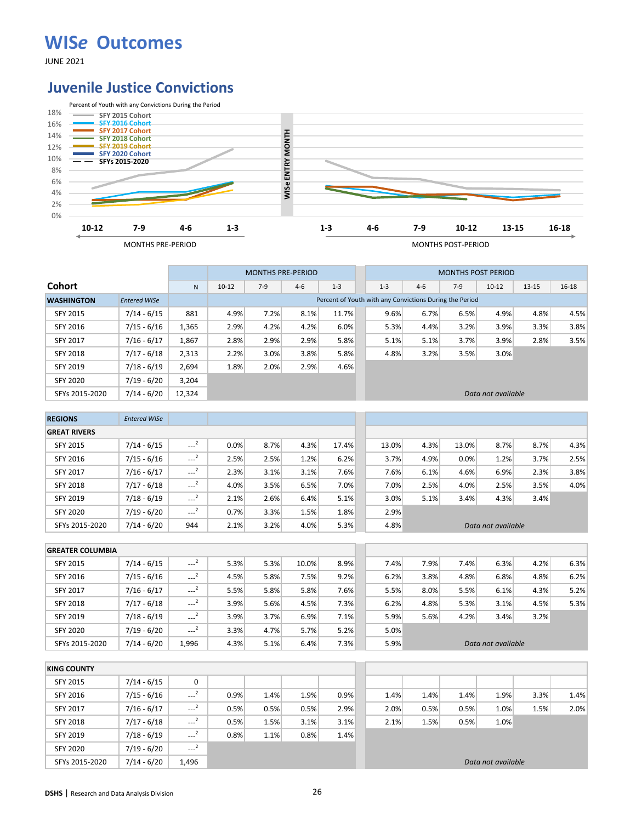JUNE 2021

#### **Juvenile Justice Convictions**



|                   |                     |        |           | <b>MONTHS PRE-PERIOD</b> |         |                                                         |         |       | <b>MONTHS POST PERIOD</b> |                    |           |           |
|-------------------|---------------------|--------|-----------|--------------------------|---------|---------------------------------------------------------|---------|-------|---------------------------|--------------------|-----------|-----------|
| <b>Cohort</b>     |                     | N      | $10 - 12$ | $7-9$                    | $4 - 6$ | $1 - 3$                                                 | $1 - 3$ | $4-6$ | $7-9$                     | $10 - 12$          | $13 - 15$ | $16 - 18$ |
| <b>WASHINGTON</b> | <b>Entered WISe</b> |        |           |                          |         | Percent of Youth with any Convictions During the Period |         |       |                           |                    |           |           |
| <b>SFY 2015</b>   | 7/14 - 6/15         | 881    | 4.9%      | 7.2%                     | 8.1%    | 11.7%                                                   | 9.6%    | 6.7%  | 6.5%                      | 4.9%               | 4.8%      | 4.5%      |
| SFY 2016          | 7/15 - 6/16         | 1,365  | 2.9%      | 4.2%                     | 4.2%    | 6.0%                                                    | 5.3%    | 4.4%  | 3.2%                      | 3.9%               | 3.3%      | 3.8%      |
| <b>SFY 2017</b>   | $7/16 - 6/17$       | 1,867  | 2.8%      | 2.9%                     | 2.9%    | 5.8%                                                    | 5.1%    | 5.1%  | 3.7%                      | 3.9%               | 2.8%      | 3.5%      |
| <b>SFY 2018</b>   | 7/17 - 6/18         | 2,313  | 2.2%      | 3.0%                     | 3.8%    | 5.8%                                                    | 4.8%    | 3.2%  | 3.5%                      | 3.0%               |           |           |
| SFY 2019          | $7/18 - 6/19$       | 2,694  | 1.8%      | 2.0%                     | 2.9%    | 4.6%                                                    |         |       |                           |                    |           |           |
| <b>SFY 2020</b>   | $7/19 - 6/20$       | 3.204  |           |                          |         |                                                         |         |       |                           |                    |           |           |
| SFYs 2015-2020    | $7/14 - 6/20$       | 12,324 |           |                          |         |                                                         |         |       |                           | Data not available |           |           |

| <b>REGIONS</b>      | <b>Entered WISe</b> |                     |      |      |      |       |       |      |       |                    |      |      |
|---------------------|---------------------|---------------------|------|------|------|-------|-------|------|-------|--------------------|------|------|
| <b>GREAT RIVERS</b> |                     |                     |      |      |      |       |       |      |       |                    |      |      |
| <b>SFY 2015</b>     | $7/14 - 6/15$       | $\sim$ <sup>2</sup> | 0.0% | 8.7% | 4.3% | 17.4% | 13.0% | 4.3% | 13.0% | 8.7%               | 8.7% | 4.3% |
| SFY 2016            | $7/15 - 6/16$       | $\sim$ <sup>2</sup> | 2.5% | 2.5% | 1.2% | 6.2%  | 3.7%  | 4.9% | 0.0%  | 1.2%               | 3.7% | 2.5% |
| <b>SFY 2017</b>     | $7/16 - 6/17$       | $\sim$ <sup>2</sup> | 2.3% | 3.1% | 3.1% | 7.6%  | 7.6%  | 6.1% | 4.6%  | 6.9%               | 2.3% | 3.8% |
| <b>SFY 2018</b>     | $7/17 - 6/18$       | $\sim$ <sup>2</sup> | 4.0% | 3.5% | 6.5% | 7.0%  | 7.0%  | 2.5% | 4.0%  | 2.5%               | 3.5% | 4.0% |
| SFY 2019            | $7/18 - 6/19$       | $\sim$ <sup>2</sup> | 2.1% | 2.6% | 6.4% | 5.1%  | 3.0%  | 5.1% | 3.4%  | 4.3%               | 3.4% |      |
| <b>SFY 2020</b>     | $7/19 - 6/20$       | $---2$              | 0.7% | 3.3% | 1.5% | 1.8%  | 2.9%  |      |       |                    |      |      |
| SFYs 2015-2020      | $7/14 - 6/20$       | 944                 | 2.1% | 3.2% | 4.0% | 5.3%  | 4.8%  |      |       | Data not available |      |      |

| <b>GREATER COLUMBIA</b> |               |                     |      |      |       |      |      |      |      |                    |      |      |
|-------------------------|---------------|---------------------|------|------|-------|------|------|------|------|--------------------|------|------|
| <b>SFY 2015</b>         | $7/14 - 6/15$ | $\sim$ <sup>2</sup> | 5.3% | 5.3% | 10.0% | 8.9% | 7.4% | 7.9% | 7.4% | 6.3%               | 4.2% | 6.3% |
| SFY 2016                | $7/15 - 6/16$ | $-2$                | 4.5% | 5.8% | 7.5%  | 9.2% | 6.2% | 3.8% | 4.8% | 6.8%               | 4.8% | 6.2% |
| <b>SFY 2017</b>         | $7/16 - 6/17$ | $\sim$ <sup>2</sup> | 5.5% | 5.8% | 5.8%  | 7.6% | 5.5% | 8.0% | 5.5% | 6.1%               | 4.3% | 5.2% |
| <b>SFY 2018</b>         | $7/17 - 6/18$ | ---                 | 3.9% | 5.6% | 4.5%  | 7.3% | 6.2% | 4.8% | 5.3% | 3.1%               | 4.5% | 5.3% |
| <b>SFY 2019</b>         | $7/18 - 6/19$ | $\sim$ <sup>2</sup> | 3.9% | 3.7% | 6.9%  | 7.1% | 5.9% | 5.6% | 4.2% | 3.4%               | 3.2% |      |
| <b>SFY 2020</b>         | $7/19 - 6/20$ | $\sim$ <sup>2</sup> | 3.3% | 4.7% | 5.7%  | 5.2% | 5.0% |      |      |                    |      |      |
| SFYs 2015-2020          | $7/14 - 6/20$ | 1,996               | 4.3% | 5.1% | 6.4%  | 7.3% | 5.9% |      |      | Data not available |      |      |

| <b>KING COUNTY</b> |               |                     |      |      |      |      |      |      |      |                    |      |      |
|--------------------|---------------|---------------------|------|------|------|------|------|------|------|--------------------|------|------|
| SFY 2015           | $7/14 - 6/15$ | 0                   |      |      |      |      |      |      |      |                    |      |      |
| SFY 2016           | $7/15 - 6/16$ | $\sim$ <sup>2</sup> | 0.9% | 1.4% | 1.9% | 0.9% | 1.4% | 1.4% | 1.4% | 1.9%               | 3.3% | 1.4% |
| <b>SFY 2017</b>    | $7/16 - 6/17$ | $\sim$ <sup>2</sup> | 0.5% | 0.5% | 0.5% | 2.9% | 2.0% | 0.5% | 0.5% | 1.0%               | 1.5% | 2.0% |
| <b>SFY 2018</b>    | $7/17 - 6/18$ | $\sim$ <sup>2</sup> | 0.5% | 1.5% | 3.1% | 3.1% | 2.1% | 1.5% | 0.5% | 1.0%               |      |      |
| SFY 2019           | $7/18 - 6/19$ | $-2$                | 0.8% | 1.1% | 0.8% | 1.4% |      |      |      |                    |      |      |
| <b>SFY 2020</b>    | $7/19 - 6/20$ | $\sim$ <sup>2</sup> |      |      |      |      |      |      |      |                    |      |      |
| SFYs 2015-2020     | $7/14 - 6/20$ | 1,496               |      |      |      |      |      |      |      | Data not available |      |      |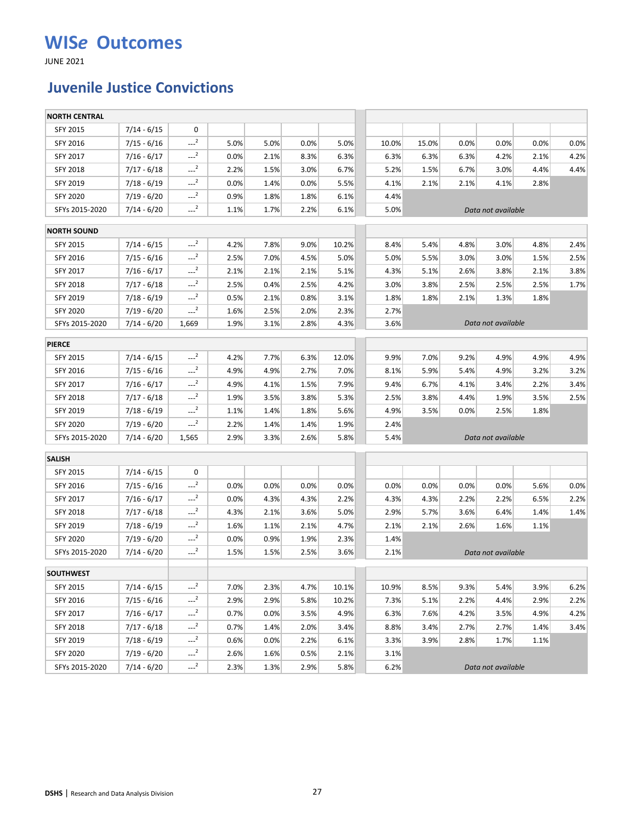JUNE 2021

### **Juvenile Justice Convictions**

| <b>NORTH CENTRAL</b> |               |                     |      |      |      |       |       |       |      |                    |      |      |
|----------------------|---------------|---------------------|------|------|------|-------|-------|-------|------|--------------------|------|------|
| SFY 2015             | $7/14 - 6/15$ | 0                   |      |      |      |       |       |       |      |                    |      |      |
| SFY 2016             | $7/15 - 6/16$ | $-2$                | 5.0% | 5.0% | 0.0% | 5.0%  | 10.0% | 15.0% | 0.0% | 0.0%               | 0.0% | 0.0% |
| SFY 2017             | $7/16 - 6/17$ | $-2$                | 0.0% | 2.1% | 8.3% | 6.3%  | 6.3%  | 6.3%  | 6.3% | 4.2%               | 2.1% | 4.2% |
| <b>SFY 2018</b>      | $7/17 - 6/18$ | $-2$                | 2.2% | 1.5% | 3.0% | 6.7%  | 5.2%  | 1.5%  | 6.7% | 3.0%               | 4.4% | 4.4% |
| SFY 2019             | $7/18 - 6/19$ | $-2$                | 0.0% | 1.4% | 0.0% | 5.5%  | 4.1%  | 2.1%  | 2.1% | 4.1%               | 2.8% |      |
| <b>SFY 2020</b>      | $7/19 - 6/20$ | $-2$                | 0.9% | 1.8% | 1.8% | 6.1%  | 4.4%  |       |      |                    |      |      |
| SFYs 2015-2020       | $7/14 - 6/20$ | $-2$                | 1.1% | 1.7% | 2.2% | 6.1%  | 5.0%  |       |      | Data not available |      |      |
| <b>NORTH SOUND</b>   |               |                     |      |      |      |       |       |       |      |                    |      |      |
| SFY 2015             | $7/14 - 6/15$ | $-2$                | 4.2% | 7.8% | 9.0% | 10.2% | 8.4%  | 5.4%  | 4.8% | 3.0%               | 4.8% | 2.4% |
| SFY 2016             | $7/15 - 6/16$ | $\sim$ <sup>2</sup> | 2.5% | 7.0% | 4.5% | 5.0%  | 5.0%  | 5.5%  | 3.0% | 3.0%               | 1.5% | 2.5% |
| SFY 2017             | $7/16 - 6/17$ | $-2$                | 2.1% | 2.1% | 2.1% | 5.1%  | 4.3%  | 5.1%  | 2.6% | 3.8%               | 2.1% | 3.8% |
| SFY 2018             | $7/17 - 6/18$ | $-2$                | 2.5% | 0.4% | 2.5% | 4.2%  | 3.0%  | 3.8%  | 2.5% | 2.5%               | 2.5% | 1.7% |
| SFY 2019             | $7/18 - 6/19$ | $-2$                | 0.5% | 2.1% | 0.8% | 3.1%  | 1.8%  | 1.8%  | 2.1% | 1.3%               | 1.8% |      |
| <b>SFY 2020</b>      | $7/19 - 6/20$ | $-2$                | 1.6% | 2.5% | 2.0% | 2.3%  | 2.7%  |       |      |                    |      |      |
| SFYs 2015-2020       | $7/14 - 6/20$ | 1,669               | 1.9% | 3.1% | 2.8% | 4.3%  | 3.6%  |       |      | Data not available |      |      |
| <b>PIERCE</b>        |               |                     |      |      |      |       |       |       |      |                    |      |      |
| <b>SFY 2015</b>      | $7/14 - 6/15$ | $-2$                | 4.2% | 7.7% | 6.3% | 12.0% | 9.9%  | 7.0%  | 9.2% | 4.9%               | 4.9% | 4.9% |
| SFY 2016             | $7/15 - 6/16$ | $-2$                | 4.9% | 4.9% | 2.7% | 7.0%  | 8.1%  | 5.9%  | 5.4% | 4.9%               | 3.2% | 3.2% |
| SFY 2017             | $7/16 - 6/17$ | $-2$                | 4.9% | 4.1% | 1.5% | 7.9%  | 9.4%  | 6.7%  | 4.1% | 3.4%               | 2.2% | 3.4% |
| <b>SFY 2018</b>      | $7/17 - 6/18$ | $-2$                | 1.9% | 3.5% | 3.8% | 5.3%  | 2.5%  | 3.8%  | 4.4% | 1.9%               | 3.5% | 2.5% |
| SFY 2019             | $7/18 - 6/19$ | $-2$                | 1.1% | 1.4% | 1.8% | 5.6%  | 4.9%  | 3.5%  | 0.0% | 2.5%               | 1.8% |      |
| <b>SFY 2020</b>      | $7/19 - 6/20$ | $-2$                | 2.2% | 1.4% | 1.4% | 1.9%  | 2.4%  |       |      |                    |      |      |
| SFYs 2015-2020       | $7/14 - 6/20$ | 1,565               | 2.9% | 3.3% | 2.6% | 5.8%  | 5.4%  |       |      | Data not available |      |      |
| <b>SALISH</b>        |               |                     |      |      |      |       |       |       |      |                    |      |      |
| SFY 2015             | $7/14 - 6/15$ | 0                   |      |      |      |       |       |       |      |                    |      |      |
| SFY 2016             | $7/15 - 6/16$ | $-2$                | 0.0% | 0.0% | 0.0% | 0.0%  | 0.0%  | 0.0%  | 0.0% | 0.0%               | 5.6% | 0.0% |
| SFY 2017             | $7/16 - 6/17$ | $-2$                | 0.0% | 4.3% | 4.3% | 2.2%  | 4.3%  | 4.3%  | 2.2% | 2.2%               | 6.5% | 2.2% |
| <b>SFY 2018</b>      | $7/17 - 6/18$ | $-2$                | 4.3% | 2.1% | 3.6% | 5.0%  | 2.9%  | 5.7%  | 3.6% | 6.4%               | 1.4% | 1.4% |
| SFY 2019             | $7/18 - 6/19$ | $-2$                | 1.6% | 1.1% | 2.1% | 4.7%  | 2.1%  | 2.1%  | 2.6% | 1.6%               | 1.1% |      |
| <b>SFY 2020</b>      | 7/19 - 6/20   | $-2$                | 0.0% | 0.9% | 1.9% | 2.3%  | 1.4%  |       |      |                    |      |      |
| SFYs 2015-2020       | $7/14 - 6/20$ | $-2$                | 1.5% | 1.5% | 2.5% | 3.6%  | 2.1%  |       |      | Data not available |      |      |
| <b>SOUTHWEST</b>     |               |                     |      |      |      |       |       |       |      |                    |      |      |
| SFY 2015             | $7/14 - 6/15$ | $-2$                | 7.0% | 2.3% | 4.7% | 10.1% | 10.9% | 8.5%  | 9.3% | 5.4%               | 3.9% | 6.2% |
| SFY 2016             | $7/15 - 6/16$ | $-2$                | 2.9% | 2.9% | 5.8% | 10.2% | 7.3%  | 5.1%  | 2.2% | 4.4%               | 2.9% | 2.2% |
| SFY 2017             | $7/16 - 6/17$ | $-2$                | 0.7% | 0.0% | 3.5% | 4.9%  | 6.3%  | 7.6%  | 4.2% | 3.5%               | 4.9% | 4.2% |
| <b>SFY 2018</b>      | $7/17 - 6/18$ | $-2$                | 0.7% | 1.4% | 2.0% | 3.4%  | 8.8%  | 3.4%  | 2.7% | 2.7%               | 1.4% | 3.4% |
| SFY 2019             | $7/18 - 6/19$ | $-2$                | 0.6% | 0.0% | 2.2% | 6.1%  | 3.3%  | 3.9%  | 2.8% | 1.7%               | 1.1% |      |
| <b>SFY 2020</b>      | $7/19 - 6/20$ | $-2$                | 2.6% | 1.6% | 0.5% | 2.1%  | 3.1%  |       |      |                    |      |      |
| SFYs 2015-2020       | $7/14 - 6/20$ | $-2$                | 2.3% | 1.3% | 2.9% | 5.8%  | 6.2%  |       |      | Data not available |      |      |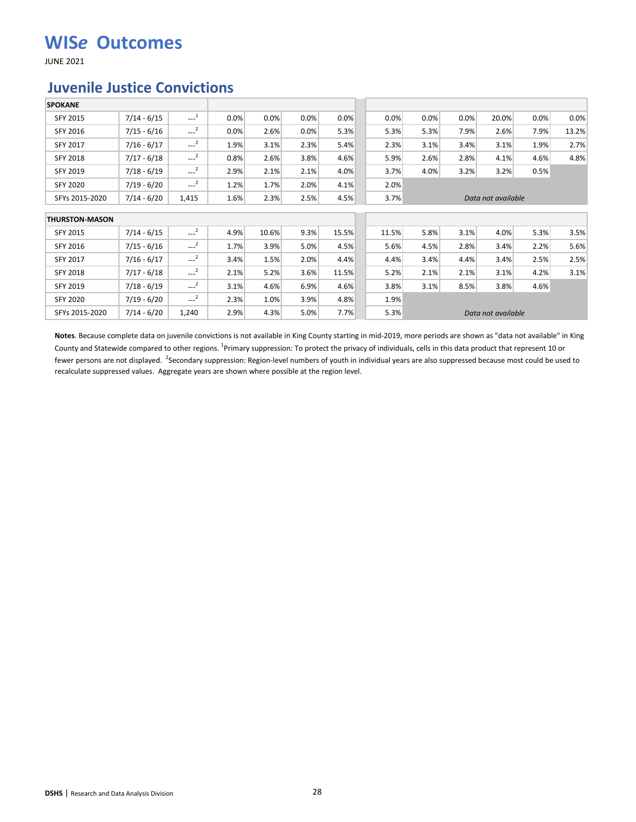JUNE 2021

#### **Juvenile Justice Convictions**

| <b>SPOKANE</b>        |               |                     |      |       |      |       |       |      |      |                    |      |       |
|-----------------------|---------------|---------------------|------|-------|------|-------|-------|------|------|--------------------|------|-------|
| <b>SFY 2015</b>       | $7/14 - 6/15$ | $\sim$ <sup>1</sup> | 0.0% | 0.0%  | 0.0% | 0.0%  | 0.0%  | 0.0% | 0.0% | 20.0%              | 0.0% | 0.0%  |
| SFY 2016              | $7/15 - 6/16$ | $\sim$ <sup>2</sup> | 0.0% | 2.6%  | 0.0% | 5.3%  | 5.3%  | 5.3% | 7.9% | 2.6%               | 7.9% | 13.2% |
| SFY 2017              | $7/16 - 6/17$ | $---2$              | 1.9% | 3.1%  | 2.3% | 5.4%  | 2.3%  | 3.1% | 3.4% | 3.1%               | 1.9% | 2.7%  |
| <b>SFY 2018</b>       | $7/17 - 6/18$ | $---2$              | 0.8% | 2.6%  | 3.8% | 4.6%  | 5.9%  | 2.6% | 2.8% | 4.1%               | 4.6% | 4.8%  |
| <b>SFY 2019</b>       | $7/18 - 6/19$ | $---2$              | 2.9% | 2.1%  | 2.1% | 4.0%  | 3.7%  | 4.0% | 3.2% | 3.2%               | 0.5% |       |
| <b>SFY 2020</b>       | $7/19 - 6/20$ | $\sim$ <sup>2</sup> | 1.2% | 1.7%  | 2.0% | 4.1%  | 2.0%  |      |      |                    |      |       |
| SFYs 2015-2020        | $7/14 - 6/20$ | 1,415               | 1.6% | 2.3%  | 2.5% | 4.5%  | 3.7%  |      |      | Data not available |      |       |
| <b>THURSTON-MASON</b> |               |                     |      |       |      |       |       |      |      |                    |      |       |
| SFY 2015              | $7/14 - 6/15$ | $\sim$ <sup>2</sup> | 4.9% | 10.6% | 9.3% | 15.5% | 11.5% | 5.8% | 3.1% | 4.0%               | 5.3% | 3.5%  |
| SFY 2016              | $7/15 - 6/16$ | $\sim$ <sup>2</sup> | 1.7% | 3.9%  | 5.0% | 4.5%  | 5.6%  | 4.5% | 2.8% | 3.4%               | 2.2% | 5.6%  |
| <b>SFY 2017</b>       | $7/16 - 6/17$ | $---2$              | 3.4% | 1.5%  | 2.0% | 4.4%  | 4.4%  | 3.4% | 4.4% | 3.4%               | 2.5% | 2.5%  |
| <b>SFY 2018</b>       | $7/17 - 6/18$ | $---2$              | 2.1% | 5.2%  | 3.6% | 11.5% | 5.2%  | 2.1% | 2.1% | 3.1%               | 4.2% | 3.1%  |
| SFY 2019              | $7/18 - 6/19$ | $---2$              | 3.1% | 4.6%  | 6.9% | 4.6%  | 3.8%  | 3.1% | 8.5% | 3.8%               | 4.6% |       |
| <b>SFY 2020</b>       | $7/19 - 6/20$ | $\sim$ <sup>2</sup> | 2.3% | 1.0%  | 3.9% | 4.8%  | 1.9%  |      |      |                    |      |       |
| SFYs 2015-2020        | $7/14 - 6/20$ | 1,240               | 2.9% | 4.3%  | 5.0% | 7.7%  | 5.3%  |      |      | Data not available |      |       |

**Notes**. Because complete data on juvenile convictions is not available in King County starting in mid-2019, more periods are shown as "data not available" in King County and Statewide compared to other regions. <sup>1</sup>Primary suppression: To protect the privacy of individuals, cells in this data product that represent 10 or fewer persons are not displayed. <sup>2</sup>Secondary suppression: Region-level numbers of youth in individual years are also suppressed because most could be used to recalculate suppressed values. Aggregate years are shown where possible at the region level.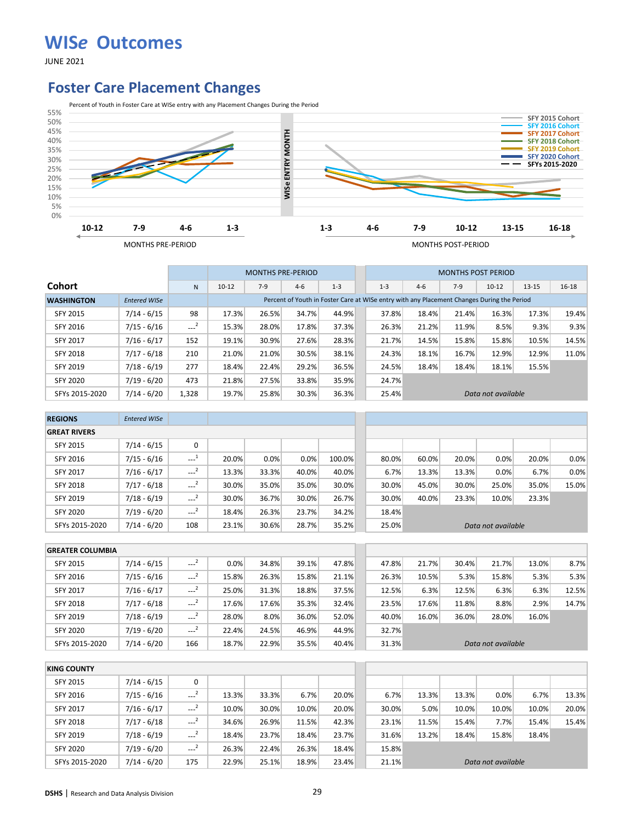JUNE 2021

#### **Foster Care Placement Changes**



|                   |                     |       |           | <b>MONTHS PRE-PERIOD</b> |                                                                                            |         |         |       | <b>MONTHS POST PERIOD</b> |                    |           |       |
|-------------------|---------------------|-------|-----------|--------------------------|--------------------------------------------------------------------------------------------|---------|---------|-------|---------------------------|--------------------|-----------|-------|
| <b>Cohort</b>     |                     | N     | $10 - 12$ | $7-9$                    | $4 - 6$                                                                                    | $1 - 3$ | $1 - 3$ | $4-6$ | $7-9$                     | $10-12$            | $13 - 15$ | 16-18 |
| <b>WASHINGTON</b> | <b>Entered WISe</b> |       |           |                          | Percent of Youth in Foster Care at WISe entry with any Placement Changes During the Period |         |         |       |                           |                    |           |       |
| <b>SFY 2015</b>   | 7/14 - 6/15         | 98    | 17.3%     | 26.5%                    | 34.7%                                                                                      | 44.9%   | 37.8%   | 18.4% | 21.4%                     | 16.3%              | 17.3%     | 19.4% |
| SFY 2016          | $7/15 - 6/16$       | $-2$  | 15.3%     | 28.0%                    | 17.8%                                                                                      | 37.3%   | 26.3%   | 21.2% | 11.9%                     | 8.5%               | 9.3%      | 9.3%  |
| <b>SFY 2017</b>   | $7/16 - 6/17$       | 152   | 19.1%     | 30.9%                    | 27.6%                                                                                      | 28.3%   | 21.7%   | 14.5% | 15.8%                     | 15.8%              | 10.5%     | 14.5% |
| <b>SFY 2018</b>   | $7/17 - 6/18$       | 210   | 21.0%     | 21.0%                    | 30.5%                                                                                      | 38.1%   | 24.3%   | 18.1% | 16.7%                     | 12.9%              | 12.9%     | 11.0% |
| SFY 2019          | $7/18 - 6/19$       | 277   | 18.4%     | 22.4%                    | 29.2%                                                                                      | 36.5%   | 24.5%   | 18.4% | 18.4%                     | 18.1%              | 15.5%     |       |
| <b>SFY 2020</b>   | $7/19 - 6/20$       | 473   | 21.8%     | 27.5%                    | 33.8%                                                                                      | 35.9%   | 24.7%   |       |                           |                    |           |       |
| SFYs 2015-2020    | $7/14 - 6/20$       | 1,328 | 19.7%     | 25.8%                    | 30.3%                                                                                      | 36.3%   | 25.4%   |       |                           | Data not available |           |       |

| <b>REGIONS</b>      | <b>Entered WISe</b> |                     |       |       |       |        |       |       |       |                    |       |       |
|---------------------|---------------------|---------------------|-------|-------|-------|--------|-------|-------|-------|--------------------|-------|-------|
| <b>GREAT RIVERS</b> |                     |                     |       |       |       |        |       |       |       |                    |       |       |
| <b>SFY 2015</b>     | $7/14 - 6/15$       | 0                   |       |       |       |        |       |       |       |                    |       |       |
| SFY 2016            | $7/15 - 6/16$       | $\sim$ <sup>1</sup> | 20.0% | 0.0%  | 0.0%  | 100.0% | 80.0% | 60.0% | 20.0% | 0.0%               | 20.0% | 0.0%  |
| <b>SFY 2017</b>     | $7/16 - 6/17$       | $-2$                | 13.3% | 33.3% | 40.0% | 40.0%  | 6.7%  | 13.3% | 13.3% | 0.0%               | 6.7%  | 0.0%  |
| <b>SFY 2018</b>     | $7/17 - 6/18$       | $\sim$ <sup>2</sup> | 30.0% | 35.0% | 35.0% | 30.0%  | 30.0% | 45.0% | 30.0% | 25.0%              | 35.0% | 15.0% |
| SFY 2019            | $7/18 - 6/19$       | $\sim$ <sup>2</sup> | 30.0% | 36.7% | 30.0% | 26.7%  | 30.0% | 40.0% | 23.3% | 10.0%              | 23.3% |       |
| <b>SFY 2020</b>     | $7/19 - 6/20$       | $---2$              | 18.4% | 26.3% | 23.7% | 34.2%  | 18.4% |       |       |                    |       |       |
| SFYs 2015-2020      | $7/14 - 6/20$       | 108                 | 23.1% | 30.6% | 28.7% | 35.2%  | 25.0% |       |       | Data not available |       |       |

| <b>GREATER COLUMBIA</b> |               |        |       |       |       |       |       |       |       |                    |       |       |
|-------------------------|---------------|--------|-------|-------|-------|-------|-------|-------|-------|--------------------|-------|-------|
| <b>SFY 2015</b>         | $7/14 - 6/15$ | $-2$   | 0.0%  | 34.8% | 39.1% | 47.8% | 47.8% | 21.7% | 30.4% | 21.7%              | 13.0% | 8.7%  |
| SFY 2016                | $7/15 - 6/16$ | $-2$   | 15.8% | 26.3% | 15.8% | 21.1% | 26.3% | 10.5% | 5.3%  | 15.8%              | 5.3%  | 5.3%  |
| <b>SFY 2017</b>         | $7/16 - 6/17$ | $---2$ | 25.0% | 31.3% | 18.8% | 37.5% | 12.5% | 6.3%  | 12.5% | 6.3%               | 6.3%  | 12.5% |
| <b>SFY 2018</b>         | $7/17 - 6/18$ | $-2$   | 17.6% | 17.6% | 35.3% | 32.4% | 23.5% | 17.6% | 11.8% | 8.8%               | 2.9%  | 14.7% |
| <b>SFY 2019</b>         | $7/18 - 6/19$ | $---2$ | 28.0% | 8.0%  | 36.0% | 52.0% | 40.0% | 16.0% | 36.0% | 28.0%              | 16.0% |       |
| <b>SFY 2020</b>         | $7/19 - 6/20$ | $-2$   | 22.4% | 24.5% | 46.9% | 44.9% | 32.7% |       |       |                    |       |       |
| SFYs 2015-2020          | $7/14 - 6/20$ | 166    | 18.7% | 22.9% | 35.5% | 40.4% | 31.3% |       |       | Data not available |       |       |

| <b>KING COUNTY</b> |               |        |       |       |       |       |       |       |       |                    |       |       |
|--------------------|---------------|--------|-------|-------|-------|-------|-------|-------|-------|--------------------|-------|-------|
| SFY 2015           | $7/14 - 6/15$ | 0      |       |       |       |       |       |       |       |                    |       |       |
| SFY 2016           | $7/15 - 6/16$ | $-2$   | 13.3% | 33.3% | 6.7%  | 20.0% | 6.7%  | 13.3% | 13.3% | 0.0%               | 6.7%  | 13.3% |
| <b>SFY 2017</b>    | $7/16 - 6/17$ | $-2$   | 10.0% | 30.0% | 10.0% | 20.0% | 30.0% | 5.0%  | 10.0% | 10.0%              | 10.0% | 20.0% |
| <b>SFY 2018</b>    | $7/17 - 6/18$ | $-2$   | 34.6% | 26.9% | 11.5% | 42.3% | 23.1% | 11.5% | 15.4% | 7.7%               | 15.4% | 15.4% |
| SFY 2019           | $7/18 - 6/19$ | $---2$ | 18.4% | 23.7% | 18.4% | 23.7% | 31.6% | 13.2% | 18.4% | 15.8%              | 18.4% |       |
| <b>SFY 2020</b>    | $7/19 - 6/20$ | $-2$   | 26.3% | 22.4% | 26.3% | 18.4% | 15.8% |       |       |                    |       |       |
| SFYs 2015-2020     | $7/14 - 6/20$ | 175    | 22.9% | 25.1% | 18.9% | 23.4% | 21.1% |       |       | Data not available |       |       |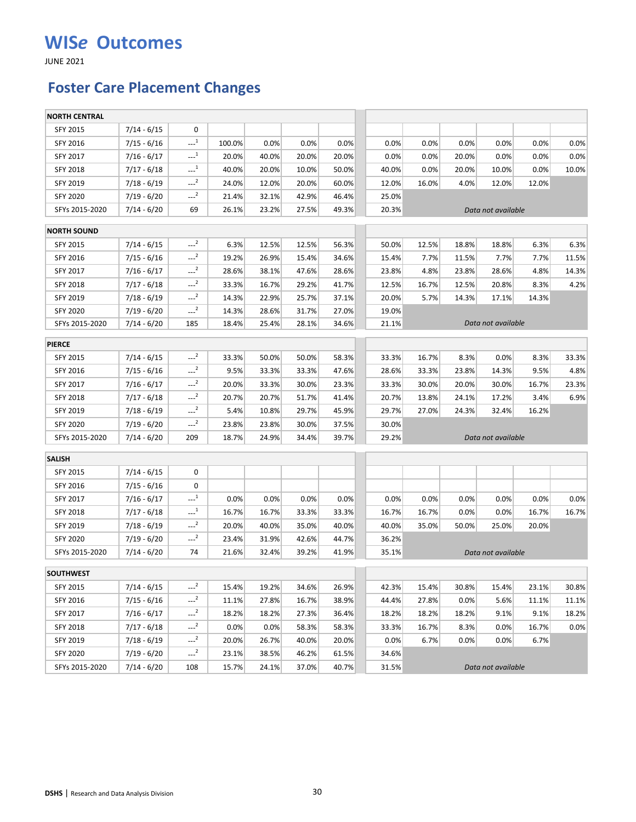JUNE 2021

### **Foster Care Placement Changes**

| <b>NORTH CENTRAL</b> |               |                       |        |       |       |       |       |       |       |                    |       |       |
|----------------------|---------------|-----------------------|--------|-------|-------|-------|-------|-------|-------|--------------------|-------|-------|
| SFY 2015             | $7/14 - 6/15$ | 0                     |        |       |       |       |       |       |       |                    |       |       |
| SFY 2016             | $7/15 - 6/16$ | $-1$                  | 100.0% | 0.0%  | 0.0%  | 0.0%  | 0.0%  | 0.0%  | 0.0%  | 0.0%               | 0.0%  | 0.0%  |
| SFY 2017             | $7/16 - 6/17$ | $-1$                  | 20.0%  | 40.0% | 20.0% | 20.0% | 0.0%  | 0.0%  | 20.0% | 0.0%               | 0.0%  | 0.0%  |
| <b>SFY 2018</b>      | $7/17 - 6/18$ | $-1$                  | 40.0%  | 20.0% | 10.0% | 50.0% | 40.0% | 0.0%  | 20.0% | 10.0%              | 0.0%  | 10.0% |
| SFY 2019             | $7/18 - 6/19$ | $-2$                  | 24.0%  | 12.0% | 20.0% | 60.0% | 12.0% | 16.0% | 4.0%  | 12.0%              | 12.0% |       |
| <b>SFY 2020</b>      | $7/19 - 6/20$ | $-2$                  | 21.4%  | 32.1% | 42.9% | 46.4% | 25.0% |       |       |                    |       |       |
| SFYs 2015-2020       | $7/14 - 6/20$ | 69                    | 26.1%  | 23.2% | 27.5% | 49.3% | 20.3% |       |       | Data not available |       |       |
| <b>NORTH SOUND</b>   |               |                       |        |       |       |       |       |       |       |                    |       |       |
| SFY 2015             | $7/14 - 6/15$ | $-2$                  | 6.3%   | 12.5% | 12.5% | 56.3% | 50.0% | 12.5% | 18.8% | 18.8%              | 6.3%  | 6.3%  |
| SFY 2016             | $7/15 - 6/16$ | $-2$                  | 19.2%  | 26.9% | 15.4% | 34.6% | 15.4% | 7.7%  | 11.5% | 7.7%               | 7.7%  | 11.5% |
| SFY 2017             | $7/16 - 6/17$ | $-2$                  | 28.6%  | 38.1% | 47.6% | 28.6% | 23.8% | 4.8%  | 23.8% | 28.6%              | 4.8%  | 14.3% |
| SFY 2018             | $7/17 - 6/18$ | $-2$                  | 33.3%  | 16.7% | 29.2% | 41.7% | 12.5% | 16.7% | 12.5% | 20.8%              | 8.3%  | 4.2%  |
| SFY 2019             | $7/18 - 6/19$ | $-2$                  | 14.3%  | 22.9% | 25.7% | 37.1% | 20.0% | 5.7%  | 14.3% | 17.1%              | 14.3% |       |
| <b>SFY 2020</b>      | $7/19 - 6/20$ | $-2$                  | 14.3%  | 28.6% | 31.7% | 27.0% | 19.0% |       |       |                    |       |       |
| SFYs 2015-2020       | $7/14 - 6/20$ | 185                   | 18.4%  | 25.4% | 28.1% | 34.6% | 21.1% |       |       | Data not available |       |       |
| <b>PIERCE</b>        |               |                       |        |       |       |       |       |       |       |                    |       |       |
| <b>SFY 2015</b>      | $7/14 - 6/15$ | $-2$                  | 33.3%  | 50.0% | 50.0% | 58.3% | 33.3% | 16.7% | 8.3%  | 0.0%               | 8.3%  | 33.3% |
| SFY 2016             | $7/15 - 6/16$ | $-2$                  | 9.5%   | 33.3% | 33.3% | 47.6% | 28.6% | 33.3% | 23.8% | 14.3%              | 9.5%  | 4.8%  |
| SFY 2017             | $7/16 - 6/17$ | $-2$                  | 20.0%  | 33.3% | 30.0% | 23.3% | 33.3% | 30.0% | 20.0% | 30.0%              | 16.7% | 23.3% |
| SFY 2018             | $7/17 - 6/18$ | $-2$                  | 20.7%  | 20.7% | 51.7% | 41.4% | 20.7% | 13.8% | 24.1% | 17.2%              | 3.4%  | 6.9%  |
| SFY 2019             | $7/18 - 6/19$ | $-2$                  | 5.4%   | 10.8% | 29.7% | 45.9% | 29.7% | 27.0% | 24.3% | 32.4%              | 16.2% |       |
| SFY 2020             | 7/19 - 6/20   | $-2$                  | 23.8%  | 23.8% | 30.0% | 37.5% | 30.0% |       |       |                    |       |       |
| SFYs 2015-2020       | $7/14 - 6/20$ | 209                   | 18.7%  | 24.9% | 34.4% | 39.7% | 29.2% |       |       | Data not available |       |       |
| <b>SALISH</b>        |               |                       |        |       |       |       |       |       |       |                    |       |       |
| SFY 2015             | $7/14 - 6/15$ | 0                     |        |       |       |       |       |       |       |                    |       |       |
| SFY 2016             | $7/15 - 6/16$ | 0                     |        |       |       |       |       |       |       |                    |       |       |
| SFY 2017             | $7/16 - 6/17$ | $-1$                  | 0.0%   | 0.0%  | 0.0%  | 0.0%  | 0.0%  | 0.0%  | 0.0%  | 0.0%               | 0.0%  | 0.0%  |
| SFY 2018             | $7/17 - 6/18$ | $\cdots$ <sup>1</sup> | 16.7%  | 16.7% | 33.3% | 33.3% | 16.7% | 16.7% | 0.0%  | 0.0%               | 16.7% | 16.7% |
| SFY 2019             | $7/18 - 6/19$ | $-2$                  | 20.0%  | 40.0% | 35.0% | 40.0% | 40.0% | 35.0% | 50.0% | 25.0%              | 20.0% |       |
| <b>SFY 2020</b>      | 7/19 - 6/20   | $-2$                  | 23.4%  | 31.9% | 42.6% | 44.7% | 36.2% |       |       |                    |       |       |
| SFYs 2015-2020       | $7/14 - 6/20$ | 74                    | 21.6%  | 32.4% | 39.2% | 41.9% | 35.1% |       |       | Data not available |       |       |
| <b>SOUTHWEST</b>     |               |                       |        |       |       |       |       |       |       |                    |       |       |
| SFY 2015             | $7/14 - 6/15$ | $-2$                  | 15.4%  | 19.2% | 34.6% | 26.9% | 42.3% | 15.4% | 30.8% | 15.4%              | 23.1% | 30.8% |
| SFY 2016             | $7/15 - 6/16$ | $-2$                  | 11.1%  | 27.8% | 16.7% | 38.9% | 44.4% | 27.8% | 0.0%  | 5.6%               | 11.1% | 11.1% |
| SFY 2017             | $7/16 - 6/17$ | $-2$                  | 18.2%  | 18.2% | 27.3% | 36.4% | 18.2% | 18.2% | 18.2% | 9.1%               | 9.1%  | 18.2% |
| SFY 2018             | $7/17 - 6/18$ | $-2$                  | 0.0%   | 0.0%  | 58.3% | 58.3% | 33.3% | 16.7% | 8.3%  | 0.0%               | 16.7% | 0.0%  |
| SFY 2019             | $7/18 - 6/19$ | $---2$                | 20.0%  | 26.7% | 40.0% | 20.0% | 0.0%  | 6.7%  | 0.0%  | 0.0%               | 6.7%  |       |
| <b>SFY 2020</b>      | $7/19 - 6/20$ | $-2$                  | 23.1%  | 38.5% | 46.2% | 61.5% | 34.6% |       |       |                    |       |       |
| SFYs 2015-2020       | $7/14 - 6/20$ | 108                   | 15.7%  | 24.1% | 37.0% | 40.7% | 31.5% |       |       | Data not available |       |       |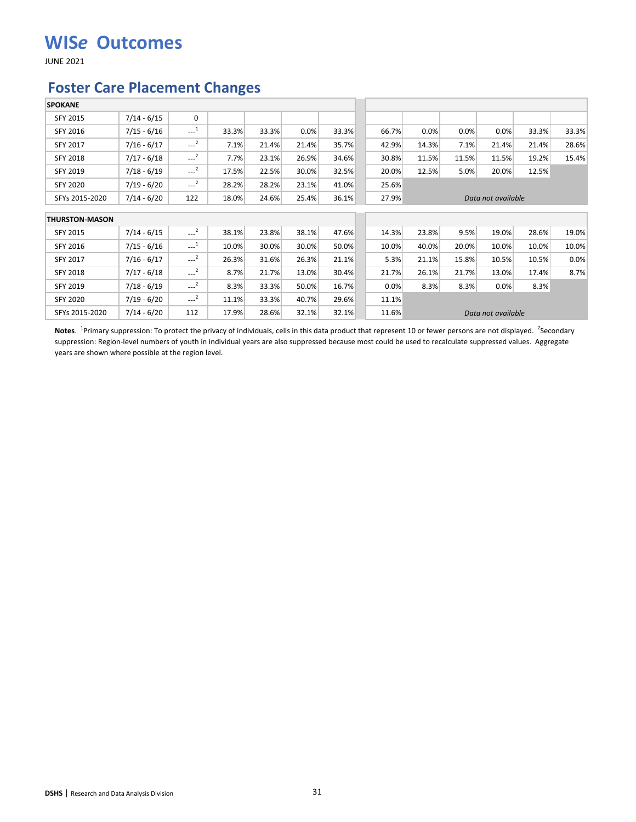JUNE 2021

#### **Foster Care Placement Changes**

| <b>SPOKANE</b>        |               |                                              |       |       |       |       |       |       |       |                    |       |       |
|-----------------------|---------------|----------------------------------------------|-------|-------|-------|-------|-------|-------|-------|--------------------|-------|-------|
| SFY 2015              | $7/14 - 6/15$ | $\mathbf 0$                                  |       |       |       |       |       |       |       |                    |       |       |
| SFY 2016              | $7/15 - 6/16$ | $\begin{smallmatrix} &1\\&\end{smallmatrix}$ | 33.3% | 33.3% | 0.0%  | 33.3% | 66.7% | 0.0%  | 0.0%  | 0.0%               | 33.3% | 33.3% |
| <b>SFY 2017</b>       | $7/16 - 6/17$ | $-2$                                         | 7.1%  | 21.4% | 21.4% | 35.7% | 42.9% | 14.3% | 7.1%  | 21.4%              | 21.4% | 28.6% |
| SFY 2018              | $7/17 - 6/18$ | $---2$                                       | 7.7%  | 23.1% | 26.9% | 34.6% | 30.8% | 11.5% | 11.5% | 11.5%              | 19.2% | 15.4% |
| <b>SFY 2019</b>       | $7/18 - 6/19$ | $---2$                                       | 17.5% | 22.5% | 30.0% | 32.5% | 20.0% | 12.5% | 5.0%  | 20.0%              | 12.5% |       |
| SFY 2020              | $7/19 - 6/20$ | $-2$                                         | 28.2% | 28.2% | 23.1% | 41.0% | 25.6% |       |       |                    |       |       |
| SFYs 2015-2020        | $7/14 - 6/20$ | 122                                          | 18.0% | 24.6% | 25.4% | 36.1% | 27.9% |       |       | Data not available |       |       |
| <b>THURSTON-MASON</b> |               |                                              |       |       |       |       |       |       |       |                    |       |       |
| SFY 2015              | $7/14 - 6/15$ | $---2$                                       | 38.1% | 23.8% | 38.1% | 47.6% | 14.3% | 23.8% | 9.5%  | 19.0%              | 28.6% | 19.0% |
| SFY 2016              | $7/15 - 6/16$ | $\mathbf{r}^{-1}$                            | 10.0% | 30.0% | 30.0% | 50.0% | 10.0% | 40.0% | 20.0% | 10.0%              | 10.0% | 10.0% |
| <b>SFY 2017</b>       | $7/16 - 6/17$ | $-2$                                         | 26.3% | 31.6% | 26.3% | 21.1% | 5.3%  | 21.1% | 15.8% | 10.5%              | 10.5% | 0.0%  |
| SFY 2018              | $7/17 - 6/18$ | $-2$                                         | 8.7%  | 21.7% | 13.0% | 30.4% | 21.7% | 26.1% | 21.7% | 13.0%              | 17.4% | 8.7%  |
| SFY 2019              | $7/18 - 6/19$ | $---2$                                       | 8.3%  | 33.3% | 50.0% | 16.7% | 0.0%  | 8.3%  | 8.3%  | 0.0%               | 8.3%  |       |
| SFY 2020              | $7/19 - 6/20$ | $-2$                                         | 11.1% | 33.3% | 40.7% | 29.6% | 11.1% |       |       |                    |       |       |
| SFYs 2015-2020        | $7/14 - 6/20$ | 112                                          | 17.9% | 28.6% | 32.1% | 32.1% | 11.6% |       |       | Data not available |       |       |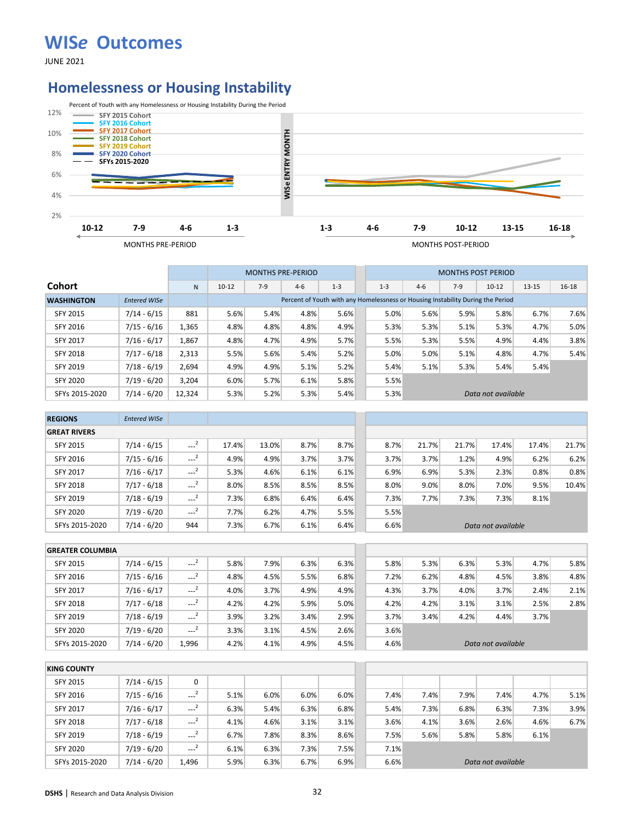JUNE 2021

#### **Homelessness or Housing Instability**



|                   |                     |              |           |       | <b>MONTHS PRE-PERIOD</b> |                                                                                 |         |       | <b>MONTHS POST PERIOD</b> |                    |           |           |
|-------------------|---------------------|--------------|-----------|-------|--------------------------|---------------------------------------------------------------------------------|---------|-------|---------------------------|--------------------|-----------|-----------|
| <b>Cohort</b>     |                     | $\mathsf{N}$ | $10 - 12$ | $7-9$ | $4 - 6$                  | $1 - 3$                                                                         | $1 - 3$ | $4-6$ | $7-9$                     | $10 - 12$          | $13 - 15$ | $16 - 18$ |
| <b>WASHINGTON</b> | <b>Entered WISe</b> |              |           |       |                          | Percent of Youth with any Homelessness or Housing Instability During the Period |         |       |                           |                    |           |           |
| <b>SFY 2015</b>   | $7/14 - 6/15$       | 881          | 5.6%      | 5.4%  | 4.8%                     | 5.6%                                                                            | 5.0%    | 5.6%  | 5.9%                      | 5.8%               | 6.7%      | 7.6%      |
| SFY 2016          | $7/15 - 6/16$       | 1,365        | 4.8%      | 4.8%  | 4.8%                     | 4.9%                                                                            | 5.3%    | 5.3%  | 5.1%                      | 5.3%               | 4.7%      | 5.0%      |
| <b>SFY 2017</b>   | $7/16 - 6/17$       | 1,867        | 4.8%      | 4.7%  | 4.9%                     | 5.7%                                                                            | 5.5%    | 5.3%  | 5.5%                      | 4.9%               | 4.4%      | 3.8%      |
| <b>SFY 2018</b>   | $7/17 - 6/18$       | 2,313        | 5.5%      | 5.6%  | 5.4%                     | 5.2%                                                                            | 5.0%    | 5.0%  | 5.1%                      | 4.8%               | 4.7%      | 5.4%      |
| <b>SFY 2019</b>   | $7/18 - 6/19$       | 2,694        | 4.9%      | 4.9%  | 5.1%                     | 5.2%                                                                            | 5.4%    | 5.1%  | 5.3%                      | 5.4%               | 5.4%      |           |
| <b>SFY 2020</b>   | $7/19 - 6/20$       | 3.204        | 6.0%      | 5.7%  | 6.1%                     | 5.8%                                                                            | 5.5%    |       |                           |                    |           |           |
| SFYs 2015-2020    | $7/14 - 6/20$       | 12,324       | 5.3%      | 5.2%  | 5.3%                     | 5.4%                                                                            | 5.3%    |       |                           | Data not available |           |           |

| <b>REGIONS</b>      | <b>Entered WISe</b> |                     |       |       |      |      |      |       |       |                    |       |       |
|---------------------|---------------------|---------------------|-------|-------|------|------|------|-------|-------|--------------------|-------|-------|
| <b>GREAT RIVERS</b> |                     |                     |       |       |      |      |      |       |       |                    |       |       |
| <b>SFY 2015</b>     | $7/14 - 6/15$       | $\sim$ <sup>2</sup> | 17.4% | 13.0% | 8.7% | 8.7% | 8.7% | 21.7% | 21.7% | 17.4%              | 17.4% | 21.7% |
| SFY 2016            | $7/15 - 6/16$       | $\sim$ <sup>2</sup> | 4.9%  | 4.9%  | 3.7% | 3.7% | 3.7% | 3.7%  | 1.2%  | 4.9%               | 6.2%  | 6.2%  |
| SFY 2017            | $7/16 - 6/17$       | $\sim$ <sup>2</sup> | 5.3%  | 4.6%  | 6.1% | 6.1% | 6.9% | 6.9%  | 5.3%  | 2.3%               | 0.8%  | 0.8%  |
| <b>SFY 2018</b>     | $7/17 - 6/18$       | $\sim$ <sup>2</sup> | 8.0%  | 8.5%  | 8.5% | 8.5% | 8.0% | 9.0%  | 8.0%  | 7.0%               | 9.5%  | 10.4% |
| SFY 2019            | $7/18 - 6/19$       | $---2$              | 7.3%  | 6.8%  | 6.4% | 6.4% | 7.3% | 7.7%  | 7.3%  | 7.3%               | 8.1%  |       |
| <b>SFY 2020</b>     | $7/19 - 6/20$       | $\sim$ <sup>2</sup> | 7.7%  | 6.2%  | 4.7% | 5.5% | 5.5% |       |       |                    |       |       |
| SFYs 2015-2020      | $7/14 - 6/20$       | 944                 | 7.3%  | 6.7%  | 6.1% | 6.4% | 6.6% |       |       | Data not available |       |       |

|                 | <b>GREATER COLUMBIA</b> |               |                     |      |      |      |      |      |      |      |                    |      |      |
|-----------------|-------------------------|---------------|---------------------|------|------|------|------|------|------|------|--------------------|------|------|
| <b>SFY 2015</b> |                         | $7/14 - 6/15$ | $-2$                | 5.8% | 7.9% | 6.3% | 6.3% | 5.8% | 5.3% | 6.3% | 5.3%               | 4.7% | 5.8% |
| SFY 2016        |                         | $7/15 - 6/16$ | $-2$                | 4.8% | 4.5% | 5.5% | 6.8% | 7.2% | 6.2% | 4.8% | 4.5%               | 3.8% | 4.8% |
| <b>SFY 2017</b> |                         | $7/16 - 6/17$ | أسمعه               | 4.0% | 3.7% | 4.9% | 4.9% | 4.3% | 3.7% | 4.0% | 3.7%               | 2.4% | 2.1% |
| <b>SFY 2018</b> |                         | $7/17 - 6/18$ | $\cdots$            | 4.2% | 4.2% | 5.9% | 5.0% | 4.2% | 4.2% | 3.1% | 3.1%               | 2.5% | 2.8% |
| <b>SFY 2019</b> |                         | $7/18 - 6/19$ | $\sim$ <sup>2</sup> | 3.9% | 3.2% | 3.4% | 2.9% | 3.7% | 3.4% | 4.2% | 4.4%               | 3.7% |      |
| <b>SFY 2020</b> |                         | $7/19 - 6/20$ | $-2$                | 3.3% | 3.1% | 4.5% | 2.6% | 3.6% |      |      |                    |      |      |
|                 | SFYs 2015-2020          | $7/14 - 6/20$ | 1.996               | 4.2% | 4.1% | 4.9% | 4.5% | 4.6% |      |      | Data not available |      |      |

| <b>KING COUNTY</b> |               |                     |      |      |      |      |      |      |      |                    |      |      |
|--------------------|---------------|---------------------|------|------|------|------|------|------|------|--------------------|------|------|
| SFY 2015           | $7/14 - 6/15$ | 0                   |      |      |      |      |      |      |      |                    |      |      |
| SFY 2016           | $7/15 - 6/16$ | $-2$                | 5.1% | 6.0% | 6.0% | 6.0% | 7.4% | 7.4% | 7.9% | 7.4%               | 4.7% | 5.1% |
| <b>SFY 2017</b>    | $7/16 - 6/17$ | $\sim$ <sup>2</sup> | 6.3% | 5.4% | 6.3% | 6.8% | 5.4% | 7.3% | 6.8% | 6.3%               | 7.3% | 3.9% |
| <b>SFY 2018</b>    | $7/17 - 6/18$ | $\sim$ <sup>2</sup> | 4.1% | 4.6% | 3.1% | 3.1% | 3.6% | 4.1% | 3.6% | 2.6%               | 4.6% | 6.7% |
| SFY 2019           | $7/18 - 6/19$ | $-2$                | 6.7% | 7.8% | 8.3% | 8.6% | 7.5% | 5.6% | 5.8% | 5.8%               | 6.1% |      |
| <b>SFY 2020</b>    | $7/19 - 6/20$ | $-2$                | 6.1% | 6.3% | 7.3% | 7.5% | 7.1% |      |      |                    |      |      |
| SFYs 2015-2020     | $7/14 - 6/20$ | 1.496               | 5.9% | 6.3% | 6.7% | 6.9% | 6.6% |      |      | Data not available |      |      |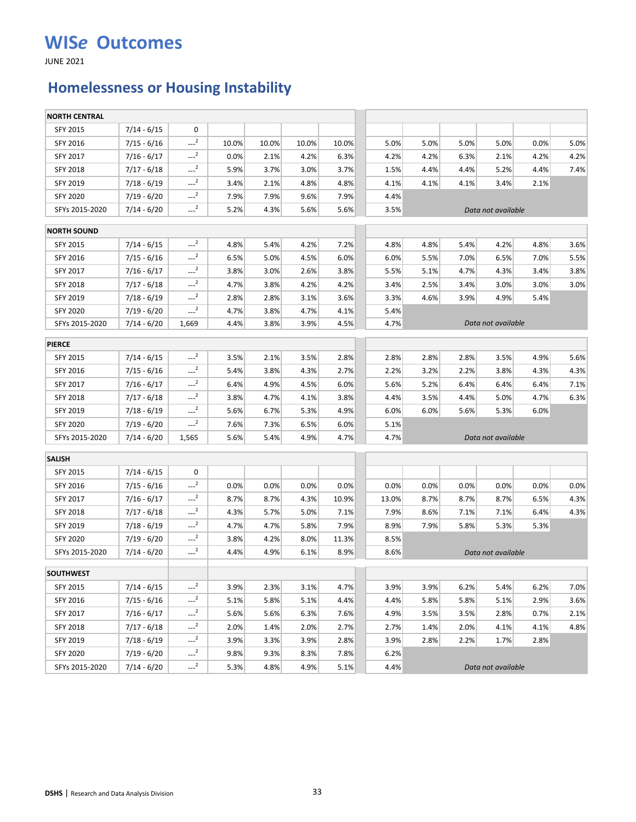JUNE 2021

## **Homelessness or Housing Instability**

| <b>NORTH CENTRAL</b> |               |                     |       |       |       |       |       |      |      |                    |      |      |
|----------------------|---------------|---------------------|-------|-------|-------|-------|-------|------|------|--------------------|------|------|
| SFY 2015             | $7/14 - 6/15$ | 0                   |       |       |       |       |       |      |      |                    |      |      |
| SFY 2016             | $7/15 - 6/16$ | $-2$                | 10.0% | 10.0% | 10.0% | 10.0% | 5.0%  | 5.0% | 5.0% | 5.0%               | 0.0% | 5.0% |
| SFY 2017             | $7/16 - 6/17$ | $-2$                | 0.0%  | 2.1%  | 4.2%  | 6.3%  | 4.2%  | 4.2% | 6.3% | 2.1%               | 4.2% | 4.2% |
| <b>SFY 2018</b>      | $7/17 - 6/18$ | $\sim$ <sup>2</sup> | 5.9%  | 3.7%  | 3.0%  | 3.7%  | 1.5%  | 4.4% | 4.4% | 5.2%               | 4.4% | 7.4% |
| SFY 2019             | $7/18 - 6/19$ | $-2$                | 3.4%  | 2.1%  | 4.8%  | 4.8%  | 4.1%  | 4.1% | 4.1% | 3.4%               | 2.1% |      |
| <b>SFY 2020</b>      | $7/19 - 6/20$ | $-2$                | 7.9%  | 7.9%  | 9.6%  | 7.9%  | 4.4%  |      |      |                    |      |      |
| SFYs 2015-2020       | $7/14 - 6/20$ | $-2$                | 5.2%  | 4.3%  | 5.6%  | 5.6%  | 3.5%  |      |      | Data not available |      |      |
| <b>NORTH SOUND</b>   |               |                     |       |       |       |       |       |      |      |                    |      |      |
| <b>SFY 2015</b>      | $7/14 - 6/15$ | $-2$                | 4.8%  | 5.4%  | 4.2%  | 7.2%  | 4.8%  | 4.8% | 5.4% | 4.2%               | 4.8% | 3.6% |
| SFY 2016             | $7/15 - 6/16$ | $-2$                | 6.5%  | 5.0%  | 4.5%  | 6.0%  | 6.0%  | 5.5% | 7.0% | 6.5%               | 7.0% | 5.5% |
| SFY 2017             | $7/16 - 6/17$ | $-2$                | 3.8%  | 3.0%  | 2.6%  | 3.8%  | 5.5%  | 5.1% | 4.7% | 4.3%               | 3.4% | 3.8% |
| SFY 2018             | $7/17 - 6/18$ | $-2$                | 4.7%  | 3.8%  | 4.2%  | 4.2%  | 3.4%  | 2.5% | 3.4% | 3.0%               | 3.0% | 3.0% |
| SFY 2019             | $7/18 - 6/19$ | $-2$                | 2.8%  | 2.8%  | 3.1%  | 3.6%  | 3.3%  | 4.6% | 3.9% | 4.9%               | 5.4% |      |
| <b>SFY 2020</b>      | $7/19 - 6/20$ | $-2$                | 4.7%  | 3.8%  | 4.7%  | 4.1%  | 5.4%  |      |      |                    |      |      |
| SFYs 2015-2020       | $7/14 - 6/20$ | 1,669               | 4.4%  | 3.8%  | 3.9%  | 4.5%  | 4.7%  |      |      | Data not available |      |      |
| <b>PIERCE</b>        |               |                     |       |       |       |       |       |      |      |                    |      |      |
| SFY 2015             | $7/14 - 6/15$ | $-2$                | 3.5%  | 2.1%  | 3.5%  | 2.8%  | 2.8%  | 2.8% | 2.8% | 3.5%               | 4.9% | 5.6% |
| SFY 2016             | $7/15 - 6/16$ | $-2$                | 5.4%  | 3.8%  | 4.3%  | 2.7%  | 2.2%  | 3.2% | 2.2% | 3.8%               | 4.3% | 4.3% |
| SFY 2017             | $7/16 - 6/17$ | $-2$                | 6.4%  | 4.9%  | 4.5%  | 6.0%  | 5.6%  | 5.2% | 6.4% | 6.4%               | 6.4% | 7.1% |
| SFY 2018             | $7/17 - 6/18$ | $-2$                | 3.8%  | 4.7%  | 4.1%  | 3.8%  | 4.4%  | 3.5% | 4.4% | 5.0%               | 4.7% | 6.3% |
| SFY 2019             | $7/18 - 6/19$ | $-2$                | 5.6%  | 6.7%  | 5.3%  | 4.9%  | 6.0%  | 6.0% | 5.6% | 5.3%               | 6.0% |      |
| <b>SFY 2020</b>      | 7/19 - 6/20   | $-2$                | 7.6%  | 7.3%  | 6.5%  | 6.0%  | 5.1%  |      |      |                    |      |      |
| SFYs 2015-2020       | $7/14 - 6/20$ | 1,565               | 5.6%  | 5.4%  | 4.9%  | 4.7%  | 4.7%  |      |      | Data not available |      |      |
| <b>SALISH</b>        |               |                     |       |       |       |       |       |      |      |                    |      |      |
| SFY 2015             | $7/14 - 6/15$ | 0                   |       |       |       |       |       |      |      |                    |      |      |
| SFY 2016             | $7/15 - 6/16$ | $-2$                | 0.0%  | 0.0%  | 0.0%  | 0.0%  | 0.0%  | 0.0% | 0.0% | 0.0%               | 0.0% | 0.0% |
| SFY 2017             | $7/16 - 6/17$ | $-2$                | 8.7%  | 8.7%  | 4.3%  | 10.9% | 13.0% | 8.7% | 8.7% | 8.7%               | 6.5% | 4.3% |
| SFY 2018             | $7/17 - 6/18$ | $-2$                | 4.3%  | 5.7%  | 5.0%  | 7.1%  | 7.9%  | 8.6% | 7.1% | 7.1%               | 6.4% | 4.3% |
| SFY 2019             | $7/18 - 6/19$ | $-2$                | 4.7%  | 4.7%  | 5.8%  | 7.9%  | 8.9%  | 7.9% | 5.8% | 5.3%               | 5.3% |      |
| <b>SFY 2020</b>      | 7/19 - 6/20   | $--2$               | 3.8%  | 4.2%  | 8.0%  | 11.3% | 8.5%  |      |      |                    |      |      |
| SFYs 2015-2020       | $7/14 - 6/20$ | $-2$                | 4.4%  | 4.9%  | 6.1%  | 8.9%  | 8.6%  |      |      | Data not available |      |      |
| <b>SOUTHWEST</b>     |               |                     |       |       |       |       |       |      |      |                    |      |      |
| SFY 2015             | $7/14 - 6/15$ | $-2$                | 3.9%  | 2.3%  | 3.1%  | 4.7%  | 3.9%  | 3.9% | 6.2% | 5.4%               | 6.2% | 7.0% |
| SFY 2016             | $7/15 - 6/16$ | $-2$                | 5.1%  | 5.8%  | 5.1%  | 4.4%  | 4.4%  | 5.8% | 5.8% | 5.1%               | 2.9% | 3.6% |
| SFY 2017             | $7/16 - 6/17$ | $--2$               | 5.6%  | 5.6%  | 6.3%  | 7.6%  | 4.9%  | 3.5% | 3.5% | 2.8%               | 0.7% | 2.1% |
| SFY 2018             | $7/17 - 6/18$ | $-2$                | 2.0%  | 1.4%  | 2.0%  | 2.7%  | 2.7%  | 1.4% | 2.0% | 4.1%               | 4.1% | 4.8% |
| SFY 2019             | $7/18 - 6/19$ | $---2$              | 3.9%  | 3.3%  | 3.9%  | 2.8%  | 3.9%  | 2.8% | 2.2% | 1.7%               | 2.8% |      |
| SFY 2020             | $7/19 - 6/20$ | $-2$                | 9.8%  | 9.3%  | 8.3%  | 7.8%  | 6.2%  |      |      |                    |      |      |
| SFYs 2015-2020       | $7/14 - 6/20$ | $-2$                | 5.3%  | 4.8%  | 4.9%  | 5.1%  | 4.4%  |      |      | Data not available |      |      |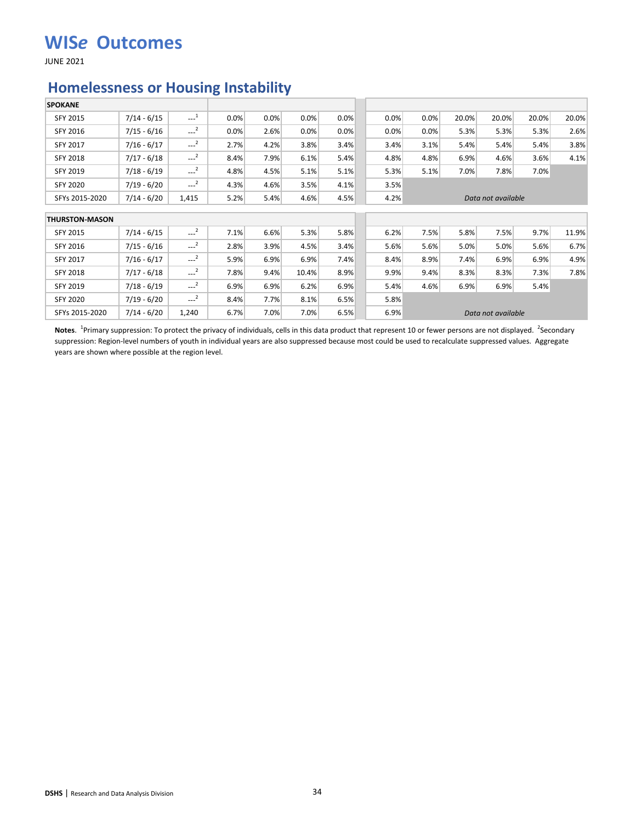JUNE 2021

#### **Homelessness or Housing Instability**

| <b>SPOKANE</b>        |               |                                              |      |      |       |      |      |      |       |                    |       |       |
|-----------------------|---------------|----------------------------------------------|------|------|-------|------|------|------|-------|--------------------|-------|-------|
| SFY 2015              | $7/14 - 6/15$ | $\begin{smallmatrix} &1\\&\end{smallmatrix}$ | 0.0% | 0.0% | 0.0%  | 0.0% | 0.0% | 0.0% | 20.0% | 20.0%              | 20.0% | 20.0% |
| SFY 2016              | $7/15 - 6/16$ | $\sim$ <sup>2</sup>                          | 0.0% | 2.6% | 0.0%  | 0.0% | 0.0% | 0.0% | 5.3%  | 5.3%               | 5.3%  | 2.6%  |
| SFY 2017              | $7/16 - 6/17$ | $-2$                                         | 2.7% | 4.2% | 3.8%  | 3.4% | 3.4% | 3.1% | 5.4%  | 5.4%               | 5.4%  | 3.8%  |
| <b>SFY 2018</b>       | $7/17 - 6/18$ | $--2$                                        | 8.4% | 7.9% | 6.1%  | 5.4% | 4.8% | 4.8% | 6.9%  | 4.6%               | 3.6%  | 4.1%  |
| <b>SFY 2019</b>       | $7/18 - 6/19$ | $-2$                                         | 4.8% | 4.5% | 5.1%  | 5.1% | 5.3% | 5.1% | 7.0%  | 7.8%               | 7.0%  |       |
| <b>SFY 2020</b>       | $7/19 - 6/20$ | $-2$                                         | 4.3% | 4.6% | 3.5%  | 4.1% | 3.5% |      |       |                    |       |       |
| SFYs 2015-2020        | $7/14 - 6/20$ | 1,415                                        | 5.2% | 5.4% | 4.6%  | 4.5% | 4.2% |      |       | Data not available |       |       |
| <b>THURSTON-MASON</b> |               |                                              |      |      |       |      |      |      |       |                    |       |       |
| SFY 2015              | $7/14 - 6/15$ | $\sim$ <sup>2</sup>                          | 7.1% | 6.6% | 5.3%  | 5.8% | 6.2% | 7.5% | 5.8%  | 7.5%               | 9.7%  | 11.9% |
| SFY 2016              | $7/15 - 6/16$ | $\sim$ <sup>2</sup>                          | 2.8% | 3.9% | 4.5%  | 3.4% | 5.6% | 5.6% | 5.0%  | 5.0%               | 5.6%  | 6.7%  |
| SFY 2017              | $7/16 - 6/17$ | $\sim$ <sup>2</sup>                          | 5.9% | 6.9% | 6.9%  | 7.4% | 8.4% | 8.9% | 7.4%  | 6.9%               | 6.9%  | 4.9%  |
| <b>SFY 2018</b>       | $7/17 - 6/18$ | $-2$                                         | 7.8% | 9.4% | 10.4% | 8.9% | 9.9% | 9.4% | 8.3%  | 8.3%               | 7.3%  | 7.8%  |
| SFY 2019              | $7/18 - 6/19$ | $--2$                                        | 6.9% | 6.9% | 6.2%  | 6.9% | 5.4% | 4.6% | 6.9%  | 6.9%               | 5.4%  |       |
| <b>SFY 2020</b>       | 7/19 - 6/20   | $\sim$ <sup>2</sup>                          | 8.4% | 7.7% | 8.1%  | 6.5% | 5.8% |      |       |                    |       |       |
| SFYs 2015-2020        | $7/14 - 6/20$ | 1,240                                        | 6.7% | 7.0% | 7.0%  | 6.5% | 6.9% |      |       | Data not available |       |       |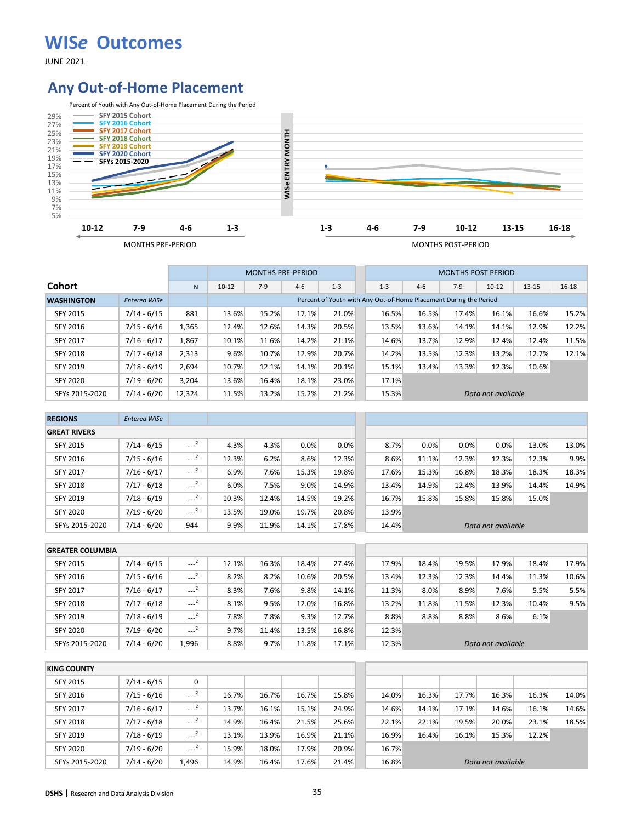JUNE 2021

## **Any Out-of-Home Placement**



|                   |                     |              |           |                                                                      | <b>MONTHS PRE-PERIOD</b> |                                                                   |       |         |       | <b>MONTHS POST PERIOD</b> |                    |       |           |
|-------------------|---------------------|--------------|-----------|----------------------------------------------------------------------|--------------------------|-------------------------------------------------------------------|-------|---------|-------|---------------------------|--------------------|-------|-----------|
| <b>Cohort</b>     |                     | $\mathsf{N}$ | $10 - 12$ | $7-9$                                                                | $4-6$                    | $1 - 3$                                                           |       | $1 - 3$ | $4-6$ | $7-9$                     | $10-12$            | 13-15 | $16 - 18$ |
| <b>WASHINGTON</b> | <b>Entered WISe</b> |              |           |                                                                      |                          | Percent of Youth with Any Out-of-Home Placement During the Period |       |         |       |                           |                    |       |           |
| <b>SFY 2015</b>   | $7/14 - 6/15$       | 881          | 13.6%     | 15.2%<br>16.5%<br>16.6%<br>17.1%<br>21.0%<br>16.5%<br>17.4%<br>16.1% |                          |                                                                   |       |         |       |                           |                    |       | 15.2%     |
| SFY 2016          | $7/15 - 6/16$       | 1,365        | 12.4%     | 12.6%                                                                | 14.3%                    | 20.5%                                                             |       | 13.5%   | 13.6% | 14.1%                     | 14.1%              | 12.9% | 12.2%     |
| <b>SFY 2017</b>   | $7/16 - 6/17$       | 1,867        | 10.1%     | 11.6%                                                                | 14.2%                    | 21.1%                                                             |       | 14.6%   | 13.7% | 12.9%                     | 12.4%              | 12.4% | 11.5%     |
| SFY 2018          | $7/17 - 6/18$       | 2,313        | 9.6%      | 10.7%                                                                | 12.9%                    | 20.7%                                                             |       | 14.2%   | 13.5% | 12.3%                     | 13.2%              | 12.7% | 12.1%     |
| SFY 2019          | $7/18 - 6/19$       | 2,694        | 10.7%     | 12.1%                                                                | 14.1%                    | 20.1%                                                             |       | 15.1%   | 13.4% | 13.3%                     | 12.3%              | 10.6% |           |
| <b>SFY 2020</b>   | $7/19 - 6/20$       | 3.204        | 13.6%     | 16.4%                                                                | 18.1%                    | 23.0%                                                             | 17.1% |         |       |                           |                    |       |           |
| SFYs 2015-2020    | $7/14 - 6/20$       | 12,324       | 11.5%     | 13.2%                                                                | 15.2%                    | 21.2%                                                             |       | 15.3%   |       |                           | Data not available |       |           |

| <b>REGIONS</b>      | <b>Entered WISe</b> |                     |       |       |       |       |       |       |       |                    |       |       |
|---------------------|---------------------|---------------------|-------|-------|-------|-------|-------|-------|-------|--------------------|-------|-------|
| <b>GREAT RIVERS</b> |                     |                     |       |       |       |       |       |       |       |                    |       |       |
| <b>SFY 2015</b>     | $7/14 - 6/15$       | $\sim$ <sup>2</sup> | 4.3%  | 4.3%  | 0.0%  | 0.0%  | 8.7%  | 0.0%  | 0.0%  | 0.0%               | 13.0% | 13.0% |
| SFY 2016            | $7/15 - 6/16$       | $\sim$ <sup>2</sup> | 12.3% | 6.2%  | 8.6%  | 12.3% | 8.6%  | 11.1% | 12.3% | 12.3%              | 12.3% | 9.9%  |
| <b>SFY 2017</b>     | $7/16 - 6/17$       | $\sim$ <sup>2</sup> | 6.9%  | 7.6%  | 15.3% | 19.8% | 17.6% | 15.3% | 16.8% | 18.3%              | 18.3% | 18.3% |
| <b>SFY 2018</b>     | $7/17 - 6/18$       | $\sim$ <sup>2</sup> | 6.0%  | 7.5%  | 9.0%  | 14.9% | 13.4% | 14.9% | 12.4% | 13.9%              | 14.4% | 14.9% |
| SFY 2019            | $7/18 - 6/19$       | $-2$                | 10.3% | 12.4% | 14.5% | 19.2% | 16.7% | 15.8% | 15.8% | 15.8%              | 15.0% |       |
| <b>SFY 2020</b>     | $7/19 - 6/20$       | $\sim$ <sup>2</sup> | 13.5% | 19.0% | 19.7% | 20.8% | 13.9% |       |       |                    |       |       |
| SFYs 2015-2020      | $7/14 - 6/20$       | 944                 | 9.9%  | 11.9% | 14.1% | 17.8% | 14.4% |       |       | Data not available |       |       |

| <b>GREATER COLUMBIA</b> |               |          |       |       |       |       |       |       |       |                    |       |       |
|-------------------------|---------------|----------|-------|-------|-------|-------|-------|-------|-------|--------------------|-------|-------|
| <b>SFY 2015</b>         | $7/14 - 6/15$ | $-2$     | 12.1% | 16.3% | 18.4% | 27.4% | 17.9% | 18.4% | 19.5% | 17.9%              | 18.4% | 17.9% |
| SFY 2016                | $7/15 - 6/16$ | $-1$     | 8.2%  | 8.2%  | 10.6% | 20.5% | 13.4% | 12.3% | 12.3% | 14.4%              | 11.3% | 10.6% |
| <b>SFY 2017</b>         | $7/16 - 6/17$ | $---2$   | 8.3%  | 7.6%  | 9.8%  | 14.1% | 11.3% | 8.0%  | 8.9%  | $7.6\%$            | 5.5%  | 5.5%  |
| <b>SFY 2018</b>         | $7/17 - 6/18$ | $\cdots$ | 8.1%  | 9.5%  | 12.0% | 16.8% | 13.2% | 11.8% | 11.5% | 12.3%              | 10.4% | 9.5%  |
| SFY 2019                | $7/18 - 6/19$ | $-2$     | 7.8%  | 7.8%  | 9.3%  | 12.7% | 8.8%  | 8.8%  | 8.8%  | $8.6\%$            | 6.1%  |       |
| <b>SFY 2020</b>         | $7/19 - 6/20$ | $-2$     | 9.7%  | 11.4% | 13.5% | 16.8% | 12.3% |       |       |                    |       |       |
| SFYs 2015-2020          | $7/14 - 6/20$ | 1,996    | 8.8%  | 9.7%  | 11.8% | 17.1% | 12.3% |       |       | Data not available |       |       |

| <b>KING COUNTY</b> |               |        |       |       |       |       |       |       |       |                    |       |       |
|--------------------|---------------|--------|-------|-------|-------|-------|-------|-------|-------|--------------------|-------|-------|
| SFY 2015           | $7/14 - 6/15$ | 0      |       |       |       |       |       |       |       |                    |       |       |
| SFY 2016           | $7/15 - 6/16$ | $-2$   | 16.7% | 16.7% | 16.7% | 15.8% | 14.0% | 16.3% | 17.7% | 16.3%              | 16.3% | 14.0% |
| <b>SFY 2017</b>    | $7/16 - 6/17$ | $-2$   | 13.7% | 16.1% | 15.1% | 24.9% | 14.6% | 14.1% | 17.1% | 14.6%              | 16.1% | 14.6% |
| <b>SFY 2018</b>    | $7/17 - 6/18$ | $-2$   | 14.9% | 16.4% | 21.5% | 25.6% | 22.1% | 22.1% | 19.5% | 20.0%              | 23.1% | 18.5% |
| SFY 2019           | $7/18 - 6/19$ | $---2$ | 13.1% | 13.9% | 16.9% | 21.1% | 16.9% | 16.4% | 16.1% | 15.3%              | 12.2% |       |
| <b>SFY 2020</b>    | $7/19 - 6/20$ | $-2$   | 15.9% | 18.0% | 17.9% | 20.9% | 16.7% |       |       |                    |       |       |
| SFYs 2015-2020     | $7/14 - 6/20$ | 1.496  | 14.9% | 16.4% | 17.6% | 21.4% | 16.8% |       |       | Data not available |       |       |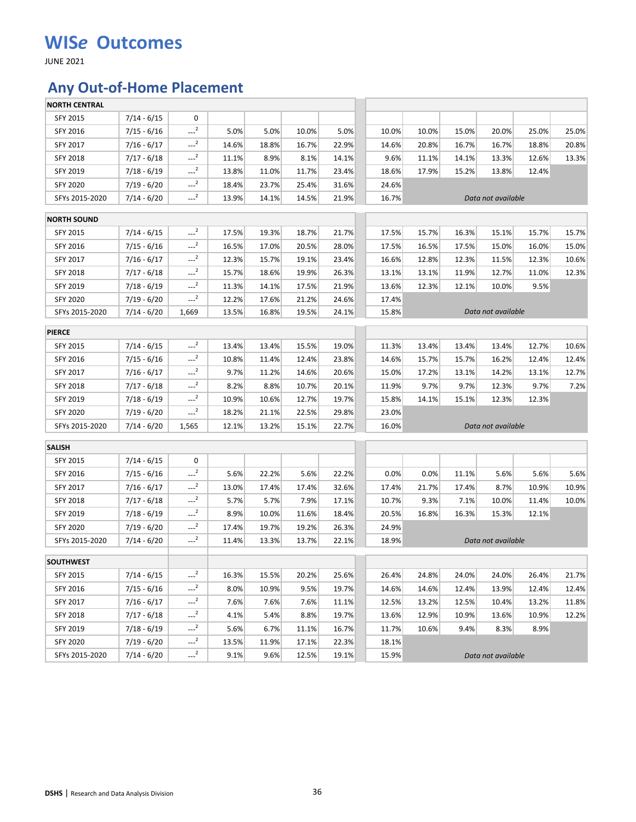JUNE 2021

# **Any Out-of-Home Placement**

| <b>NORTH CENTRAL</b> |               |        |       |       |       |       |       |       |       |                    |       |       |
|----------------------|---------------|--------|-------|-------|-------|-------|-------|-------|-------|--------------------|-------|-------|
| SFY 2015             | $7/14 - 6/15$ | 0      |       |       |       |       |       |       |       |                    |       |       |
| SFY 2016             | $7/15 - 6/16$ | $-2$   | 5.0%  | 5.0%  | 10.0% | 5.0%  | 10.0% | 10.0% | 15.0% | 20.0%              | 25.0% | 25.0% |
| SFY 2017             | $7/16 - 6/17$ | $-2$   | 14.6% | 18.8% | 16.7% | 22.9% | 14.6% | 20.8% | 16.7% | 16.7%              | 18.8% | 20.8% |
| SFY 2018             | $7/17 - 6/18$ | $-2$   | 11.1% | 8.9%  | 8.1%  | 14.1% | 9.6%  | 11.1% | 14.1% | 13.3%              | 12.6% | 13.3% |
| SFY 2019             | $7/18 - 6/19$ | $---2$ | 13.8% | 11.0% | 11.7% | 23.4% | 18.6% | 17.9% | 15.2% | 13.8%              | 12.4% |       |
| <b>SFY 2020</b>      | $7/19 - 6/20$ | $-2$   | 18.4% | 23.7% | 25.4% | 31.6% | 24.6% |       |       |                    |       |       |
| SFYs 2015-2020       | $7/14 - 6/20$ | $---2$ | 13.9% | 14.1% | 14.5% | 21.9% | 16.7% |       |       | Data not available |       |       |
| <b>NORTH SOUND</b>   |               |        |       |       |       |       |       |       |       |                    |       |       |
| SFY 2015             | $7/14 - 6/15$ | $-2$   | 17.5% | 19.3% | 18.7% | 21.7% | 17.5% | 15.7% | 16.3% | 15.1%              | 15.7% | 15.7% |
| SFY 2016             | $7/15 - 6/16$ | $-2$   | 16.5% | 17.0% | 20.5% | 28.0% | 17.5% | 16.5% | 17.5% | 15.0%              | 16.0% | 15.0% |
| SFY 2017             | $7/16 - 6/17$ | $-2$   | 12.3% | 15.7% | 19.1% | 23.4% | 16.6% | 12.8% | 12.3% | 11.5%              | 12.3% | 10.6% |
| SFY 2018             | $7/17 - 6/18$ | $---2$ | 15.7% | 18.6% | 19.9% | 26.3% | 13.1% | 13.1% | 11.9% | 12.7%              | 11.0% | 12.3% |
| SFY 2019             | $7/18 - 6/19$ | $-2$   | 11.3% | 14.1% | 17.5% | 21.9% | 13.6% | 12.3% | 12.1% | 10.0%              | 9.5%  |       |
| SFY 2020             | 7/19 - 6/20   | $-2$   | 12.2% | 17.6% | 21.2% | 24.6% | 17.4% |       |       |                    |       |       |
| SFYs 2015-2020       | $7/14 - 6/20$ | 1,669  | 13.5% | 16.8% | 19.5% | 24.1% | 15.8% |       |       | Data not available |       |       |
|                      |               |        |       |       |       |       |       |       |       |                    |       |       |
| <b>PIERCE</b>        |               |        |       |       |       |       |       |       |       |                    |       |       |
| SFY 2015             | $7/14 - 6/15$ | $-2$   | 13.4% | 13.4% | 15.5% | 19.0% | 11.3% | 13.4% | 13.4% | 13.4%              | 12.7% | 10.6% |
| SFY 2016             | $7/15 - 6/16$ | $-2$   | 10.8% | 11.4% | 12.4% | 23.8% | 14.6% | 15.7% | 15.7% | 16.2%              | 12.4% | 12.4% |
| SFY 2017             | $7/16 - 6/17$ | $-2$   | 9.7%  | 11.2% | 14.6% | 20.6% | 15.0% | 17.2% | 13.1% | 14.2%              | 13.1% | 12.7% |
| SFY 2018             | $7/17 - 6/18$ | $---2$ | 8.2%  | 8.8%  | 10.7% | 20.1% | 11.9% | 9.7%  | 9.7%  | 12.3%              | 9.7%  | 7.2%  |
| SFY 2019             | $7/18 - 6/19$ | $-2$   | 10.9% | 10.6% | 12.7% | 19.7% | 15.8% | 14.1% | 15.1% | 12.3%              | 12.3% |       |
| <b>SFY 2020</b>      | 7/19 - 6/20   | $-2$   | 18.2% | 21.1% | 22.5% | 29.8% | 23.0% |       |       |                    |       |       |
| SFYs 2015-2020       | $7/14 - 6/20$ | 1,565  | 12.1% | 13.2% | 15.1% | 22.7% | 16.0% |       |       | Data not available |       |       |
| <b>SALISH</b>        |               |        |       |       |       |       |       |       |       |                    |       |       |
| SFY 2015             | $7/14 - 6/15$ | 0      |       |       |       |       |       |       |       |                    |       |       |
| SFY 2016             | $7/15 - 6/16$ | $-2$   | 5.6%  | 22.2% | 5.6%  | 22.2% | 0.0%  | 0.0%  | 11.1% | 5.6%               | 5.6%  | 5.6%  |
| SFY 2017             | $7/16 - 6/17$ | $-2$   | 13.0% | 17.4% | 17.4% | 32.6% | 17.4% | 21.7% | 17.4% | 8.7%               | 10.9% | 10.9% |
| SFY 2018             | $7/17 - 6/18$ | $-2$   | 5.7%  | 5.7%  | 7.9%  | 17.1% | 10.7% | 9.3%  | 7.1%  | 10.0%              | 11.4% | 10.0% |
| SFY 2019             | $7/18 - 6/19$ | $-2$   | 8.9%  | 10.0% | 11.6% | 18.4% | 20.5% | 16.8% | 16.3% | 15.3%              | 12.1% |       |
| <b>SFY 2020</b>      | 7/19 - 6/20   | $-2$   | 17.4% | 19.7% | 19.2% | 26.3% | 24.9% |       |       |                    |       |       |
| SFYs 2015-2020       | $7/14 - 6/20$ | $---2$ | 11.4% | 13.3% | 13.7% | 22.1% | 18.9% |       |       | Data not available |       |       |
| <b>SOUTHWEST</b>     |               |        |       |       |       |       |       |       |       |                    |       |       |
| SFY 2015             | $7/14 - 6/15$ | $-2$   | 16.3% | 15.5% | 20.2% | 25.6% | 26.4% | 24.8% | 24.0% | 24.0%              | 26.4% | 21.7% |
| SFY 2016             | $7/15 - 6/16$ | $-2$   | 8.0%  | 10.9% | 9.5%  | 19.7% | 14.6% | 14.6% | 12.4% | 13.9%              | 12.4% | 12.4% |
| SFY 2017             | $7/16 - 6/17$ | $---2$ | 7.6%  | 7.6%  | 7.6%  | 11.1% | 12.5% | 13.2% | 12.5% | 10.4%              | 13.2% | 11.8% |
| <b>SFY 2018</b>      | $7/17 - 6/18$ | $---2$ | 4.1%  | 5.4%  | 8.8%  | 19.7% | 13.6% | 12.9% | 10.9% | 13.6%              | 10.9% | 12.2% |
| SFY 2019             | $7/18 - 6/19$ | $-2$   | 5.6%  | 6.7%  | 11.1% | 16.7% | 11.7% | 10.6% | 9.4%  | 8.3%               | 8.9%  |       |
| SFY 2020             | 7/19 - 6/20   | $-2$   | 13.5% | 11.9% | 17.1% | 22.3% | 18.1% |       |       |                    |       |       |
| SFYs 2015-2020       | $7/14 - 6/20$ | $-2$   | 9.1%  | 9.6%  | 12.5% | 19.1% | 15.9% |       |       | Data not available |       |       |